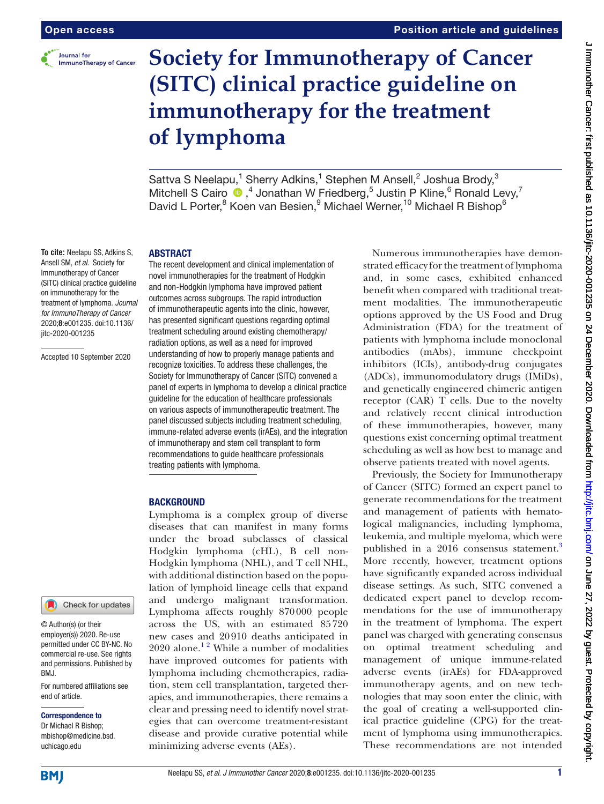

# **Society for Immunotherapy of Cancer (SITC) clinical practice guideline on immunotherapy for the treatment of lymphoma**

Sattva S Neelapu,<sup>1</sup> Sherry Adkins,<sup>1</sup> Stephen M Ansell,<sup>2</sup> Joshua Brody,<sup>3</sup> Mitchell S Cairo  $\bigcirc$ , 4 Jonathan W Friedberg, 5 Justin P Kline, 6 Ronald Levy, 7 David L Porter,<sup>8</sup> Koen van Besien,<sup>9</sup> Michael Werner,<sup>10</sup> Michael R Bishop<sup>6</sup>

# ABSTRACT

**To cite:** Neelapu SS, Adkins S, Ansell SM, *et al*. Society for Immunotherapy of Cancer (SITC) clinical practice guideline on immunotherapy for the treatment of lymphoma. *Journal for ImmunoTherapy of Cancer* 2020;8:e001235. doi:10.1136/ jitc-2020-001235

Accepted 10 September 2020

The recent development and clinical implementation of novel immunotherapies for the treatment of Hodgkin and non-Hodgkin lymphoma have improved patient outcomes across subgroups. The rapid introduction of immunotherapeutic agents into the clinic, however, has presented significant questions regarding optimal treatment scheduling around existing chemotherapy/ radiation options, as well as a need for improved understanding of how to properly manage patients and recognize toxicities. To address these challenges, the Society for Immunotherapy of Cancer (SITC) convened a panel of experts in lymphoma to develop a clinical practice guideline for the education of healthcare professionals on various aspects of immunotherapeutic treatment. The panel discussed subjects including treatment scheduling, immune-related adverse events (irAEs), and the integration of immunotherapy and stem cell transplant to form recommendations to guide healthcare professionals treating patients with lymphoma.

# **BACKGROUND**

Lymphoma is a complex group of diverse diseases that can manifest in many forms under the broad subclasses of classical Hodgkin lymphoma (cHL), B cell non-Hodgkin lymphoma (NHL), and T cell NHL, with additional distinction based on the population of lymphoid lineage cells that expand and undergo malignant transformation. Lymphoma affects roughly 870000 people across the US, with an estimated 85720 new cases and 20910 deaths anticipated in  $2020$  alone.<sup>12</sup> While a number of modalities have improved outcomes for patients with lymphoma including chemotherapies, radiation, stem cell transplantation, targeted therapies, and immunotherapies, there remains a clear and pressing need to identify novel strategies that can overcome treatment-resistant disease and provide curative potential while minimizing adverse events (AEs).

Numerous immunotherapies have demonstrated efficacy for the treatment of lymphoma and, in some cases, exhibited enhanced benefit when compared with traditional treatment modalities. The immunotherapeutic options approved by the US Food and Drug Administration (FDA) for the treatment of patients with lymphoma include monoclonal antibodies (mAbs), immune checkpoint inhibitors (ICIs), antibody-drug conjugates (ADCs), immunomodulatory drugs (IMiDs), and genetically engineered chimeric antigen receptor (CAR) T cells. Due to the novelty and relatively recent clinical introduction of these immunotherapies, however, many questions exist concerning optimal treatment scheduling as well as how best to manage and observe patients treated with novel agents.

Previously, the Society for Immunotherapy of Cancer (SITC) formed an expert panel to generate recommendations for the treatment and management of patients with hematological malignancies, including lymphoma, leukemia, and multiple myeloma, which were published in a 2016 consensus statement.<sup>3</sup> More recently, however, treatment options have significantly expanded across individual disease settings. As such, SITC convened a dedicated expert panel to develop recommendations for the use of immunotherapy in the treatment of lymphoma. The expert panel was charged with generating consensus on optimal treatment scheduling and management of unique immune-related adverse events (irAEs) for FDA-approved immunotherapy agents, and on new technologies that may soon enter the clinic, with the goal of creating a well-supported clinical practice guideline (CPG) for the treatment of lymphoma using immunotherapies. These recommendations are not intended

**BMI** 

For numbered affiliations see

Check for updates

end of article.

BMJ.

Correspondence to Dr Michael R Bishop; mbishop@medicine.bsd. uchicago.edu

© Author(s) (or their employer(s)) 2020. Re-use permitted under CC BY-NC. No commercial re-use. See rights and permissions. Published by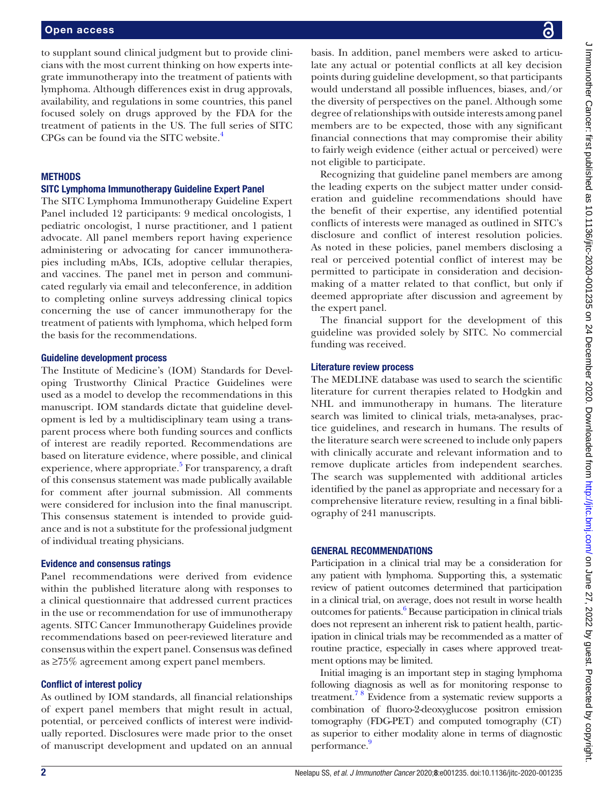to supplant sound clinical judgment but to provide clinicians with the most current thinking on how experts integrate immunotherapy into the treatment of patients with lymphoma. Although differences exist in drug approvals, availability, and regulations in some countries, this panel focused solely on drugs approved by the FDA for the treatment of patients in the US. The full series of SITC CPGs can be found via the SITC website[.4](#page-18-2)

# **METHODS**

# SITC Lymphoma Immunotherapy Guideline Expert Panel

The SITC Lymphoma Immunotherapy Guideline Expert Panel included 12 participants: 9 medical oncologists, 1 pediatric oncologist, 1 nurse practitioner, and 1 patient advocate. All panel members report having experience administering or advocating for cancer immunotherapies including mAbs, ICIs, adoptive cellular therapies, and vaccines. The panel met in person and communicated regularly via email and teleconference, in addition to completing online surveys addressing clinical topics concerning the use of cancer immunotherapy for the treatment of patients with lymphoma, which helped form the basis for the recommendations.

#### Guideline development process

The Institute of Medicine's (IOM) Standards for Developing Trustworthy Clinical Practice Guidelines were used as a model to develop the recommendations in this manuscript. IOM standards dictate that guideline development is led by a multidisciplinary team using a transparent process where both funding sources and conflicts of interest are readily reported. Recommendations are based on literature evidence, where possible, and clinical experience, where appropriate.<sup>[5](#page-18-3)</sup> For transparency, a draft of this consensus statement was made publically available for comment after journal submission. All comments were considered for inclusion into the final manuscript. This consensus statement is intended to provide guidance and is not a substitute for the professional judgment of individual treating physicians.

# Evidence and consensus ratings

Panel recommendations were derived from evidence within the published literature along with responses to a clinical questionnaire that addressed current practices in the use or recommendation for use of immunotherapy agents. SITC Cancer Immunotherapy Guidelines provide recommendations based on peer-reviewed literature and consensus within the expert panel. Consensus was defined as ≥75% agreement among expert panel members.

# Conflict of interest policy

As outlined by IOM standards, all financial relationships of expert panel members that might result in actual, potential, or perceived conflicts of interest were individually reported. Disclosures were made prior to the onset of manuscript development and updated on an annual

basis. In addition, panel members were asked to articulate any actual or potential conflicts at all key decision points during guideline development, so that participants would understand all possible influences, biases, and/or the diversity of perspectives on the panel. Although some degree of relationships with outside interests among panel members are to be expected, those with any significant financial connections that may compromise their ability to fairly weigh evidence (either actual or perceived) were not eligible to participate.

Recognizing that guideline panel members are among the leading experts on the subject matter under consideration and guideline recommendations should have the benefit of their expertise, any identified potential conflicts of interests were managed as outlined in SITC's disclosure and conflict of interest resolution policies. As noted in these policies, panel members disclosing a real or perceived potential conflict of interest may be permitted to participate in consideration and decisionmaking of a matter related to that conflict, but only if deemed appropriate after discussion and agreement by the expert panel.

The financial support for the development of this guideline was provided solely by SITC. No commercial funding was received.

# Literature review process

The MEDLINE database was used to search the scientific literature for current therapies related to Hodgkin and NHL and immunotherapy in humans. The literature search was limited to clinical trials, meta-analyses, practice guidelines, and research in humans. The results of the literature search were screened to include only papers with clinically accurate and relevant information and to remove duplicate articles from independent searches. The search was supplemented with additional articles identified by the panel as appropriate and necessary for a comprehensive literature review, resulting in a final bibliography of 241 manuscripts.

#### GENERAL RECOMMENDATIONS

Participation in a clinical trial may be a consideration for any patient with lymphoma. Supporting this, a systematic review of patient outcomes determined that participation in a clinical trial, on average, does not result in worse health outcomes for patients.<sup>[6](#page-18-4)</sup> Because participation in clinical trials does not represent an inherent risk to patient health, participation in clinical trials may be recommended as a matter of routine practice, especially in cases where approved treatment options may be limited.

Initial imaging is an important step in staging lymphoma following diagnosis as well as for monitoring response to treatment[.7 8](#page-18-5) Evidence from a systematic review supports a combination of fluoro-2-deoxyglucose positron emission tomography (FDG-PET) and computed tomography (CT) as superior to either modality alone in terms of diagnostic performance.<sup>9</sup>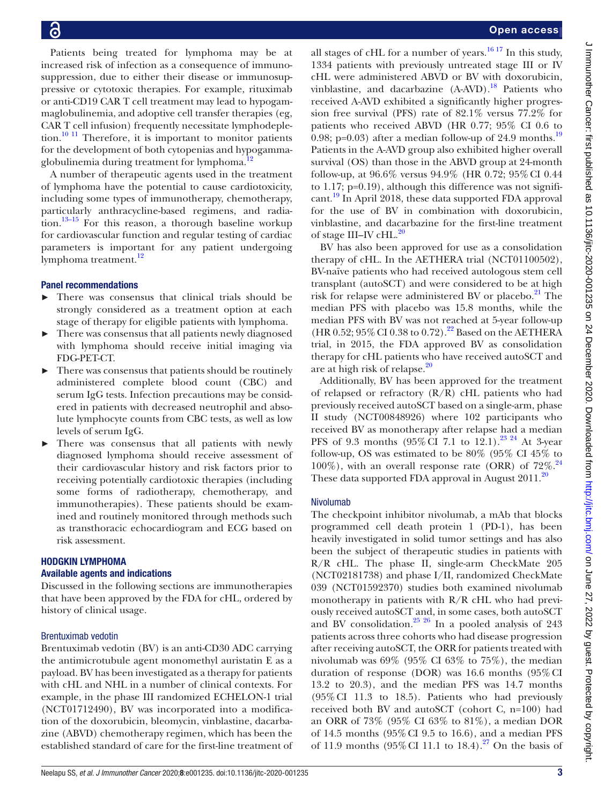Patients being treated for lymphoma may be at increased risk of infection as a consequence of immunosuppression, due to either their disease or immunosuppressive or cytotoxic therapies. For example, rituximab or anti-CD19 CAR T cell treatment may lead to hypogammaglobulinemia, and adoptive cell transfer therapies (eg, CAR T cell infusion) frequently necessitate lymphodepletion. $10^{-11}$  Therefore, it is important to monitor patients for the development of both cytopenias and hypogammaglobulinemia during treatment for lymphoma.<sup>1</sup>

A number of therapeutic agents used in the treatment of lymphoma have the potential to cause cardiotoxicity, including some types of immunotherapy, chemotherapy, particularly anthracycline-based regimens, and radia- $\mu$ <sub>13–15</sub> For this reason, a thorough baseline workup for cardiovascular function and regular testing of cardiac parameters is important for any patient undergoing lymphoma treatment.<sup>12</sup>

# Panel recommendations

- There was consensus that clinical trials should be strongly considered as a treatment option at each stage of therapy for eligible patients with lymphoma.
- There was consensus that all patients newly diagnosed with lymphoma should receive initial imaging via FDG-PET-CT.
- ► There was consensus that patients should be routinely administered complete blood count (CBC) and serum IgG tests. Infection precautions may be considered in patients with decreased neutrophil and absolute lymphocyte counts from CBC tests, as well as low levels of serum IgG.
- There was consensus that all patients with newly diagnosed lymphoma should receive assessment of their cardiovascular history and risk factors prior to receiving potentially cardiotoxic therapies (including some forms of radiotherapy, chemotherapy, and immunotherapies). These patients should be examined and routinely monitored through methods such as transthoracic echocardiogram and ECG based on risk assessment.

# HODGKIN LYMPHOMA

# Available agents and indications

Discussed in the following sections are immunotherapies that have been approved by the FDA for cHL, ordered by history of clinical usage.

# Brentuximab vedotin

Brentuximab vedotin (BV) is an anti-CD30 ADC carrying the antimicrotubule agent monomethyl auristatin E as a payload. BV has been investigated as a therapy for patients with cHL and NHL in a number of clinical contexts. For example, in the phase III randomized ECHELON-1 trial (NCT01712490), BV was incorporated into a modification of the doxorubicin, bleomycin, vinblastine, dacarbazine (ABVD) chemotherapy regimen, which has been the established standard of care for the first-line treatment of

all stages of cHL for a number of years.<sup>[16 17](#page-18-10)</sup> In this study, 1334 patients with previously untreated stage III or IV cHL were administered ABVD or BV with doxorubicin, vinblastine, and dacarbazine (A-AVD).<sup>18</sup> Patients who received A-AVD exhibited a significantly higher progression free survival (PFS) rate of 82.1% versus 77.2% for patients who received ABVD (HR 0.77; 95% CI 0.6 to 0.98; p=0.03) after a median follow-up of 24.9 months.<sup>[19](#page-18-12)</sup> Patients in the A-AVD group also exhibited higher overall survival (OS) than those in the ABVD group at 24-month follow-up, at 96.6% versus 94.9% (HR 0.72; 95%CI 0.44 to  $1.17$ ;  $p=0.19$ ), although this difference was not significant.<sup>19</sup> In April 2018, these data supported FDA approval for the use of BV in combination with doxorubicin, vinblastine, and dacarbazine for the first-line treatment of stage III–IV cHL.<sup>[20](#page-18-13)</sup>

BV has also been approved for use as a consolidation therapy of cHL. In the AETHERA trial (NCT01100502), BV-naïve patients who had received autologous stem cell transplant (autoSCT) and were considered to be at high risk for relapse were administered BV or placebo. $^{21}$  The median PFS with placebo was 15.8 months, while the median PFS with BV was not reached at 5-year follow-up (HR 0.52;  $95\%$  CI 0.38 to 0.72).<sup>22</sup> Based on the AETHERA trial, in 2015, the FDA approved BV as consolidation therapy for cHL patients who have received autoSCT and are at high risk of relapse.[20](#page-18-13)

Additionally, BV has been approved for the treatment of relapsed or refractory  $(R/R)$  cHL patients who had previously received autoSCT based on a single-arm, phase II study (NCT00848926) where 102 participants who received BV as monotherapy after relapse had a median PFS of 9.3 months  $(95\%$  CI 7.1 to 12.1).<sup>23</sup> <sup>24</sup> At 3-year follow-up, OS was estimated to be 80% (95% CI 45% to  $100\%$ ), with an overall response rate (ORR) of  $72\%$ .<sup>[24](#page-18-17)</sup> These data supported FDA approval in August  $2011$ .<sup>20</sup>

# Nivolumab

The checkpoint inhibitor nivolumab, a mAb that blocks programmed cell death protein 1 (PD-1), has been heavily investigated in solid tumor settings and has also been the subject of therapeutic studies in patients with R/R cHL. The phase II, single-arm CheckMate 205 (NCT02181738) and phase I/II, randomized CheckMate 039 (NCT01592370) studies both examined nivolumab monotherapy in patients with  $R/R$  cHL who had previously received autoSCT and, in some cases, both autoSCT and BV consolidation.<sup>[25 26](#page-18-18)</sup> In a pooled analysis of 243 patients across three cohorts who had disease progression after receiving autoSCT, the ORR for patients treated with nivolumab was 69% (95% CI 63% to 75%), the median duration of response (DOR) was 16.6 months (95%CI 13.2 to 20.3), and the median PFS was 14.7 months (95%CI 11.3 to 18.5). Patients who had previously received both BV and autoSCT (cohort C, n=100) had an ORR of 73% (95% CI 63% to 81%), a median DOR of 14.5 months (95%CI 9.5 to 16.6), and a median PFS of 11.9 months  $(95\% \text{ CI } 11.1 \text{ to } 18.4).^{27}$  On the basis of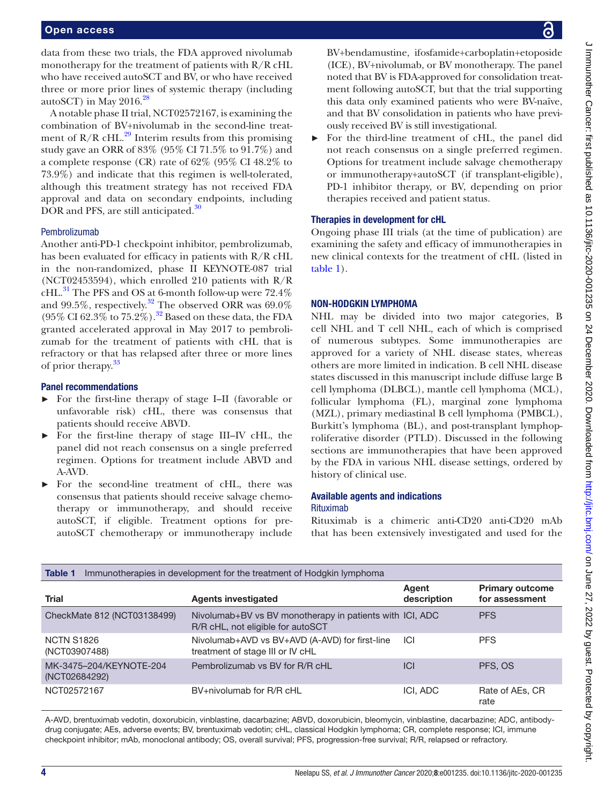data from these two trials, the FDA approved nivolumab monotherapy for the treatment of patients with R/R cHL who have received autoSCT and BV, or who have received three or more prior lines of systemic therapy (including autoSCT) in May  $2016.<sup>28</sup>$  $2016.<sup>28</sup>$  $2016.<sup>28</sup>$ 

A notable phase II trial, NCT02572167, is examining the combination of BV+nivolumab in the second-line treatment of  $R/R$  cHL.<sup>[29](#page-18-21)</sup> Interim results from this promising study gave an ORR of 83% (95% CI 71.5% to 91.7%) and a complete response (CR) rate of 62% (95% CI 48.2% to 73.9%) and indicate that this regimen is well-tolerated, although this treatment strategy has not received FDA approval and data on secondary endpoints, including DOR and PFS, are still anticipated.<sup>[30](#page-18-22)</sup>

# Pembrolizumab

Another anti-PD-1 checkpoint inhibitor, pembrolizumab, has been evaluated for efficacy in patients with R/R cHL in the non-randomized, phase II KEYNOTE-087 trial (NCT02453594), which enrolled 210 patients with R/R  $cHL$ .<sup>31</sup> The PFS and OS at 6-month follow-up were 72.4% and 99.5%, respectively.<sup>32</sup> The observed ORR was 69.0% (95% CI 62.3% to 75.2%).<sup>32</sup> Based on these data, the FDA granted accelerated approval in May 2017 to pembrolizumab for the treatment of patients with cHL that is refractory or that has relapsed after three or more lines of prior therapy.<sup>[33](#page-18-25)</sup>

# Panel recommendations

- ► For the first-line therapy of stage I–II (favorable or unfavorable risk) cHL, there was consensus that patients should receive ABVD.
- ► For the first-line therapy of stage III–IV cHL, the panel did not reach consensus on a single preferred regimen. Options for treatment include ABVD and A-AVD.
- For the second-line treatment of cHL, there was consensus that patients should receive salvage chemotherapy or immunotherapy, and should receive autoSCT, if eligible. Treatment options for preautoSCT chemotherapy or immunotherapy include

BV+bendamustine, ifosfamide+carboplatin+etoposide (ICE), BV+nivolumab, or BV monotherapy. The panel noted that BV is FDA-approved for consolidation treatment following autoSCT, but that the trial supporting this data only examined patients who were BV-naïve, and that BV consolidation in patients who have previously received BV is still investigational.

► For the third-line treatment of cHL, the panel did not reach consensus on a single preferred regimen. Options for treatment include salvage chemotherapy or immunotherapy+autoSCT (if transplant-eligible), PD-1 inhibitor therapy, or BV, depending on prior therapies received and patient status.

# Therapies in development for cHL

Ongoing phase III trials (at the time of publication) are examining the safety and efficacy of immunotherapies in new clinical contexts for the treatment of cHL (listed in [table](#page-3-0) 1).

# NON-HODGKIN LYMPHOMA

NHL may be divided into two major categories, B cell NHL and T cell NHL, each of which is comprised of numerous subtypes. Some immunotherapies are approved for a variety of NHL disease states, whereas others are more limited in indication. B cell NHL disease states discussed in this manuscript include diffuse large B cell lymphoma (DLBCL), mantle cell lymphoma (MCL), follicular lymphoma (FL), marginal zone lymphoma (MZL), primary mediastinal B cell lymphoma (PMBCL), Burkitt's lymphoma (BL), and post-transplant lymphoproliferative disorder (PTLD). Discussed in the following sections are immunotherapies that have been approved by the FDA in various NHL disease settings, ordered by history of clinical use.

# Available agents and indications Rituximab

Rituximab is a chimeric anti-CD20 anti-CD20 mAb that has been extensively investigated and used for the

<span id="page-3-0"></span>

| <b>Table 1</b><br>Immunotherapies in development for the treatment of Hodgkin lymphoma |                                                                                               |                      |                                          |
|----------------------------------------------------------------------------------------|-----------------------------------------------------------------------------------------------|----------------------|------------------------------------------|
| <b>Trial</b>                                                                           | <b>Agents investigated</b>                                                                    | Agent<br>description | <b>Primary outcome</b><br>for assessment |
| CheckMate 812 (NCT03138499)                                                            | Nivolumab+BV vs BV monotherapy in patients with ICI, ADC<br>R/R cHL, not eligible for autoSCT |                      | <b>PFS</b>                               |
| <b>NCTN S1826</b><br>(NCT03907488)                                                     | Nivolumab+AVD vs BV+AVD (A-AVD) for first-line<br>treatment of stage III or IV cHL            | <b>ICI</b>           | <b>PFS</b>                               |
| MK-3475-204/KEYNOTE-204<br>(NCT02684292)                                               | Pembrolizumab vs BV for R/R cHL                                                               | <b>ICI</b>           | PFS, OS                                  |
| NCT02572167                                                                            | BV+nivolumab for R/R cHL                                                                      | ICI, ADC             | Rate of AEs, CR<br>rate                  |

A-AVD, brentuximab vedotin, doxorubicin, vinblastine, dacarbazine; ABVD, doxorubicin, bleomycin, vinblastine, dacarbazine; ADC, antibodydrug conjugate; AEs, adverse events; BV, brentuximab vedotin; cHL, classical Hodgkin lymphoma; CR, complete response; ICI, immune checkpoint inhibitor; mAb, monoclonal antibody; OS, overall survival; PFS, progression-free survival; R/R, relapsed or refractory.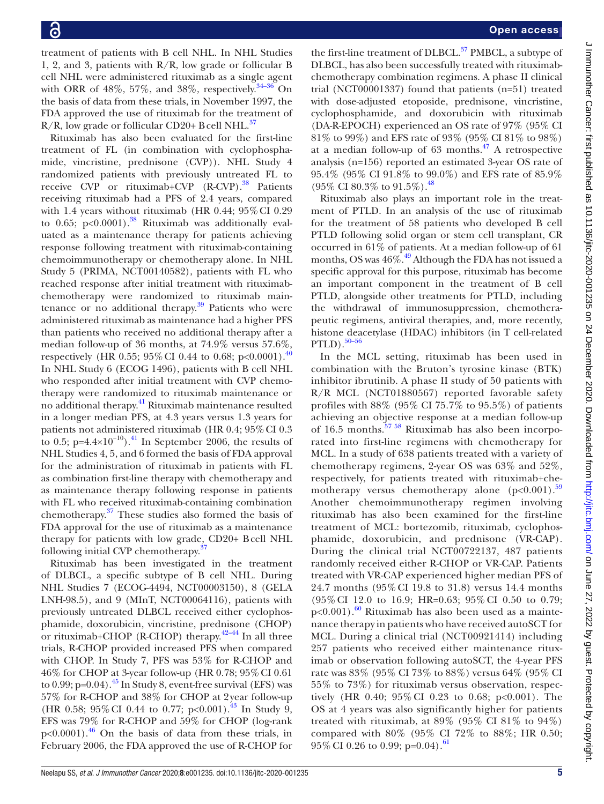treatment of patients with B cell NHL. In NHL Studies 1, 2, and 3, patients with R/R, low grade or follicular B cell NHL were administered rituximab as a single agent with ORR of  $48\%$ ,  $57\%$ , and  $38\%$ , respectively.  $34-36$  On the basis of data from these trials, in November 1997, the FDA approved the use of rituximab for the treatment of  $R/R$ , low grade or follicular CD20+ B cell NHL.<sup>[37](#page-18-27)</sup>

Rituximab has also been evaluated for the first-line treatment of FL (in combination with cyclophosphamide, vincristine, prednisone (CVP)). NHL Study 4 randomized patients with previously untreated FL to receive CVP or rituximab+CVP  $(R$ -CVP $)$ .<sup>38</sup> Patients receiving rituximab had a PFS of 2.4 years, compared with 1.4 years without rituximab (HR 0.44; 95% CI 0.29 to 0.65;  $p<0.0001$ ).<sup>38</sup> Rituximab was additionally evaluated as a maintenance therapy for patients achieving response following treatment with rituximab-containing chemoimmunotherapy or chemotherapy alone. In NHL Study 5 (PRIMA, NCT00140582), patients with FL who reached response after initial treatment with rituximabchemotherapy were randomized to rituximab maintenance or no additional therapy. $39$  Patients who were administered rituximab as maintenance had a higher PFS than patients who received no additional therapy after a median follow-up of 36 months, at 74.9% versus 57.6%, respectively (HR 0.55; 95% CI 0.44 to 0.68; p<0.0001).<sup>[40](#page-18-30)</sup> In NHL Study 6 (ECOG 1496), patients with B cell NHL who responded after initial treatment with CVP chemotherapy were randomized to rituximab maintenance or no additional therapy.<sup>41</sup> Rituximab maintenance resulted in a longer median PFS, at 4.3 years versus 1.3 years for patients not administered rituximab (HR 0.4; 95% CI 0.3) to 0.5; p=4.4×10<sup>-10</sup>).<sup>41</sup> In September 2006, the results of NHL Studies 4, 5, and 6 formed the basis of FDA approval for the administration of rituximab in patients with FL as combination first-line therapy with chemotherapy and as maintenance therapy following response in patients with FL who received rituximab-containing combination chemotherapy. [37](#page-18-27) These studies also formed the basis of FDA approval for the use of rituximab as a maintenance therapy for patients with low grade, CD20+ Bcell NHL following initial CVP chemotherapy.[37](#page-18-27)

Rituximab has been investigated in the treatment of DLBCL, a specific subtype of B cell NHL. During NHL Studies 7 (ECOG-4494, NCT00003150), 8 (GELA LNH-98.5), and 9 (MInT, NCT00064116), patients with previously untreated DLBCL received either cyclophosphamide, doxorubicin, vincristine, prednisone (CHOP) or rituximab+CHOP (R-CHOP) therapy.<sup>42-44</sup> In all three trials, R-CHOP provided increased PFS when compared with CHOP. In Study 7, PFS was 53% for R-CHOP and 46% for CHOP at 3-year follow-up (HR 0.78; 95%CI 0.61 to 0.99;  $p=0.04$ ).<sup>[45](#page-19-1)</sup> In Study 8, event-free survival (EFS) was 57% for R-CHOP and 38% for CHOP at 2year follow-up (HR 0.58; 95% CI 0.44 to 0.77; p<0.001).<sup>43</sup> In Study 9, EFS was 79% for R-CHOP and 59% for CHOP (log-rank  $p<0.0001$ ).<sup>46</sup> On the basis of data from these trials, in February 2006, the FDA approved the use of R-CHOP for

the first-line treatment of DLBCL.<sup>37</sup> PMBCL, a subtype of DLBCL, has also been successfully treated with rituximabchemotherapy combination regimens. A phase II clinical trial (NCT00001337) found that patients (n=51) treated with dose-adjusted etoposide, prednisone, vincristine, cyclophosphamide, and doxorubicin with rituximab (DA-R-EPOCH) experienced an OS rate of 97% (95% CI 81% to 99%) and EFS rate of 93% (95% CI 81% to 98%) at a median follow-up of  $63$  months.<sup>47</sup> A retrospective analysis (n=156) reported an estimated 3-year OS rate of 95.4% (95% CI 91.8% to 99.0%) and EFS rate of 85.9% (95% CI 80.3% to  $91.5\%$  ).  $^{48}$  $^{48}$  $^{48}$ 

Rituximab also plays an important role in the treatment of PTLD. In an analysis of the use of rituximab for the treatment of 58 patients who developed B cell PTLD following solid organ or stem cell transplant, CR occurred in 61% of patients. At a median follow-up of 61 months, OS was  $46\frac{\sqrt{6}}{49}$  Although the FDA has not issued a specific approval for this purpose, rituximab has become an important component in the treatment of B cell PTLD, alongside other treatments for PTLD, including the withdrawal of immunosuppression, chemotherapeutic regimens, antiviral therapies, and, more recently, histone deacetylase (HDAC) inhibitors (in T cell-related  $PTLD$ ).<sup>[50–56](#page-19-7)</sup>

In the MCL setting, rituximab has been used in combination with the Bruton's tyrosine kinase (BTK) inhibitor ibrutinib. A phase II study of 50 patients with R/R MCL (NCT01880567) reported favorable safety profiles with 88% (95% CI 75.7% to 95.5%) of patients achieving an objective response at a median follow-up of 16.5 months.[57 58](#page-19-8) Rituximab has also been incorporated into first-line regimens with chemotherapy for MCL. In a study of 638 patients treated with a variety of chemotherapy regimens, 2-year OS was 63% and 52%, respectively, for patients treated with rituximab+chemotherapy versus chemotherapy alone  $(p<0.001)$ .<sup>[59](#page-19-9)</sup> Another chemoimmunotherapy regimen involving rituximab has also been examined for the first-line treatment of MCL: bortezomib, rituximab, cyclophosphamide, doxorubicin, and prednisone (VR-CAP). During the clinical trial NCT00722137, 487 patients randomly received either R-CHOP or VR-CAP. Patients treated with VR-CAP experienced higher median PFS of 24.7 months (95% CI 19.8 to 31.8) versus 14.4 months (95% CI 12.0 to 16.9; HR=0.63; 95% CI 0.50 to 0.79;  $p<0.001$ ).<sup>60</sup> Rituximab has also been used as a maintenance therapy in patients who have received autoSCT for MCL. During a clinical trial (NCT00921414) including 257 patients who received either maintenance rituximab or observation following autoSCT, the 4-year PFS rate was 83% (95% CI 73% to 88%) versus 64% (95% CI 55% to 73%) for rituximab versus observation, respectively (HR 0.40; 95% CI 0.23 to 0.68; p<0.001). The OS at 4 years was also significantly higher for patients treated with rituximab, at  $89\%$  ( $95\%$  CI  $81\%$  to  $94\%)$ compared with 80% (95% CI 72% to 88%; HR 0.50;  $95\%$  CI 0.26 to 0.99; p=0.04).<sup>[61](#page-19-11)</sup>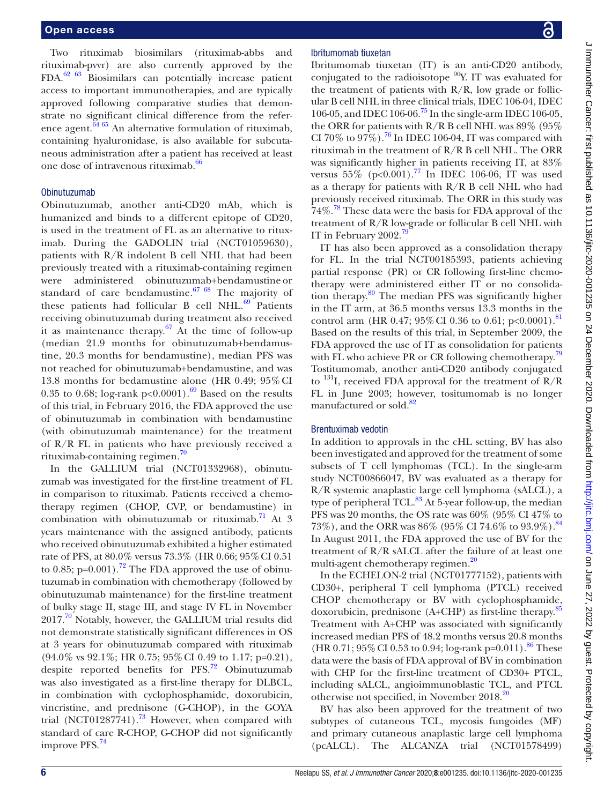Two rituximab biosimilars (rituximab-abbs and rituximab-pvvr) are also currently approved by the FDA[.62 63](#page-19-12) Biosimilars can potentially increase patient access to important immunotherapies, and are typically approved following comparative studies that demonstrate no significant clinical difference from the reference agent. $64\frac{64}{65}$  An alternative formulation of rituximab, containing hyaluronidase, is also available for subcutaneous administration after a patient has received at least one dose of intravenous rituximab.<sup>[66](#page-19-14)</sup>

# Obinutuzumab

Obinutuzumab, another anti-CD20 mAb, which is humanized and binds to a different epitope of CD20, is used in the treatment of FL as an alternative to rituximab. During the GADOLIN trial (NCT01059630), patients with R/R indolent B cell NHL that had been previously treated with a rituximab-containing regimen were administered obinutuzumab+bendamustine or standard of care bendamustine. $67/68$  The majority of these patients had follicular B cell NHL. $69$  Patients receiving obinutuzumab during treatment also received it as maintenance therapy. $67$  At the time of follow-up (median 21.9 months for obinutuzumab+bendamustine, 20.3 months for bendamustine), median PFS was not reached for obinutuzumab+bendamustine, and was 13.8 months for bedamustine alone (HR 0.49; 95%CI 0.35 to 0.68; log-rank  $p<0.0001$ .<sup>[69](#page-19-16)</sup> Based on the results of this trial, in February 2016, the FDA approved the use of obinutuzumab in combination with bendamustine (with obinutuzumab maintenance) for the treatment of R/R FL in patients who have previously received a rituximab-containing regimen.[70](#page-19-17)

In the GALLIUM trial (NCT01332968), obinutuzumab was investigated for the first-line treatment of FL in comparison to rituximab. Patients received a chemotherapy regimen (CHOP, CVP, or bendamustine) in combination with obinutuzumab or rituximab.<sup>[71](#page-19-18)</sup> At 3 years maintenance with the assigned antibody, patients who received obinutuzumab exhibited a higher estimated rate of PFS, at 80.0% versus 73.3% (HR 0.66; 95%CI 0.51 to 0.85; p=0.001).<sup>[72](#page-19-19)</sup> The FDA approved the use of obinutuzumab in combination with chemotherapy (followed by obinutuzumab maintenance) for the first-line treatment of bulky stage II, stage III, and stage IV FL in November 2017.<sup>70</sup> Notably, however, the GALLIUM trial results did not demonstrate statistically significant differences in OS at 3 years for obinutuzumab compared with rituximab (94.0% vs 92.1%; HR 0.75; 95%CI 0.49 to 1.17; p=0.21), despite reported benefits for PFS.<sup>72</sup> Obinutuzumab was also investigated as a first-line therapy for DLBCL, in combination with cyclophosphamide, doxorubicin, vincristine, and prednisone (G-CHOP), in the GOYA trial (NCT01287741).<sup>73</sup> However, when compared with standard of care R-CHOP, G-CHOP did not significantly improve PFS.<sup>[74](#page-19-21)</sup>

# Ibritumomab tiuxetan

Ibritumomab tiuxetan (IT) is an anti-CD20 antibody, conjugated to the radioisotope  $^{90}Y$ . IT was evaluated for the treatment of patients with  $R/R$ , low grade or follicular B cell NHL in three clinical trials, IDEC 106-04, IDEC 106-05, and IDEC 106-06.[75](#page-19-22) In the single-arm IDEC 106-05, the ORR for patients with R/R B cell NHL was 89% (95% CI 70% to 97%).<sup>76</sup> In IDEC 106-04, IT was compared with rituximab in the treatment of R/R B cell NHL. The ORR was significantly higher in patients receiving IT, at 83% versus  $55\%$  (p<0.001).<sup>77</sup> In IDEC 106-06, IT was used as a therapy for patients with R/R B cell NHL who had previously received rituximab. The ORR in this study was 74%.<sup>78</sup> These data were the basis for FDA approval of the treatment of R/R low-grade or follicular B cell NHL with IT in February 2002.<sup>79</sup>

IT has also been approved as a consolidation therapy for FL. In the trial NCT00185393, patients achieving partial response (PR) or CR following first-line chemotherapy were administered either IT or no consolidation therapy.<sup>80</sup> The median PFS was significantly higher in the IT arm, at 36.5 months versus 13.3 months in the control arm (HR 0.47;  $95\%$  CI 0.36 to 0.61; p<0.0001).<sup>[81](#page-19-28)</sup> Based on the results of this trial, in September 2009, the FDA approved the use of IT as consolidation for patients with FL who achieve PR or CR following chemotherapy.<sup>[79](#page-19-26)</sup> Tostitumomab, another anti-CD20 antibody conjugated to  $^{131}$ I, received FDA approval for the treatment of R/R FL in June 2003; however, tositumomab is no longer manufactured or sold.<sup>[82](#page-19-29)</sup>

# Brentuximab vedotin

In addition to approvals in the cHL setting, BV has also been investigated and approved for the treatment of some subsets of T cell lymphomas (TCL). In the single-arm study NCT00866047, BV was evaluated as a therapy for R/R systemic anaplastic large cell lymphoma (sALCL), a type of peripheral TCL. $^{83}$  At 5-year follow-up, the median PFS was 20 months, the OS rate was 60% (95% CI 47% to 73%), and the ORR was 86% (95% CI 74.6% to 93.9%).<sup>[84](#page-20-0)</sup> In August 2011, the FDA approved the use of BV for the treatment of R/R sALCL after the failure of at least one multi-agent chemotherapy regimen.<sup>[20](#page-18-13)</sup>

In the ECHELON-2 trial (NCT01777152), patients with CD30+, peripheral T cell lymphoma (PTCL) received CHOP chemotherapy or BV with cyclophosphamide, doxorubicin, prednisone (A+CHP) as first-line therapy.<sup>[85](#page-20-1)</sup> Treatment with A+CHP was associated with significantly increased median PFS of 48.2 months versus 20.8 months (HR 0.71; 95% CI 0.53 to 0.94; log-rank p=0.011).<sup>86</sup> These data were the basis of FDA approval of BV in combination with CHP for the first-line treatment of CD30+ PTCL, including sALCL, angioimmunoblastic TCL, and PTCL otherwise not specified, in November [20](#page-18-13)18.<sup>20</sup>

BV has also been approved for the treatment of two subtypes of cutaneous TCL, mycosis fungoides (MF) and primary cutaneous anaplastic large cell lymphoma (pcALCL). The ALCANZA trial (NCT01578499)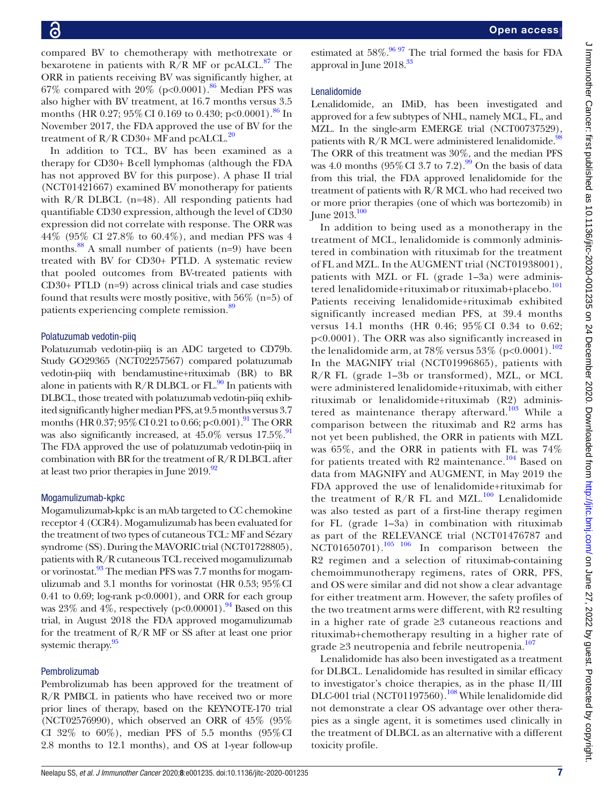compared BV to chemotherapy with methotrexate or bexarotene in patients with  $R/R$  MF or pcALCL.<sup>87</sup> The ORR in patients receiving BV was significantly higher, at 67% compared with  $20\%$  (p<0.0001).<sup>86</sup> Median PFS was also higher with BV treatment, at 16.7 months versus 3.5 months (HR 0.27;  $95\%$  CI 0.169 to 0.430; p<0.0001).<sup>86</sup> In November 2017, the FDA approved the use of BV for the treatment of  $R/R$  CD30+ MF and pcALCL.<sup>[20](#page-18-13)</sup>

In addition to TCL, BV has been examined as a therapy for CD30+ Bcell lymphomas (although the FDA has not approved BV for this purpose). A phase II trial (NCT01421667) examined BV monotherapy for patients with  $R/R$  DLBCL (n=48). All responding patients had quantifiable CD30 expression, although the level of CD30 expression did not correlate with response. The ORR was 44% (95% CI 27.8% to 60.4%), and median PFS was 4 months.<sup>88</sup> A small number of patients (n=9) have been treated with BV for CD30+ PTLD. A systematic review that pooled outcomes from BV-treated patients with CD30+ PTLD (n=9) across clinical trials and case studies found that results were mostly positive, with 56% (n=5) of patients experiencing complete remission.<sup>89</sup>

# Polatuzumab vedotin-piiq

Polatuzumab vedotin-piiq is an ADC targeted to CD79b. Study GO29365 (NCT02257567) compared polatuzumab vedotin-piiq with bendamustine+rituximab (BR) to BR alone in patients with  $R/R$  DLBCL or  $FL<sup>90</sup>$  In patients with DLBCL, those treated with polatuzumab vedotin-piiq exhibited significantly higher median PFS, at 9.5 months versus 3.7 months (HR  $0.37$ ;  $95\%$  CI  $0.21$  to  $0.66$ ; p<0.001).<sup>[91](#page-20-7)</sup> The ORR was also significantly increased, at  $45.0\%$  versus  $17.5\%$ . The FDA approved the use of polatuzumab vedotin-piiq in combination with BR for the treatment of R/R DLBCL after at least two prior therapies in June  $2019.^{92}$ 

# Mogamulizumab-kpkc

Mogamulizumab-kpkc is an mAb targeted to CC chemokine receptor 4 (CCR4). Mogamulizumab has been evaluated for the treatment of two types of cutaneous TCL: MF and Sézary syndrome (SS). During the MAVORIC trial (NCT01728805), patients with R/R cutaneous TCL received mogamulizumab or vorinostat.<sup>93</sup> The median PFS was 7.7 months for mogamulizumab and 3.1 months for vorinostat (HR 0.53; 95%CI 0.41 to 0.69; log-rank p<0.0001), and ORR for each group was 23% and 4%, respectively ( $p<0.00001$ ).<sup>94</sup> Based on this trial, in August 2018 the FDA approved mogamulizumab for the treatment of R/R MF or SS after at least one prior systemic therapy.<sup>95</sup>

# Pembrolizumab

Pembrolizumab has been approved for the treatment of R/R PMBCL in patients who have received two or more prior lines of therapy, based on the KEYNOTE-170 trial (NCT02576990), which observed an ORR of 45% (95% CI 32\% to 60\%), median PFS of 5.5 months  $(95\%$ CI 2.8 months to 12.1 months), and OS at 1-year follow-up

estimated at  $58\%$ .<sup>[96 97](#page-20-12)</sup> The trial formed the basis for FDA approval in June  $2018^{33}$  $2018^{33}$  $2018^{33}$ 

# Lenalidomide

Lenalidomide, an IMiD, has been investigated and approved for a few subtypes of NHL, namely MCL, FL, and MZL. In the single-arm EMERGE trial (NCT00737529), patients with R/R MCL were administered lenalidomide.<sup>98</sup> The ORR of this treatment was 30%, and the median PFS was 4.0 months  $(95\%$  CI 3.7 to 7.2).<sup>99</sup> On the basis of data from this trial, the FDA approved lenalidomide for the treatment of patients with R/R MCL who had received two or more prior therapies (one of which was bortezomib) in June 2013.<sup>[100](#page-20-15)</sup>

In addition to being used as a monotherapy in the treatment of MCL, lenalidomide is commonly administered in combination with rituximab for the treatment of FL and MZL. In the AUGMENT trial (NCT01938001), patients with MZL or FL (grade 1–3a) were adminis-tered lenalidomide+rituximab or rituximab+placebo.<sup>[101](#page-20-16)</sup> Patients receiving lenalidomide+rituximab exhibited significantly increased median PFS, at 39.4 months versus 14.1 months (HR 0.46; 95% CI 0.34 to 0.62; p<0.0001). The ORR was also significantly increased in the lenalidomide arm, at 78% versus 53% (p<0.0001).<sup>[102](#page-20-17)</sup> In the MAGNIFY trial (NCT01996865), patients with R/R FL (grade 1–3b or transformed), MZL, or MCL were administered lenalidomide+rituximab, with either rituximab or lenalidomide+rituximab (R2) administered as maintenance therapy afterward. $103$  While a comparison between the rituximab and R2 arms has not yet been published, the ORR in patients with MZL was 65%, and the ORR in patients with FL was 74% for patients treated with  $R2$  maintenance.<sup>[104](#page-20-19)</sup> Based on data from MAGNIFY and AUGMENT, in May 2019 the FDA approved the use of lenalidomide+rituximab for the treatment of  $R/R$  FL and MZL.<sup>[100](#page-20-15)</sup> Lenalidomide was also tested as part of a first-line therapy regimen for FL (grade 1–3a) in combination with rituximab as part of the RELEVANCE trial (NCT01476787 and NCT01650701).<sup>105</sup> <sup>106</sup> In comparison between the R2 regimen and a selection of rituximab-containing chemoimmunotherapy regimens, rates of ORR, PFS, and OS were similar and did not show a clear advantage for either treatment arm. However, the safety profiles of the two treatment arms were different, with R2 resulting in a higher rate of grade ≥3 cutaneous reactions and rituximab+chemotherapy resulting in a higher rate of grade  $\geq$ 3 neutropenia and febrile neutropenia.<sup>[107](#page-20-21)</sup>

Lenalidomide has also been investigated as a treatment for DLBCL. Lenalidomide has resulted in similar efficacy to investigator's choice therapies, as in the phase II/III DLC-001 trial (NCT01197560).<sup>[108](#page-20-22)</sup> While lenalidomide did not demonstrate a clear OS advantage over other therapies as a single agent, it is sometimes used clinically in the treatment of DLBCL as an alternative with a different toxicity profile.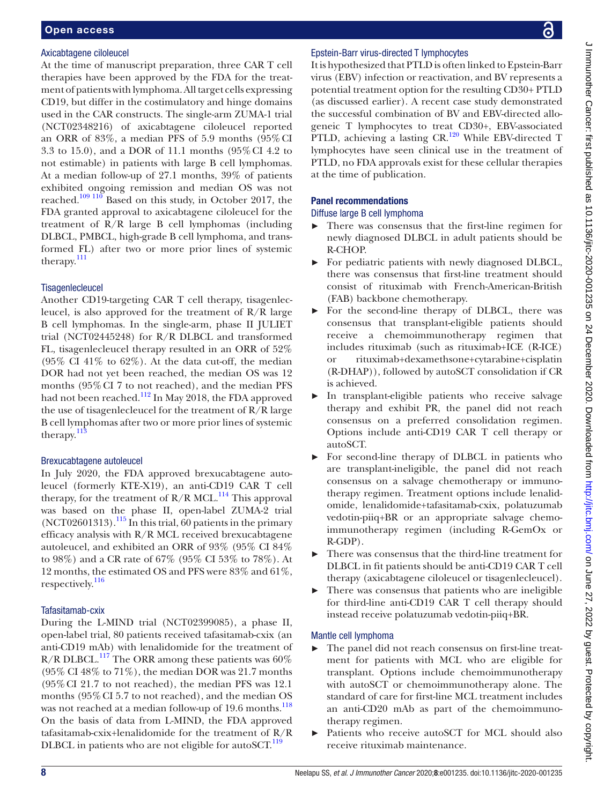# Axicabtagene ciloleucel

At the time of manuscript preparation, three CAR T cell therapies have been approved by the FDA for the treatment of patients with lymphoma. All target cells expressing CD19, but differ in the costimulatory and hinge domains used in the CAR constructs. The single-arm ZUMA-1 trial (NCT02348216) of axicabtagene ciloleucel reported an ORR of 83%, a median PFS of 5.9 months (95%CI 3.3 to 15.0), and a DOR of 11.1 months (95%CI 4.2 to not estimable) in patients with large B cell lymphomas. At a median follow-up of 27.1 months, 39% of patients exhibited ongoing remission and median OS was not reached.<sup>109 110</sup> Based on this study, in October 2017, the FDA granted approval to axicabtagene ciloleucel for the treatment of R/R large B cell lymphomas (including DLBCL, PMBCL, high-grade B cell lymphoma, and transformed FL) after two or more prior lines of systemic therapy. $^{111}$  $^{111}$  $^{111}$ 

# **Tisagenlecleucel**

Another CD19-targeting CAR T cell therapy, tisagenlecleucel, is also approved for the treatment of R/R large B cell lymphomas. In the single-arm, phase II JULIET trial (NCT02445248) for R/R DLBCL and transformed FL, tisagenlecleucel therapy resulted in an ORR of 52%  $(95\% \text{ CI } 41\% \text{ to } 62\%)$ . At the data cut-off, the median DOR had not yet been reached, the median OS was 12 months (95%CI 7 to not reached), and the median PFS had not been reached.<sup>112</sup> In May 2018, the FDA approved the use of tisagenlecleucel for the treatment of R/R large B cell lymphomas after two or more prior lines of systemic therapy. $\frac{113}{2}$  $\frac{113}{2}$  $\frac{113}{2}$ 

# Brexucabtagene autoleucel

In July 2020, the FDA approved brexucabtagene autoleucel (formerly KTE-X19), an anti-CD19 CAR T cell therapy, for the treatment of  $R/R$  MCL.<sup>114</sup> This approval was based on the phase II, open-label ZUMA-2 trial (NCT02601313).[115](#page-20-28) In this trial, 60 patients in the primary efficacy analysis with R/R MCL received brexucabtagene autoleucel, and exhibited an ORR of 93% (95% CI 84% to 98%) and a CR rate of 67% (95% CI 53% to 78%). At 12 months, the estimated OS and PFS were 83% and 61%, respectively.<sup>[116](#page-20-29)</sup>

# Tafasitamab-cxix

During the L-MIND trial (NCT02399085), a phase II, open-label trial, 80 patients received tafasitamab-cxix (an anti-CD19 mAb) with lenalidomide for the treatment of R/R DLBCL.<sup>[117](#page-20-30)</sup> The ORR among these patients was  $60\%$ (95% CI 48% to 71%), the median DOR was 21.7 months (95%CI 21.7 to not reached), the median PFS was 12.1 months (95%CI 5.7 to not reached), and the median OS was not reached at a median follow-up of 19.6 months.<sup>[118](#page-20-31)</sup> On the basis of data from L-MIND, the FDA approved tafasitamab-cxix+lenalidomide for the treatment of R/R DLBCL in patients who are not eligible for autoSCT.<sup>[119](#page-20-32)</sup>

# Epstein-Barr virus-directed T lymphocytes

It is hypothesized that PTLD is often linked to Epstein-Barr virus (EBV) infection or reactivation, and BV represents a potential treatment option for the resulting CD30+ PTLD (as discussed earlier). A recent case study demonstrated the successful combination of BV and EBV-directed allogeneic T lymphocytes to treat CD30+, EBV-associated PTLD, achieving a lasting CR.<sup>[120](#page-20-33)</sup> While EBV-directed T lymphocytes have seen clinical use in the treatment of PTLD, no FDA approvals exist for these cellular therapies at the time of publication.

# Panel recommendations

# Diffuse large B cell lymphoma

- ► There was consensus that the first-line regimen for newly diagnosed DLBCL in adult patients should be R-CHOP.
- ► For pediatric patients with newly diagnosed DLBCL, there was consensus that first-line treatment should consist of rituximab with French-American-British (FAB) backbone chemotherapy.
- ► For the second-line therapy of DLBCL, there was consensus that transplant-eligible patients should receive a chemoimmunotherapy regimen that includes rituximab (such as rituximab+ICE (R-ICE) or rituximab+dexamethsone+cytarabine+cisplatin (R-DHAP)), followed by autoSCT consolidation if CR is achieved.
- In transplant-eligible patients who receive salvage therapy and exhibit PR, the panel did not reach consensus on a preferred consolidation regimen. Options include anti-CD19 CAR T cell therapy or autoSCT.
- ► For second-line therapy of DLBCL in patients who are transplant-ineligible, the panel did not reach consensus on a salvage chemotherapy or immunotherapy regimen. Treatment options include lenalidomide, lenalidomide+tafasitamab-cxix, polatuzumab vedotin-piiq+BR or an appropriate salvage chemoimmunotherapy regimen (including R-GemOx or R-GDP).
- There was consensus that the third-line treatment for DLBCL in fit patients should be anti-CD19 CAR T cell therapy (axicabtagene ciloleucel or tisagenlecleucel).
- There was consensus that patients who are ineligible for third-line anti-CD19 CAR T cell therapy should instead receive polatuzumab vedotin-piiq+BR.

# Mantle cell lymphoma

- ► The panel did not reach consensus on first-line treatment for patients with MCL who are eligible for transplant. Options include chemoimmunotherapy with autoSCT or chemoimmunotherapy alone. The standard of care for first-line MCL treatment includes an anti-CD20 mAb as part of the chemoimmunotherapy regimen.
- ► Patients who receive autoSCT for MCL should also receive rituximab maintenance.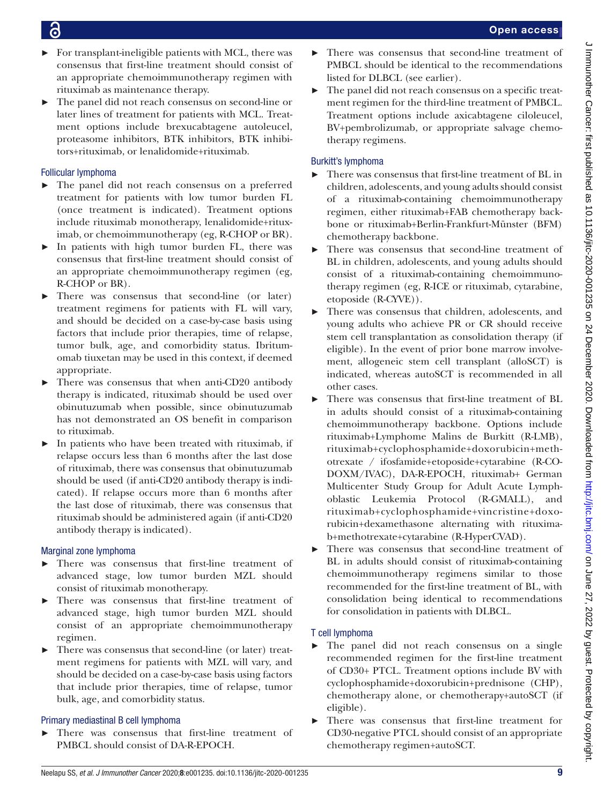- $\triangleright$  For transplant-ineligible patients with MCL, there was consensus that first-line treatment should consist of an appropriate chemoimmunotherapy regimen with rituximab as maintenance therapy.
- ► The panel did not reach consensus on second-line or later lines of treatment for patients with MCL. Treatment options include brexucabtagene autoleucel, proteasome inhibitors, BTK inhibitors, BTK inhibitors+rituximab, or lenalidomide+rituximab.

# Follicular lymphoma

- ► The panel did not reach consensus on a preferred treatment for patients with low tumor burden FL (once treatment is indicated). Treatment options include rituximab monotherapy, lenalidomide+rituximab, or chemoimmunotherapy (eg, R-CHOP or BR).
- ► In patients with high tumor burden FL, there was consensus that first-line treatment should consist of an appropriate chemoimmunotherapy regimen (eg, R-CHOP or BR).
- There was consensus that second-line (or later) treatment regimens for patients with FL will vary, and should be decided on a case-by-case basis using factors that include prior therapies, time of relapse, tumor bulk, age, and comorbidity status. Ibritumomab tiuxetan may be used in this context, if deemed appropriate.
- There was consensus that when anti-CD20 antibody therapy is indicated, rituximab should be used over obinutuzumab when possible, since obinutuzumab has not demonstrated an OS benefit in comparison to rituximab.
- ► In patients who have been treated with rituximab, if relapse occurs less than 6 months after the last dose of rituximab, there was consensus that obinutuzumab should be used (if anti-CD20 antibody therapy is indicated). If relapse occurs more than 6 months after the last dose of rituximab, there was consensus that rituximab should be administered again (if anti-CD20 antibody therapy is indicated).

# Marginal zone lymphoma

- ► There was consensus that first-line treatment of advanced stage, low tumor burden MZL should consist of rituximab monotherapy.
- ► There was consensus that first-line treatment of advanced stage, high tumor burden MZL should consist of an appropriate chemoimmunotherapy regimen.
- ► There was consensus that second-line (or later) treatment regimens for patients with MZL will vary, and should be decided on a case-by-case basis using factors that include prior therapies, time of relapse, tumor bulk, age, and comorbidity status.

# Primary mediastinal B cell lymphoma

There was consensus that first-line treatment of PMBCL should consist of DA-R-EPOCH.

- There was consensus that second-line treatment of PMBCL should be identical to the recommendations listed for DLBCL (see earlier).
- ► The panel did not reach consensus on a specific treatment regimen for the third-line treatment of PMBCL. Treatment options include axicabtagene ciloleucel, BV+pembrolizumab, or appropriate salvage chemotherapy regimens.

# Burkitt's lymphoma

- There was consensus that first-line treatment of BL in children, adolescents, and young adults should consist of a rituximab-containing chemoimmunotherapy regimen, either rituximab+FAB chemotherapy backbone or rituximab+Berlin-Frankfurt-Münster (BFM) chemotherapy backbone.
- There was consensus that second-line treatment of BL in children, adolescents, and young adults should consist of a rituximab-containing chemoimmunotherapy regimen (eg, R-ICE or rituximab, cytarabine, etoposide (R-CYVE)).
- There was consensus that children, adolescents, and young adults who achieve PR or CR should receive stem cell transplantation as consolidation therapy (if eligible). In the event of prior bone marrow involvement, allogeneic stem cell transplant (alloSCT) is indicated, whereas autoSCT is recommended in all other cases.
- There was consensus that first-line treatment of BL in adults should consist of a rituximab-containing chemoimmunotherapy backbone. Options include rituximab+Lymphome Malins de Burkitt (R-LMB), rituximab+cyclophosphamide+doxorubicin+methotrexate / ifosfamide+etoposide+cytarabine (R-CO-DOXM/IVAC), DA-R-EPOCH, rituximab+ German Multicenter Study Group for Adult Acute Lymphoblastic Leukemia Protocol (R-GMALL), and rituximab+cyclophosphamide+vincristine+doxorubicin+dexamethasone alternating with rituximab+methotrexate+cytarabine (R-HyperCVAD).
- There was consensus that second-line treatment of BL in adults should consist of rituximab-containing chemoimmunotherapy regimens similar to those recommended for the first-line treatment of BL, with consolidation being identical to recommendations for consolidation in patients with DLBCL.

# T cell lymphoma

- ► The panel did not reach consensus on a single recommended regimen for the first-line treatment of CD30+ PTCL. Treatment options include BV with cyclophosphamide+doxorubicin+prednisone (CHP), chemotherapy alone, or chemotherapy+autoSCT (if eligible).
- There was consensus that first-line treatment for CD30-negative PTCL should consist of an appropriate chemotherapy regimen+autoSCT.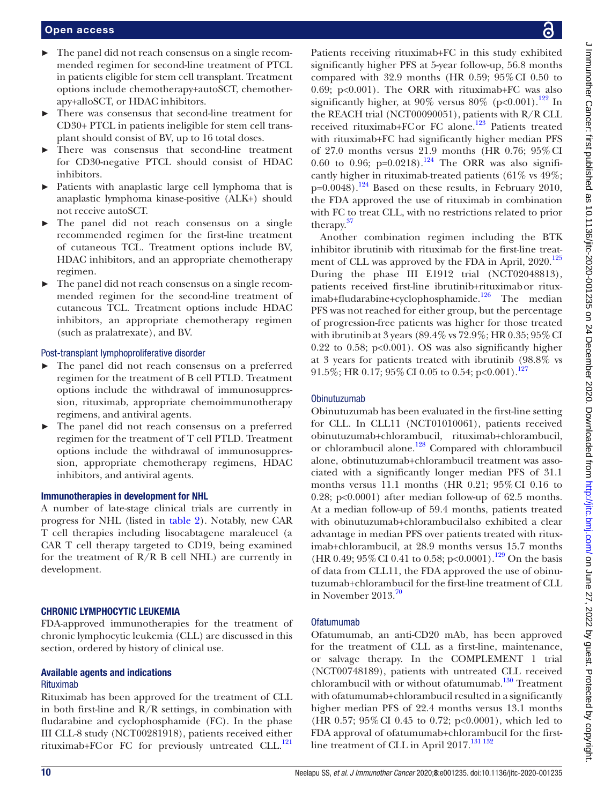- ► The panel did not reach consensus on a single recommended regimen for second-line treatment of PTCL in patients eligible for stem cell transplant. Treatment options include chemotherapy+autoSCT, chemotherapy+alloSCT, or HDAC inhibitors.
- There was consensus that second-line treatment for CD30+ PTCL in patients ineligible for stem cell transplant should consist of BV, up to 16 total doses.
- There was consensus that second-line treatment for CD30-negative PTCL should consist of HDAC inhibitors.
- ► Patients with anaplastic large cell lymphoma that is anaplastic lymphoma kinase-positive (ALK+) should not receive autoSCT.
- ► The panel did not reach consensus on a single recommended regimen for the first-line treatment of cutaneous TCL. Treatment options include BV, HDAC inhibitors, and an appropriate chemotherapy regimen.
- ► The panel did not reach consensus on a single recommended regimen for the second-line treatment of cutaneous TCL. Treatment options include HDAC inhibitors, an appropriate chemotherapy regimen (such as pralatrexate), and BV.

# Post-transplant lymphoproliferative disorder

- The panel did not reach consensus on a preferred regimen for the treatment of B cell PTLD. Treatment options include the withdrawal of immunosuppression, rituximab, appropriate chemoimmunotherapy regimens, and antiviral agents.
- The panel did not reach consensus on a preferred regimen for the treatment of T cell PTLD. Treatment options include the withdrawal of immunosuppression, appropriate chemotherapy regimens, HDAC inhibitors, and antiviral agents.

# Immunotherapies in development for NHL

A number of late-stage clinical trials are currently in progress for NHL (listed in [table](#page-10-0) 2). Notably, new CAR T cell therapies including lisocabtagene maraleucel (a CAR T cell therapy targeted to CD19, being examined for the treatment of  $R/R$  B cell NHL) are currently in development.

# CHRONIC LYMPHOCYTIC LEUKEMIA

FDA-approved immunotherapies for the treatment of chronic lymphocytic leukemia (CLL) are discussed in this section, ordered by history of clinical use.

# Available agents and indications Rituximab

Rituximab has been approved for the treatment of CLL in both first-line and  $R/R$  settings, in combination with fludarabine and cyclophosphamide (FC). In the phase III CLL-8 study (NCT00281918), patients received either rituximab+FCor FC for previously untreated CLL.<sup>121</sup>

Patients receiving rituximab+FC in this study exhibited significantly higher PFS at 5-year follow-up, 56.8 months compared with  $32.9$  months (HR 0.59;  $95\%$  CI 0.50 to 0.69; p<0.001). The ORR with rituximab+FC was also significantly higher, at 90% versus 80% (p<0.001).<sup>[122](#page-20-35)</sup> In the REACH trial (NCT00090051), patients with R/R CLL received rituximab+FCor FC alone.<sup>[123](#page-20-36)</sup> Patients treated with rituximab+FC had significantly higher median PFS of 27.0 months versus 21.9 months (HR 0.76; 95%CI 0.60 to 0.96;  $p=0.0218$ .<sup>[124](#page-20-37)</sup> The ORR was also significantly higher in rituximab-treated patients (61% vs 49%;  $p=0.0048$ .<sup>124</sup> Based on these results, in February 2010, the FDA approved the use of rituximab in combination with FC to treat CLL, with no restrictions related to prior therapy.[37](#page-18-27)

Another combination regimen including the BTK inhibitor ibrutinib with rituximab for the first-line treat-ment of CLL was approved by the FDA in April, 2020.<sup>[125](#page-21-0)</sup> During the phase III E1912 trial (NCT02048813), patients received first-line ibrutinib+rituximabor ritux-imab+fludarabine+cyclophosphamide.<sup>[126](#page-21-1)</sup> The median PFS was not reached for either group, but the percentage of progression-free patients was higher for those treated with ibrutinib at 3 years (89.4% vs 72.9%; HR 0.35; 95%CI 0.22 to 0.58;  $p<0.001$ ). OS was also significantly higher at 3 years for patients treated with ibrutinib (98.8% vs 91.5%; HR 0.17; 95% CI 0.05 to 0.54; p<0.001).<sup>[127](#page-21-2)</sup>

# Obinutuzumab

Obinutuzumab has been evaluated in the first-line setting for CLL. In CLL11 (NCT01010061), patients received obinutuzumab+chlorambucil, rituximab+chlorambucil, or chlorambucil alone.<sup>128</sup> Compared with chlorambucil alone, obtinutuzumab+chlorambucil treatment was associated with a significantly longer median PFS of 31.1 months versus 11.1 months (HR  $0.21$ ;  $95\%$  CI 0.16 to 0.28; p<0.0001) after median follow-up of 62.5 months. At a median follow-up of 59.4 months, patients treated with obinutuzumab+chlorambucil also exhibited a clear advantage in median PFS over patients treated with rituximab+chlorambucil, at 28.9 months versus 15.7 months (HR 0.49; 95% CI 0.41 to 0.58; p<0.0001).<sup>[129](#page-21-4)</sup> On the basis of data from CLL11, the FDA approved the use of obinutuzumab+chlorambucil for the first-line treatment of CLL in November  $2013.^{70}$  $2013.^{70}$  $2013.^{70}$ 

# Ofatumumab

Ofatumumab, an anti-CD20 mAb, has been approved for the treatment of CLL as a first-line, maintenance, or salvage therapy. In the COMPLEMENT 1 trial (NCT00748189), patients with untreated CLL received chlorambucil with or without ofatumumab.<sup>130</sup> Treatment with ofatumumab+chlorambucil resulted in a significantly higher median PFS of 22.4 months versus 13.1 months (HR 0.57; 95%CI 0.45 to 0.72; p<0.0001), which led to FDA approval of ofatumumab+chlorambucil for the firstline treatment of CLL in April 2017.<sup>131 132</sup>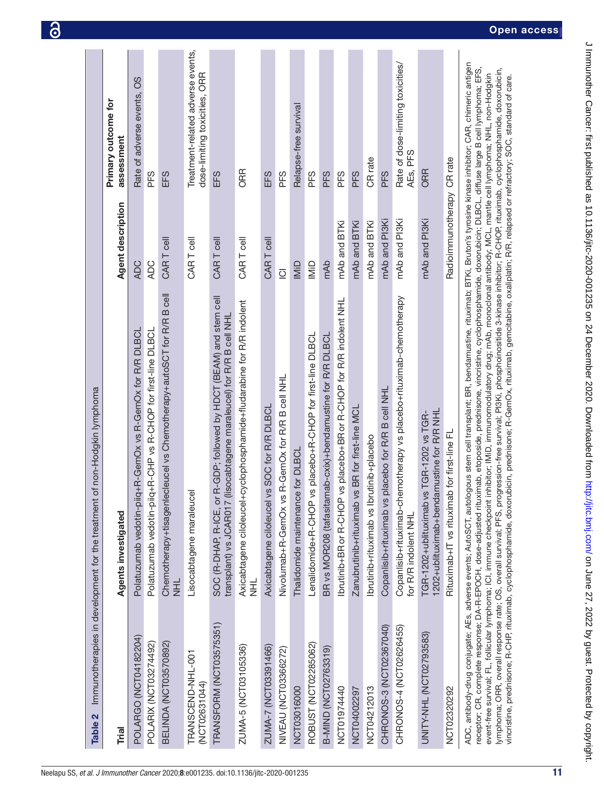<span id="page-10-0"></span>

| Table 2 Immunotherapies in development for the treatment | of non-Hodgkin lymphoma                                                                                                                                                            |                            |                                                                    |
|----------------------------------------------------------|------------------------------------------------------------------------------------------------------------------------------------------------------------------------------------|----------------------------|--------------------------------------------------------------------|
|                                                          |                                                                                                                                                                                    |                            |                                                                    |
| Trial                                                    | Agents investigated                                                                                                                                                                | Agent description          | Primary outcome for<br>assessment                                  |
| POLARGO (NCT04182204)                                    | Polatuzumab vedotin-piiq+R-GemOx vs R-GemOx for R/R DLBCL                                                                                                                          | <b>ADC</b>                 | Rate of adverse events, OS                                         |
| POLARIX (NCT03274492)                                    | Polatuzumab vedotin-piiq+R-CHP vs R-CHOP for first-line DLBCL                                                                                                                      | ADC                        | PFS                                                                |
| BELINDA (NCT03570892)                                    | Chemotherapy+tisagenlecleucel vs Chemotherapy+autoSCT for R/R B cell<br>玉                                                                                                          | CAR T cell                 | EFS                                                                |
| TRANSCEND-NHL-001<br>(NCT02631044)                       | Lisocabtagene maraleucel                                                                                                                                                           | CAR T cell                 | Treatment-related adverse events,<br>dose-limiting toxicities, ORR |
| TRANSFORM (NCT03575351)                                  | R-GDP; followed by HDCT (BEAM) and stem cell<br>transplant) vs JCAR017 (lisocabtagene maraleucel) for R/R B cell NHL<br>SOC (R-DHAP, R-ICE, or                                     | CAR T cell                 | EFS                                                                |
| ZUMA-5 (NCT03105336)                                     | Axicabtagene ciloleucel+cyclophosphamide+fludarabine for R/R indolent<br>로<br>기                                                                                                    | CAR T cell                 | <b>ORR</b>                                                         |
| ZUMA-7 (NCT03391466)                                     | vs SOC for R/R DLBCL<br>Axicabtagene ciloleucel                                                                                                                                    | CAR T cell                 | EFS                                                                |
| <b>NIVEAU (NCT03366272)</b>                              | Nivolumab+R-GemOx vs R-GemOx for R/R B cell NHL                                                                                                                                    | $\overline{Q}$             | PFS                                                                |
| NCT03016000                                              | Thalidomide maintenance for DLBCI                                                                                                                                                  | IMiD                       | Relapse-free survival                                              |
| ROBUST (NCT02285062)                                     | vs placebo+R-CHOP for first-line DLBCL<br>Lenalidomide+R-CHOP                                                                                                                      | IMiD                       | PFS                                                                |
| B-MIND (NCT02763319)                                     | BR vs MOR208 (tafasitamab-cxix)+bendamustine for R/R DLBCL                                                                                                                         | mAb                        | <b>PFS</b>                                                         |
| NCT01974440                                              | vs placebo+BRor R-CHOP for R/R indolent NHL<br>Ibrutinib+BR or R-CHOP                                                                                                              | mAb and BTKi               | <b>PFS</b>                                                         |
| NCT04002297                                              | vs BR for first-line MCL<br>Zanubrutinib+rituximab                                                                                                                                 | mAb and BTKi               | PFS                                                                |
| NCT04212013                                              | lbrutinib+rituximab vs lbrutinib+placebo                                                                                                                                           | mAb and BTKi               | CR rate                                                            |
| CHRONOS-3 (NCT02367040)                                  | placebo for R/R B cell NHL<br>Copanlisib+rituximab vs                                                                                                                              | mAb and PI3Ki              | PFS                                                                |
| CHRONOS-4 (NCT02626455)                                  | Copanlisib+rituximab-chemotherapy vs placebo+rituximab-chemotherapy<br>for R/R indolent NHL                                                                                        | mAb and PI3Ki              | Rate of dose-limiting toxicities/<br>AEs, PFS                      |
| UNITY-NHL (NCT02793583)                                  | 1202+ublituximab+bendamustine for R/R NHL<br>TGR-1202+ublituximab vs TGR-1202 vs TGR-                                                                                              | mAb and PI3Ki              | ORR                                                                |
| NCT02320292                                              | Rituximab+IT vs rituximab for first-line FL                                                                                                                                        | Radioimmunotherapy CR rate |                                                                    |
|                                                          | ADC, antibody-drugate; AEs, adverse events; AutoSCT, autologous stem cell transplant; BR, bendamustine, rituximab; BTKi, Bruton's tyrosine kinase inhibitor; CAR, chimeric antigen |                            |                                                                    |

receptor; CR, complete response; DA-R-EPOCH, dose-adjusted rituximab, etoposide, prednisone, vincristine, cyclophosphamide, doxorubicin; DLBCL, diffuse large B cell lymphoma; EFS, receptor; CR, complete response; DA-R-EPOCH, dose-adjusted rituximab, etoposide, prednisone, vincristine, cyclophosphamide, doxorubicin; DLBCL, diffuse large B cell lymphoma; EFS, lymphoma; ORR, overall response rate; OS, overall survival; PFS, progression-free survival; PI3Ki, phosphoinositide 3-kinase inhibitor; R-CHOP, rituximab, cyclophosphamide, doxorubicin, lymphoma; ORR, overall response rate; OS, overall survival; PFS, progression-free survival; Pl3Ki, phosphoinositide 3-kinase inhibitor; R-CHOP, rituximab, cyclophosphamide, doxorubicin, event-free survival; FL, follicular lymphoma; ICI, immune checkpoint inhibitor; IMiD, immunomodulatory drug; mAb, monoclonal antibody; MCL, mantle cell lymphoma; NHL, non-Hodgkin event-free survival; FL, follicular lymphoma; ICI, immune checkpoint inhibitor; IMiD, immunomodulatory drug; mAb, monoclonal antibody; MCL, mantle cell lymphoma; NHL, non-Hodgkin vincristine, prednisone; R-CHP, rituximab, cyclophosphamide, doxorubicin, prednisone; R-GemOx, rituximab, gemcitabine, oxaliplatin; R/R, relapsed or refractory; SOC, standard of care. vincristine, prednisone; R-CHP, rituximab, cyclophosphamide, doxorubicin, prednisone; R-GemOx, rituximab, gemcitabine, oxaliplatin; R/R, relapsed or refractory; SOC, standard of care.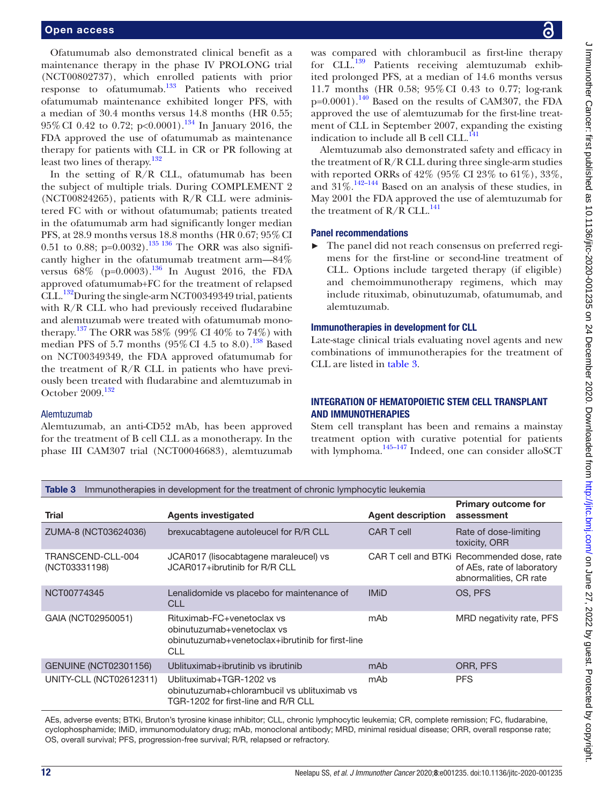Ofatumumab also demonstrated clinical benefit as a maintenance therapy in the phase IV PROLONG trial (NCT00802737), which enrolled patients with prior response to ofatumumab.[133](#page-21-7) Patients who received ofatumumab maintenance exhibited longer PFS, with a median of 30.4 months versus 14.8 months (HR 0.55;  $95\%$  CI 0.42 to 0.72; p<0.0001).<sup>[134](#page-21-8)</sup> In January 2016, the FDA approved the use of ofatumumab as maintenance therapy for patients with CLL in CR or PR following at least two lines of therapy.<sup>132</sup>

In the setting of R/R CLL, ofatumumab has been the subject of multiple trials. During COMPLEMENT 2 (NCT00824265), patients with R/R CLL were administered FC with or without ofatumumab; patients treated in the ofatumumab arm had significantly longer median PFS, at 28.9 months versus 18.8 months (HR 0.67; 95%CI 0.51 to 0.88;  $p=0.0032$ ).<sup>135</sup> <sup>136</sup> The ORR was also significantly higher in the ofatumumab treatment arm—84% versus  $68\%$  (p=0.0003).<sup>[136](#page-21-11)</sup> In August 2016, the FDA approved ofatumumab+FC for the treatment of relapsed CLL.<sup>132</sup>During the single-arm NCT00349349 trial, patients with R/R CLL who had previously received fludarabine and alemtuzumab were treated with ofatumumab monotherapy.<sup>137</sup> The ORR was 58% (99% CI 40% to 74%) with median PFS of 5.7 months  $(95\%$  CI 4.5 to 8.0).<sup>138</sup> Based on NCT00349349, the FDA approved ofatumumab for the treatment of  $R/R$  CLL in patients who have previously been treated with fludarabine and alemtuzumab in October 2009.[132](#page-21-9)

# Alemtuzumab

Alemtuzumab, an anti-CD52 mAb, has been approved for the treatment of B cell CLL as a monotherapy. In the phase III CAM307 trial (NCT00046683), alemtuzumab

was compared with chlorambucil as first-line therapy for CLL. $^{139}$  Patients receiving alemtuzumab exhibited prolonged PFS, at a median of 14.6 months versus 11.7 months (HR 0.58; 95%CI 0.43 to 0.77; log-rank  $p=0.0001$ .<sup>140</sup> Based on the results of CAM307, the FDA approved the use of alemtuzumab for the first-line treatment of CLL in September 2007, expanding the existing indication to include all B cell CLL.<sup>141</sup>

Alemtuzumab also demonstrated safety and efficacy in the treatment of  $R/R$  CLL during three single-arm studies with reported ORRs of 42% (95% CI 23% to 61%), 33%, and  $31\%$ .<sup>[142–144](#page-21-17)</sup> Based on an analysis of these studies, in May 2001 the FDA approved the use of alemtuzumab for the treatment of  $R/R$  CLL.<sup>141</sup>

# Panel recommendations

The panel did not reach consensus on preferred regimens for the first-line or second-line treatment of CLL. Options include targeted therapy (if eligible) and chemoimmunotherapy regimens, which may include rituximab, obinutuzumab, ofatumumab, and alemtuzumab.

# Immunotherapies in development for CLL

Late-stage clinical trials evaluating novel agents and new combinations of immunotherapies for the treatment of CLL are listed in [table](#page-11-0) 3.

# INTEGRATION OF HEMATOPOIETIC STEM CELL TRANSPLANT AND IMMUNOTHERAPIES

Stem cell transplant has been and remains a mainstay treatment option with curative potential for patients with lymphoma.<sup>145–147</sup> Indeed, one can consider alloSCT

<span id="page-11-0"></span>

| Immunotherapies in development for the treatment of chronic lymphocytic leukemia<br>Table 3 |                                                                                                                            |                          |                                                                                                    |
|---------------------------------------------------------------------------------------------|----------------------------------------------------------------------------------------------------------------------------|--------------------------|----------------------------------------------------------------------------------------------------|
| Trial                                                                                       | <b>Agents investigated</b>                                                                                                 | <b>Agent description</b> | <b>Primary outcome for</b><br>assessment                                                           |
| ZUMA-8 (NCT03624036)                                                                        | brexucabtagene autoleucel for R/R CLL                                                                                      | <b>CAR T cell</b>        | Rate of dose-limiting<br>toxicity, ORR                                                             |
| TRANSCEND-CLL-004<br>(NCT03331198)                                                          | JCAR017 (lisocabtagene maraleucel) vs<br>JCAR017+ibrutinib for R/R CLL                                                     |                          | CAR T cell and BTKI Recommended dose, rate<br>of AEs, rate of laboratory<br>abnormalities, CR rate |
| NCT00774345                                                                                 | Lenalidomide vs placebo for maintenance of<br><b>CLL</b>                                                                   | <b>IMiD</b>              | OS, PFS                                                                                            |
| GAIA (NCT02950051)                                                                          | Rituximab-FC+venetoclax vs<br>obinutuzumab+venetoclax vs<br>obinutuzumab+venetoclax+ibrutinib for first-line<br><b>CLL</b> | mAb                      | MRD negativity rate, PFS                                                                           |
| <b>GENUINE (NCT02301156)</b>                                                                | Ublituximab+ibrutinib vs ibrutinib                                                                                         | mAb                      | ORR, PFS                                                                                           |
| UNITY-CLL (NCT02612311)                                                                     | Ublituximab+TGR-1202 vs<br>obinutuzumab+chlorambucil vs ublituximab vs<br>TGR-1202 for first-line and R/R CLL              | mAb                      | <b>PFS</b>                                                                                         |

AEs, adverse events; BTKi, Bruton's tyrosine kinase inhibitor; CLL, chronic lymphocytic leukemia; CR, complete remission; FC, fludarabine, cyclophosphamide; IMiD, immunomodulatory drug; mAb, monoclonal antibody; MRD, minimal residual disease; ORR, overall response rate; OS, overall survival; PFS, progression-free survival; R/R, relapsed or refractory.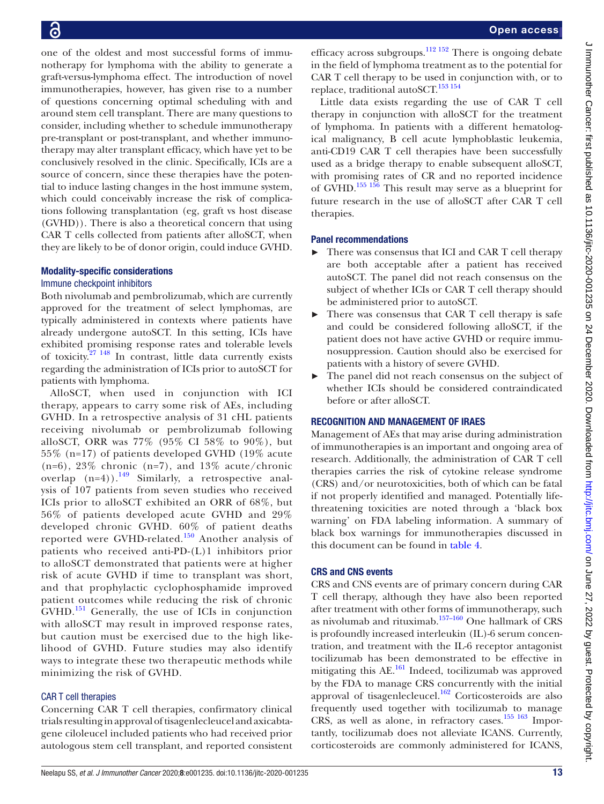one of the oldest and most successful forms of immunotherapy for lymphoma with the ability to generate a graft-versus-lymphoma effect. The introduction of novel immunotherapies, however, has given rise to a number of questions concerning optimal scheduling with and around stem cell transplant. There are many questions to consider, including whether to schedule immunotherapy pre-transplant or post-transplant, and whether immunotherapy may alter transplant efficacy, which have yet to be conclusively resolved in the clinic. Specifically, ICIs are a source of concern, since these therapies have the potential to induce lasting changes in the host immune system, which could conceivably increase the risk of complications following transplantation (eg, graft vs host disease (GVHD)). There is also a theoretical concern that using CAR T cells collected from patients after alloSCT, when they are likely to be of donor origin, could induce GVHD.

# Modality-specific considerations

# Immune checkpoint inhibitors

Both nivolumab and pembrolizumab, which are currently approved for the treatment of select lymphomas, are typically administered in contexts where patients have already undergone autoSCT. In this setting, ICIs have exhibited promising response rates and tolerable levels of toxicity.[27 148](#page-18-19) In contrast, little data currently exists regarding the administration of ICIs prior to autoSCT for patients with lymphoma.

AlloSCT, when used in conjunction with ICI therapy, appears to carry some risk of AEs, including GVHD. In a retrospective analysis of 31 cHL patients receiving nivolumab or pembrolizumab following alloSCT, ORR was 77% (95% CI 58% to 90%), but 55% (n=17) of patients developed GVHD (19% acute  $(n=6)$ , 23% chronic  $(n=7)$ , and 13% acute/chronic overlap  $(n=4)$ ).<sup>149</sup> Similarly, a retrospective analysis of 107 patients from seven studies who received ICIs prior to alloSCT exhibited an ORR of 68%, but 56% of patients developed acute GVHD and 29% developed chronic GVHD. 60% of patient deaths reported were GVHD-related.<sup>150</sup> Another analysis of patients who received anti-PD-(L)1 inhibitors prior to alloSCT demonstrated that patients were at higher risk of acute GVHD if time to transplant was short, and that prophylactic cyclophosphamide improved patient outcomes while reducing the risk of chronic GVHD.<sup>151</sup> Generally, the use of ICIs in conjunction with alloSCT may result in improved response rates, but caution must be exercised due to the high likelihood of GVHD. Future studies may also identify ways to integrate these two therapeutic methods while minimizing the risk of GVHD.

# CAR T cell therapies

Concerning CAR T cell therapies, confirmatory clinical trials resulting in approval of tisagenlecleucel and axicabtagene ciloleucel included patients who had received prior autologous stem cell transplant, and reported consistent efficacy across subgroups. $\frac{112 \times 152}{12}$  There is ongoing debate in the field of lymphoma treatment as to the potential for CAR T cell therapy to be used in conjunction with, or to replace, traditional autoSCT.<sup>[153 154](#page-21-22)</sup>

Little data exists regarding the use of CAR T cell therapy in conjunction with alloSCT for the treatment of lymphoma. In patients with a different hematological malignancy, B cell acute lymphoblastic leukemia, anti-CD19 CAR T cell therapies have been successfully used as a bridge therapy to enable subsequent alloSCT, with promising rates of CR and no reported incidence of GVHD.[155 156](#page-21-23) This result may serve as a blueprint for future research in the use of alloSCT after CAR T cell therapies.

# Panel recommendations

- ► There was consensus that ICI and CAR T cell therapy are both acceptable after a patient has received autoSCT. The panel did not reach consensus on the subject of whether ICIs or CAR T cell therapy should be administered prior to autoSCT.
- ► There was consensus that CAR T cell therapy is safe and could be considered following alloSCT, if the patient does not have active GVHD or require immunosuppression. Caution should also be exercised for patients with a history of severe GVHD.
- The panel did not reach consensus on the subject of whether ICIs should be considered contraindicated before or after alloSCT.

# RECOGNITION AND MANAGEMENT OF IRAES

Management of AEs that may arise during administration of immunotherapies is an important and ongoing area of research. Additionally, the administration of CAR T cell therapies carries the risk of cytokine release syndrome (CRS) and/or neurotoxicities, both of which can be fatal if not properly identified and managed. Potentially lifethreatening toxicities are noted through a 'black box warning' on FDA labeling information. A summary of black box warnings for immunotherapies discussed in this document can be found in [table](#page-13-0) 4.

# CRS and CNS events

CRS and CNS events are of primary concern during CAR T cell therapy, although they have also been reported after treatment with other forms of immunotherapy, such as nivolumab and rituximab.[157–160](#page-21-24) One hallmark of CRS is profoundly increased interleukin (IL)-6 serum concentration, and treatment with the IL-6 receptor antagonist tocilizumab has been demonstrated to be effective in mitigating this  $AE$ <sup>[161](#page-21-25)</sup> Indeed, tocilizumab was approved by the FDA to manage CRS concurrently with the initial approval of tisagenlecleucel. $162$  Corticosteroids are also frequently used together with tocilizumab to manage CRS, as well as alone, in refractory cases. $155 163$  Importantly, tocilizumab does not alleviate ICANS. Currently, corticosteroids are commonly administered for ICANS,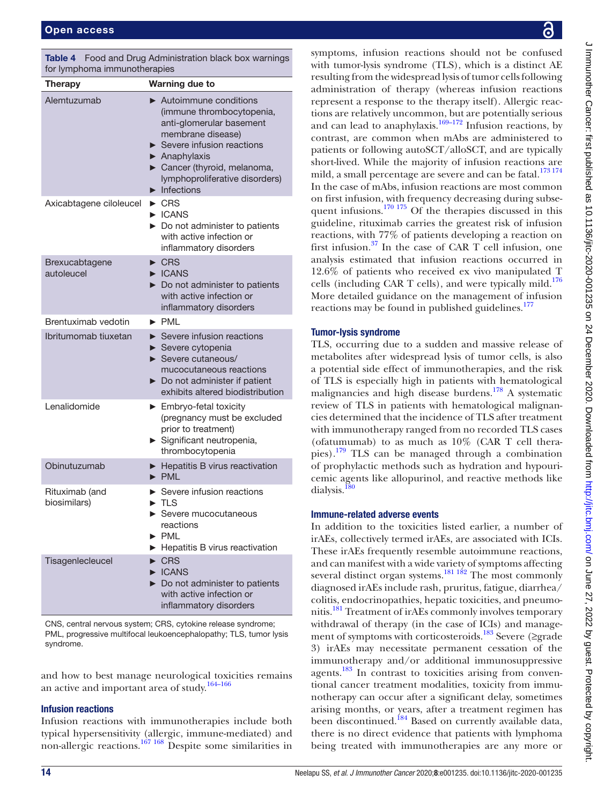<span id="page-13-0"></span>

|                              | <b>Table 4</b> Food and Drug Administration black box warnings |  |
|------------------------------|----------------------------------------------------------------|--|
| for lymphoma immunotherapies |                                                                |  |

| <b>Therapy</b>                 | <b>Warning due to</b>                                                                                                                                                                                                                                                                           |
|--------------------------------|-------------------------------------------------------------------------------------------------------------------------------------------------------------------------------------------------------------------------------------------------------------------------------------------------|
| Alemtuzumab                    | $\blacktriangleright$ Autoimmune conditions<br>(immune thrombocytopenia,<br>anti-glomerular basement<br>membrane disease)<br>$\triangleright$ Severe infusion reactions<br>$\blacktriangleright$ Anaphylaxis<br>Cancer (thyroid, melanoma,<br>lymphoproliferative disorders)<br>Infections<br>▶ |
| Axicabtagene ciloleucel        | $\triangleright$ CRS<br><b>E</b> ICANS<br>Do not administer to patients<br>with active infection or<br>inflammatory disorders                                                                                                                                                                   |
| Brexucabtagene<br>autoleucel   | $\triangleright$ CRS<br>CANS<br>$\triangleright$ Do not administer to patients<br>with active infection or<br>inflammatory disorders                                                                                                                                                            |
| Brentuximab vedotin            | $\blacktriangleright$ PML                                                                                                                                                                                                                                                                       |
| Ibritumomab tiuxetan           | $\triangleright$ Severe infusion reactions<br>Severe cytopenia<br>▶<br>$\triangleright$ Severe cutaneous/<br>mucocutaneous reactions<br>Do not administer if patient<br>exhibits altered biodistribution                                                                                        |
| Lenalidomide                   | $\blacktriangleright$ Embryo-fetal toxicity<br>(pregnancy must be excluded<br>prior to treatment)<br>Significant neutropenia,<br>thrombocytopenia                                                                                                                                               |
| Obinutuzumab                   | ▶ Hepatitis B virus reactivation<br>$\blacktriangleright$ PML                                                                                                                                                                                                                                   |
| Rituximab (and<br>biosimilars) | $\triangleright$ Severe infusion reactions<br>$\blacktriangleright$ TLS<br>Severe mucocutaneous<br>reactions<br>$\blacktriangleright$ PML<br>Hepatitis B virus reactivation                                                                                                                     |
| Tisagenlecleucel               | <b>CRS</b><br>$\triangleright$ ICANS<br>Do not administer to patients<br>with active infection or<br>inflammatory disorders                                                                                                                                                                     |

CNS, central nervous system; CRS, cytokine release syndrome; PML, progressive multifocal leukoencephalopathy; TLS, tumor lysis syndrome.

and how to best manage neurological toxicities remains an active and important area of study. $\frac{164-166}{164}$ 

# Infusion reactions

Infusion reactions with immunotherapies include both typical hypersensitivity (allergic, immune-mediated) and non-allergic reactions.[167 168](#page-21-28) Despite some similarities in

symptoms, infusion reactions should not be confused with tumor-lysis syndrome (TLS), which is a distinct AE resulting from the widespread lysis of tumor cells following administration of therapy (whereas infusion reactions represent a response to the therapy itself). Allergic reactions are relatively uncommon, but are potentially serious and can lead to anaphylaxis.<sup>[169–172](#page-21-29)</sup> Infusion reactions, by contrast, are common when mAbs are administered to patients or following autoSCT/alloSCT, and are typically short-lived. While the majority of infusion reactions are mild, a small percentage are severe and can be fatal.<sup>[173 174](#page-22-0)</sup> In the case of mAbs, infusion reactions are most common on first infusion, with frequency decreasing during subse-quent infusions.<sup>[170 175](#page-21-30)</sup> Of the therapies discussed in this guideline, rituximab carries the greatest risk of infusion reactions, with 77% of patients developing a reaction on first infusion. $37$  In the case of CAR T cell infusion, one analysis estimated that infusion reactions occurred in 12.6% of patients who received ex vivo manipulated T cells (including CAR T cells), and were typically mild.<sup>176</sup> More detailed guidance on the management of infusion reactions may be found in published guidelines.<sup>177</sup>

# Tumor-lysis syndrome

TLS, occurring due to a sudden and massive release of metabolites after widespread lysis of tumor cells, is also a potential side effect of immunotherapies, and the risk of TLS is especially high in patients with hematological malignancies and high disease burdens.[178](#page-22-3) A systematic review of TLS in patients with hematological malignancies determined that the incidence of TLS after treatment with immunotherapy ranged from no recorded TLS cases (ofatumumab) to as much as  $10\%$  (CAR T cell thera-pies).<sup>[179](#page-22-4)</sup> TLS can be managed through a combination of prophylactic methods such as hydration and hypouricemic agents like allopurinol, and reactive methods like dialysis.<sup>[180](#page-22-5)</sup>

# Immune-related adverse events

In addition to the toxicities listed earlier, a number of irAEs, collectively termed irAEs, are associated with ICIs. These irAEs frequently resemble autoimmune reactions, and can manifest with a wide variety of symptoms affecting several distinct organ systems.<sup>181 182</sup> The most commonly diagnosed irAEs include rash, pruritus, fatigue, diarrhea/ colitis, endocrinopathies, hepatic toxicities, and pneumonitis.[181](#page-22-6) Treatment of irAEs commonly involves temporary withdrawal of therapy (in the case of ICIs) and management of symptoms with corticosteroids.<sup>183</sup> Severe (≥grade 3) irAEs may necessitate permanent cessation of the immunotherapy and/or additional immunosuppressive agents.<sup>183</sup> In contrast to toxicities arising from conventional cancer treatment modalities, toxicity from immunotherapy can occur after a significant delay, sometimes arising months, or years, after a treatment regimen has been discontinued.<sup>184</sup> Based on currently available data, there is no direct evidence that patients with lymphoma being treated with immunotherapies are any more or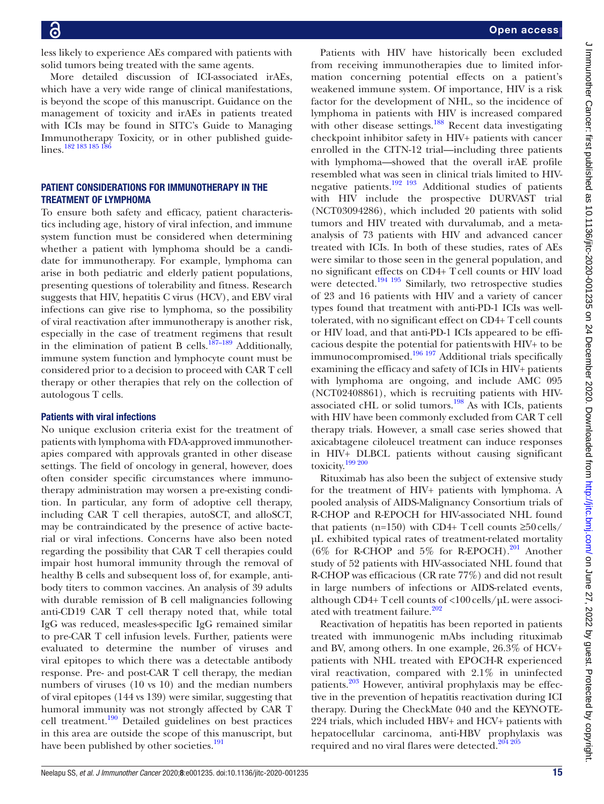less likely to experience AEs compared with patients with solid tumors being treated with the same agents.

More detailed discussion of ICI-associated irAEs, which have a very wide range of clinical manifestations, is beyond the scope of this manuscript. Guidance on the management of toxicity and irAEs in patients treated with ICIs may be found in SITC's Guide to Managing Immunotherapy Toxicity, or in other published guidelines.<sup>182</sup> <sup>183</sup> <sup>185</sup> <sup>186</sup>

# PATIENT CONSIDERATIONS FOR IMMUNOTHERAPY IN THE TREATMENT OF LYMPHOMA

To ensure both safety and efficacy, patient characteristics including age, history of viral infection, and immune system function must be considered when determining whether a patient with lymphoma should be a candidate for immunotherapy. For example, lymphoma can arise in both pediatric and elderly patient populations, presenting questions of tolerability and fitness. Research suggests that HIV, hepatitis C virus (HCV), and EBV viral infections can give rise to lymphoma, so the possibility of viral reactivation after immunotherapy is another risk, especially in the case of treatment regimens that result in the elimination of patient B cells.<sup>[187–189](#page-22-10)</sup> Additionally, immune system function and lymphocyte count must be considered prior to a decision to proceed with CAR T cell therapy or other therapies that rely on the collection of autologous T cells.

# Patients with viral infections

No unique exclusion criteria exist for the treatment of patients with lymphoma with FDA-approved immunotherapies compared with approvals granted in other disease settings. The field of oncology in general, however, does often consider specific circumstances where immunotherapy administration may worsen a pre-existing condition. In particular, any form of adoptive cell therapy, including CAR T cell therapies, autoSCT, and alloSCT, may be contraindicated by the presence of active bacterial or viral infections. Concerns have also been noted regarding the possibility that CAR T cell therapies could impair host humoral immunity through the removal of healthy B cells and subsequent loss of, for example, antibody titers to common vaccines. An analysis of 39 adults with durable remission of B cell malignancies following anti-CD19 CAR T cell therapy noted that, while total IgG was reduced, measles-specific IgG remained similar to pre-CAR T cell infusion levels. Further, patients were evaluated to determine the number of viruses and viral epitopes to which there was a detectable antibody response. Pre- and post-CAR T cell therapy, the median numbers of viruses (10 vs 10) and the median numbers of viral epitopes (144 vs 139) were similar, suggesting that humoral immunity was not strongly affected by CAR T cell treatment.[190](#page-22-11) Detailed guidelines on best practices in this area are outside the scope of this manuscript, but have been published by other societies.<sup>[191](#page-22-12)</sup>

Patients with HIV have historically been excluded from receiving immunotherapies due to limited information concerning potential effects on a patient's weakened immune system. Of importance, HIV is a risk factor for the development of NHL, so the incidence of lymphoma in patients with HIV is increased compared with other disease settings.<sup>[188](#page-22-13)</sup> Recent data investigating checkpoint inhibitor safety in HIV+ patients with cancer enrolled in the CITN-12 trial—including three patients with lymphoma—showed that the overall irAE profile resembled what was seen in clinical trials limited to HIVnegative patients.<sup>192 193</sup> Additional studies of patients with HIV include the prospective DURVAST trial (NCT03094286), which included 20 patients with solid tumors and HIV treated with durvalumab, and a metaanalysis of 73 patients with HIV and advanced cancer treated with ICIs. In both of these studies, rates of AEs were similar to those seen in the general population, and no significant effects on CD4+ Tcell counts or HIV load were detected.<sup>194 195</sup> Similarly, two retrospective studies of 23 and 16 patients with HIV and a variety of cancer types found that treatment with anti-PD-1 ICIs was welltolerated, with no significant effect on CD4+ T cell counts or HIV load, and that anti-PD-1 ICIs appeared to be efficacious despite the potential for patientswith HIV+ to be immunocompromised.[196 197](#page-22-16) Additional trials specifically examining the efficacy and safety of ICIs in HIV+ patients with lymphoma are ongoing, and include AMC 095 (NCT02408861), which is recruiting patients with HIVassociated cHL or solid tumors.[198](#page-22-17) As with ICIs, patients with HIV have been commonly excluded from CAR T cell therapy trials. However, a small case series showed that axicabtagene ciloleucel treatment can induce responses in HIV+ DLBCL patients without causing significant toxicity.[199 200](#page-22-18)

Rituximab has also been the subject of extensive study for the treatment of HIV+ patients with lymphoma. A pooled analysis of AIDS-Malignancy Consortium trials of R-CHOP and R-EPOCH for HIV-associated NHL found that patients (n=150) with CD4+ Tcell counts  $\geq$ 50 cells/ µL exhibited typical rates of treatment-related mortality (6% for R-CHOP and 5% for R-EPOCH).<sup>[201](#page-22-19)</sup> Another study of 52 patients with HIV-associated NHL found that R-CHOP was efficacious (CR rate 77%) and did not result in large numbers of infections or AIDS-related events, although CD4+ T cell counts of  $\langle 100 \text{ cells/}\mu L \text{ were associ-}$ ated with treatment failure.<sup>[202](#page-22-20)</sup>

Reactivation of hepatitis has been reported in patients treated with immunogenic mAbs including rituximab and BV, among others. In one example, 26.3% of HCV+ patients with NHL treated with EPOCH-R experienced viral reactivation, compared with 2.1% in uninfected patients.<sup>[203](#page-22-21)</sup> However, antiviral prophylaxis may be effective in the prevention of hepatitis reactivation during ICI therapy. During the CheckMate 040 and the KEYNOTE-224 trials, which included HBV+ and HCV+ patients with hepatocellular carcinoma, anti-HBV prophylaxis was required and no viral flares were detected.<sup>204 205</sup>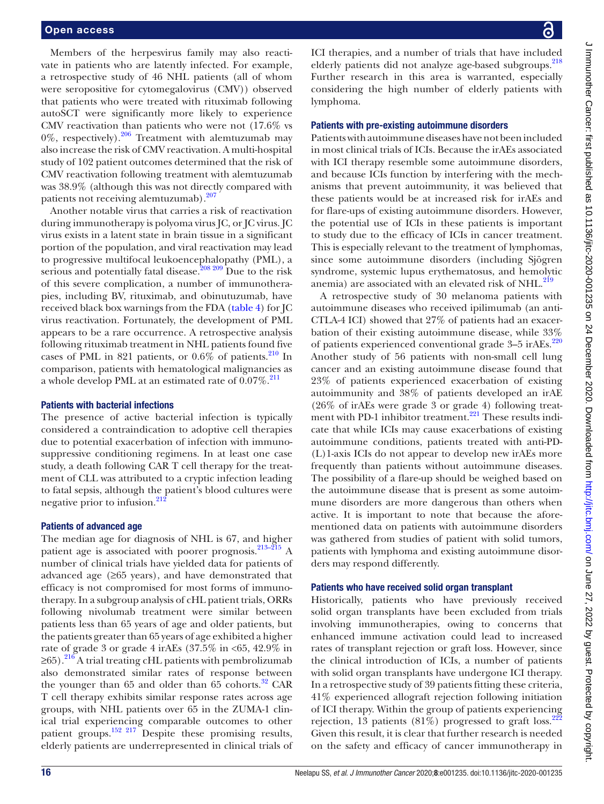Members of the herpesvirus family may also reactivate in patients who are latently infected. For example, a retrospective study of 46 NHL patients (all of whom were seropositive for cytomegalovirus (CMV)) observed that patients who were treated with rituximab following autoSCT were significantly more likely to experience CMV reactivation than patients who were not (17.6% vs  $0\%$ , respectively).<sup>206</sup> Treatment with alemtuzumab may also increase the risk of CMV reactivation. A multi-hospital study of 102 patient outcomes determined that the risk of CMV reactivation following treatment with alemtuzumab was 38.9% (although this was not directly compared with patients not receiving alemtuzumab).<sup>207</sup>

Another notable virus that carries a risk of reactivation during immunotherapy is polyoma virus JC, or JC virus. JC virus exists in a latent state in brain tissue in a significant portion of the population, and viral reactivation may lead to progressive multifocal leukoencephalopathy (PML), a serious and potentially fatal disease.<sup>208 209</sup> Due to the risk of this severe complication, a number of immunotherapies, including BV, rituximab, and obinutuzumab, have received black box warnings from the FDA [\(table](#page-13-0) 4) for JC virus reactivation. Fortunately, the development of PML appears to be a rare occurrence. A retrospective analysis following rituximab treatment in NHL patients found five cases of PML in 821 patients, or  $0.6\%$  of patients.<sup>210</sup> In comparison, patients with hematological malignancies as a whole develop PML at an estimated rate of  $0.07\%$ .<sup>[211](#page-22-27)</sup>

# Patients with bacterial infections

The presence of active bacterial infection is typically considered a contraindication to adoptive cell therapies due to potential exacerbation of infection with immunosuppressive conditioning regimens. In at least one case study, a death following CAR T cell therapy for the treatment of CLL was attributed to a cryptic infection leading to fatal sepsis, although the patient's blood cultures were negative prior to infusion.<sup>21</sup>

#### Patients of advanced age

The median age for diagnosis of NHL is 67, and higher patient age is associated with poorer prognosis.<sup>213–215</sup> A number of clinical trials have yielded data for patients of advanced age  $(≥65 \text{ years})$ , and have demonstrated that efficacy is not compromised for most forms of immunotherapy. In a subgroup analysis of cHL patient trials, ORRs following nivolumab treatment were similar between patients less than 65 years of age and older patients, but the patients greater than 65 years of age exhibited a higher rate of grade 3 or grade 4 irAEs (37.5% in <65, 42.9% in  $\geq$ 65).<sup>216</sup> A trial treating cHL patients with pembrolizumab also demonstrated similar rates of response between the younger than  $65$  and older than  $65$  cohorts.<sup>[32](#page-18-24)</sup> CAR T cell therapy exhibits similar response rates across age groups, with NHL patients over 65 in the ZUMA-1 clinical trial experiencing comparable outcomes to other patient groups.[152 217](#page-21-31) Despite these promising results, elderly patients are underrepresented in clinical trials of

ICI therapies, and a number of trials that have included elderly patients did not analyze age-based subgroups.<sup>218</sup> Further research in this area is warranted, especially considering the high number of elderly patients with lymphoma.

### Patients with pre-existing autoimmune disorders

Patients with autoimmune diseases have not been included in most clinical trials of ICIs. Because the irAEs associated with ICI therapy resemble some autoimmune disorders, and because ICIs function by interfering with the mechanisms that prevent autoimmunity, it was believed that these patients would be at increased risk for irAEs and for flare-ups of existing autoimmune disorders. However, the potential use of ICIs in these patients is important to study due to the efficacy of ICIs in cancer treatment. This is especially relevant to the treatment of lymphomas, since some autoimmune disorders (including Sjögren syndrome, systemic lupus erythematosus, and hemolytic anemia) are associated with an elevated risk of NHL.<sup>[219](#page-23-0)</sup>

A retrospective study of 30 melanoma patients with autoimmune diseases who received ipilimumab (an anti-CTLA-4 ICI) showed that 27% of patients had an exacerbation of their existing autoimmune disease, while 33% of patients experienced conventional grade 3–5 irAEs.<sup>[220](#page-23-1)</sup> Another study of 56 patients with non-small cell lung cancer and an existing autoimmune disease found that 23% of patients experienced exacerbation of existing autoimmunity and 38% of patients developed an irAE (26% of irAEs were grade 3 or grade 4) following treatment with PD-1 inhibitor treatment. $221$  These results indicate that while ICIs may cause exacerbations of existing autoimmune conditions, patients treated with anti-PD- (L)1-axis ICIs do not appear to develop new irAEs more frequently than patients without autoimmune diseases. The possibility of a flare-up should be weighed based on the autoimmune disease that is present as some autoimmune disorders are more dangerous than others when active. It is important to note that because the aforementioned data on patients with autoimmune disorders was gathered from studies of patient with solid tumors, patients with lymphoma and existing autoimmune disorders may respond differently.

### Patients who have received solid organ transplant

Historically, patients who have previously received solid organ transplants have been excluded from trials involving immunotherapies, owing to concerns that enhanced immune activation could lead to increased rates of transplant rejection or graft loss. However, since the clinical introduction of ICIs, a number of patients with solid organ transplants have undergone ICI therapy. In a retrospective study of 39 patients fitting these criteria, 41% experienced allograft rejection following initiation of ICI therapy. Within the group of patients experiencing rejection, 13 patients  $(81\%)$  progressed to graft loss.<sup>[222](#page-23-3)</sup> Given this result, it is clear that further research is needed on the safety and efficacy of cancer immunotherapy in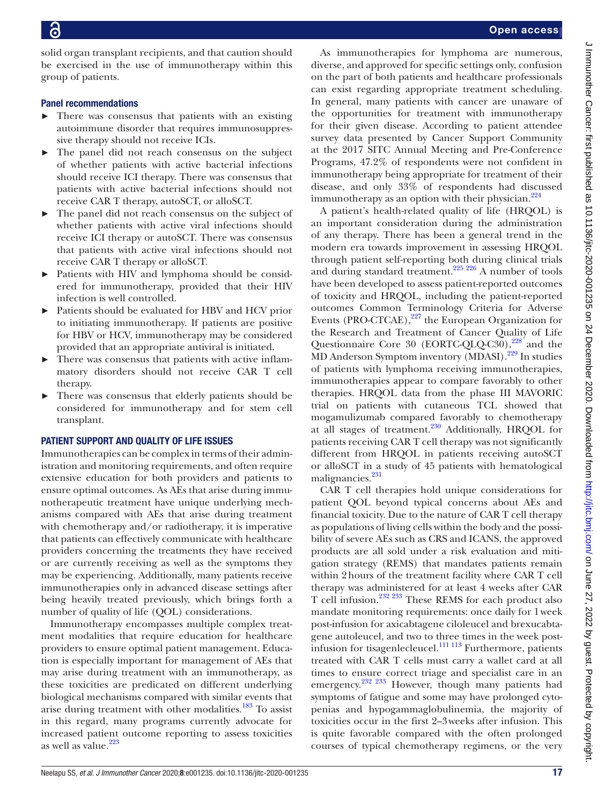solid organ transplant recipients, and that caution should be exercised in the use of immunotherapy within this group of patients.

# Panel recommendations

- There was consensus that patients with an existing autoimmune disorder that requires immunosuppressive therapy should not receive ICIs.
- The panel did not reach consensus on the subject of whether patients with active bacterial infections should receive ICI therapy. There was consensus that patients with active bacterial infections should not receive CAR T therapy, autoSCT, or alloSCT.
- The panel did not reach consensus on the subject of whether patients with active viral infections should receive ICI therapy or autoSCT. There was consensus that patients with active viral infections should not receive CAR T therapy or alloSCT.
- ► Patients with HIV and lymphoma should be considered for immunotherapy, provided that their HIV infection is well controlled.
- Patients should be evaluated for HBV and HCV prior to initiating immunotherapy. If patients are positive for HBV or HCV, immunotherapy may be considered provided that an appropriate antiviral is initiated.
- There was consensus that patients with active inflammatory disorders should not receive CAR T cell therapy.
- ► There was consensus that elderly patients should be considered for immunotherapy and for stem cell transplant.

# PATIENT SUPPORT AND QUALITY OF LIFE ISSUES

Immunotherapies can be complex in terms of their administration and monitoring requirements, and often require extensive education for both providers and patients to ensure optimal outcomes. As AEs that arise during immunotherapeutic treatment have unique underlying mechanisms compared with AEs that arise during treatment with chemotherapy and/or radiotherapy, it is imperative that patients can effectively communicate with healthcare providers concerning the treatments they have received or are currently receiving as well as the symptoms they may be experiencing. Additionally, many patients receive immunotherapies only in advanced disease settings after being heavily treated previously, which brings forth a number of quality of life (QOL) considerations.

Immunotherapy encompasses multiple complex treatment modalities that require education for healthcare providers to ensure optimal patient management. Education is especially important for management of AEs that may arise during treatment with an immunotherapy, as these toxicities are predicated on different underlying biological mechanisms compared with similar events that arise during treatment with other modalities.<sup>[183](#page-22-7)</sup> To assist in this regard, many programs currently advocate for increased patient outcome reporting to assess toxicities as well as value. $223$ 

As immunotherapies for lymphoma are numerous, diverse, and approved for specific settings only, confusion on the part of both patients and healthcare professionals can exist regarding appropriate treatment scheduling. In general, many patients with cancer are unaware of the opportunities for treatment with immunotherapy for their given disease. According to patient attendee survey data presented by Cancer Support Community at the 2017 SITC Annual Meeting and Pre-Conference Programs, 47.2% of respondents were not confident in immunotherapy being appropriate for treatment of their disease, and only 33% of respondents had discussed immunotherapy as an option with their physician. $224$ 

A patient's health-related quality of life (HRQOL) is an important consideration during the administration of any therapy. There has been a general trend in the modern era towards improvement in assessing HRQOL through patient self-reporting both during clinical trials and during standard treatment.<sup>225 226</sup> A number of tools have been developed to assess patient-reported outcomes of toxicity and HRQOL, including the patient-reported outcomes Common Terminology Criteria for Adverse Events (PRO-CTCAE), $^{227}$  the European Organization for the Research and Treatment of Cancer Quality of Life Questionnaire Core 30 (EORTC-QLQ-C30),<sup>228</sup> and the MD Anderson Symptom inventory (MDASI).[229](#page-23-9) In studies of patients with lymphoma receiving immunotherapies, immunotherapies appear to compare favorably to other therapies. HRQOL data from the phase III MAVORIC trial on patients with cutaneous TCL showed that mogamulizumab compared favorably to chemotherapy at all stages of treatment.[230](#page-23-10) Additionally, HRQOL for patients receiving CAR T cell therapy was not significantly different from HRQOL in patients receiving autoSCT or alloSCT in a study of 45 patients with hematological malignancies.<sup>231</sup>

CAR T cell therapies hold unique considerations for patient QOL beyond typical concerns about AEs and financial toxicity. Due to the nature of CAR T cell therapy as populations of living cells within the body and the possibility of severe AEs such as CRS and ICANS, the approved products are all sold under a risk evaluation and mitigation strategy (REMS) that mandates patients remain within 2hours of the treatment facility where CAR T cell therapy was administered for at least 4 weeks after CAR T cell infusion.[232 233](#page-23-12) These REMS for each product also mandate monitoring requirements: once daily for 1week post-infusion for axicabtagene ciloleucel and brexucabtagene autoleucel, and two to three times in the week postinfusion for tisagenlecleucel. $\frac{111 \cdot 113}{111 \cdot 113}$  Furthermore, patients treated with CAR T cells must carry a wallet card at all times to ensure correct triage and specialist care in an emergency.<sup>232</sup> <sup>233</sup> However, though many patients had symptoms of fatigue and some may have prolonged cytopenias and hypogammaglobulinemia, the majority of toxicities occur in the first 2–3weeks after infusion. This is quite favorable compared with the often prolonged courses of typical chemotherapy regimens, or the very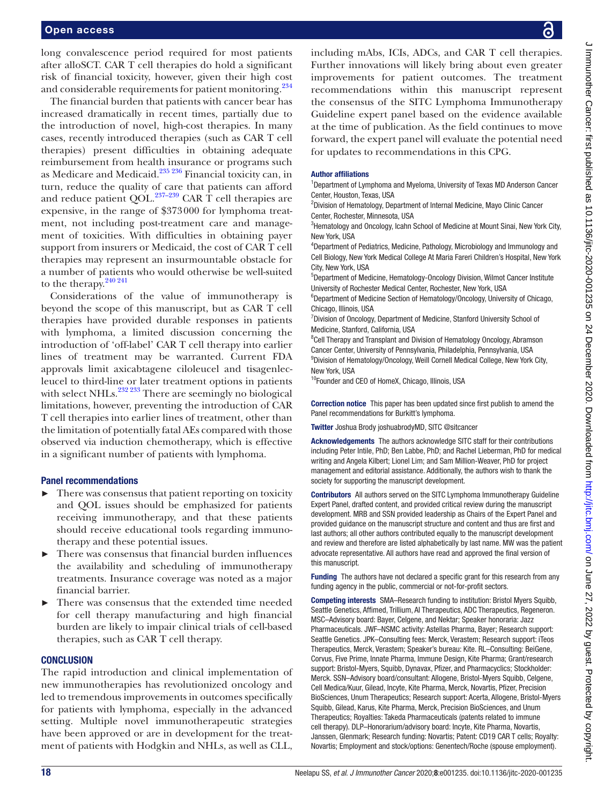long convalescence period required for most patients after alloSCT. CAR T cell therapies do hold a significant risk of financial toxicity, however, given their high cost and considerable requirements for patient monitoring.<sup>234</sup>

The financial burden that patients with cancer bear has increased dramatically in recent times, partially due to the introduction of novel, high-cost therapies. In many cases, recently introduced therapies (such as CAR T cell therapies) present difficulties in obtaining adequate reimbursement from health insurance or programs such as Medicare and Medicaid.[235 236](#page-23-14) Financial toxicity can, in turn, reduce the quality of care that patients can afford and reduce patient QOL. $^{237-239}$  CAR T cell therapies are expensive, in the range of \$373000 for lymphoma treatment, not including post-treatment care and management of toxicities. With difficulties in obtaining payer support from insurers or Medicaid, the cost of CAR T cell therapies may represent an insurmountable obstacle for a number of patients who would otherwise be well-suited to the therapy. $240\,241$ 

Considerations of the value of immunotherapy is beyond the scope of this manuscript, but as CAR T cell therapies have provided durable responses in patients with lymphoma, a limited discussion concerning the introduction of 'off-label' CAR T cell therapy into earlier lines of treatment may be warranted. Current FDA approvals limit axicabtagene ciloleucel and tisagenlecleucel to third-line or later treatment options in patients with select NHLs. $^{232\,233}$  There are seemingly no biological limitations, however, preventing the introduction of CAR T cell therapies into earlier lines of treatment, other than the limitation of potentially fatal AEs compared with those observed via induction chemotherapy, which is effective in a significant number of patients with lymphoma.

# Panel recommendations

- ► There was consensus that patient reporting on toxicity and QOL issues should be emphasized for patients receiving immunotherapy, and that these patients should receive educational tools regarding immunotherapy and these potential issues.
- There was consensus that financial burden influences the availability and scheduling of immunotherapy treatments. Insurance coverage was noted as a major financial barrier.
- There was consensus that the extended time needed for cell therapy manufacturing and high financial burden are likely to impair clinical trials of cell-based therapies, such as CAR T cell therapy.

# **CONCLUSION**

The rapid introduction and clinical implementation of new immunotherapies has revolutionized oncology and led to tremendous improvements in outcomes specifically for patients with lymphoma, especially in the advanced setting. Multiple novel immunotherapeutic strategies have been approved or are in development for the treatment of patients with Hodgkin and NHLs, as well as CLL,

including mAbs, ICIs, ADCs, and CAR T cell therapies. Further innovations will likely bring about even greater improvements for patient outcomes. The treatment recommendations within this manuscript represent the consensus of the SITC Lymphoma Immunotherapy Guideline expert panel based on the evidence available at the time of publication. As the field continues to move forward, the expert panel will evaluate the potential need for updates to recommendations in this CPG.

# Author affiliations

<sup>1</sup>Department of Lymphoma and Myeloma, University of Texas MD Anderson Cancer Center, Houston, Texas, USA

<sup>2</sup> Division of Hematology, Department of Internal Medicine, Mayo Clinic Cancer Center, Rochester, Minnesota, USA

<sup>3</sup>Hematology and Oncology, Icahn School of Medicine at Mount Sinai, New York City, New York, USA

4 Department of Pediatrics, Medicine, Pathology, Microbiology and Immunology and Cell Biology, New York Medical College At Maria Fareri Children's Hospital, New York City, New York, USA

5 Department of Medicine, Hematology-Oncology Division, Wilmot Cancer Institute University of Rochester Medical Center, Rochester, New York, USA

<sup>6</sup>Department of Medicine Section of Hematology/Oncology, University of Chicago, Chicago, Illinois, USA

<sup>7</sup> Division of Oncology, Department of Medicine, Stanford University School of Medicine, Stanford, California, USA

<sup>8</sup>Cell Therapy and Transplant and Division of Hematology Oncology, Abramson Cancer Center, University of Pennsylvania, Philadelphia, Pennsylvania, USA <sup>9</sup> Division of Hematology/Oncology, Weill Cornell Medical College, New York City, New York, USA

10Founder and CEO of HomeX, Chicago, Illinois, USA

Correction notice This paper has been updated since first publish to amend the Panel recommendations for Burkitt's lymphoma.

Twitter Joshua Brody [joshuabrodyMD, SITC @sitcancer](joshuabrodyMD, SITC https://twitter.com/sitcancer)

Acknowledgements The authors acknowledge SITC staff for their contributions including Peter Intile, PhD; Ben Labbe, PhD; and Rachel Lieberman, PhD for medical writing and Angela Kilbert; Lionel Lim; and Sam Million-Weaver, PhD for project management and editorial assistance. Additionally, the authors wish to thank the society for supporting the manuscript development.

Contributors All authors served on the SITC Lymphoma Immunotherapy Guideline Expert Panel, drafted content, and provided critical review during the manuscript development. MRB and SSN provided leadership as Chairs of the Expert Panel and provided guidance on the manuscript structure and content and thus are first and last authors; all other authors contributed equally to the manuscript development and review and therefore are listed alphabetically by last name. MW was the patient advocate representative. All authors have read and approved the final version of this manuscript.

**Funding** The authors have not declared a specific grant for this research from any funding agency in the public, commercial or not-for-profit sectors.

Competing interests SMA–Research funding to institution: Bristol Myers Squibb, Seattle Genetics, Affimed, Trillium, AI Therapeutics, ADC Therapeutics, Regeneron. MSC–Advisory board: Bayer, Celgene, and Nektar; Speaker honoraria: Jazz Pharmaceuticals. JWF–NSMC activity: Astellas Pharma, Bayer; Research support: Seattle Genetics. JPK–Consulting fees: Merck, Verastem; Research support: iTeos Therapeutics, Merck, Verastem; Speaker's bureau: Kite. RL–Consulting: BeiGene, Corvus, Five Prime, Innate Pharma, Immune Design, Kite Pharma; Grant/research support: Bristol-Myers, Squibb, Dynavax, Pfizer, and Pharmacyclics; Stockholder: Merck. SSN–Advisory board/consultant: Allogene, Bristol-Myers Squibb, Celgene, Cell Medica/Kuur, Gilead, Incyte, Kite Pharma, Merck, Novartis, Pfizer, Precision BioSciences, Unum Therapeutics; Research support: Acerta, Allogene, Bristol-Myers Squibb, Gilead, Karus, Kite Pharma, Merck, Precision BioSciences, and Unum Therapeutics; Royalties: Takeda Pharmaceuticals (patents related to immune cell therapy). DLP–Honorarium/advisory board: Incyte, Kite Pharma, Novartis, Janssen, Glenmark; Research funding: Novartis; Patent: CD19 CAR T cells; Royalty: Novartis; Employment and stock/options: Genentech/Roche (spouse employment).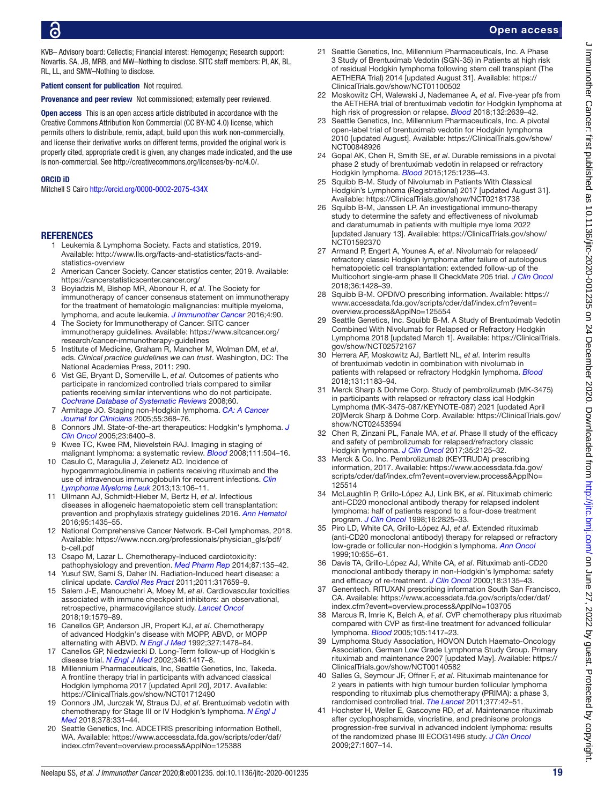KVB– Advisory board: Cellectis; Financial interest: Hemogenyx; Research support: Novartis. SA, JB, MRB, and MW–Nothing to disclose. SITC staff members: PI, AK, BL, RL, LL, and SMW–Nothing to disclose.

Patient consent for publication Not required.

**Provenance and peer review** Not commissioned: externally peer reviewed.

Open access This is an open access article distributed in accordance with the Creative Commons Attribution Non Commercial (CC BY-NC 4.0) license, which permits others to distribute, remix, adapt, build upon this work non-commercially, and license their derivative works on different terms, provided the original work is properly cited, appropriate credit is given, any changes made indicated, and the use is non-commercial. See [http://creativecommons.org/licenses/by-nc/4.0/.](http://creativecommons.org/licenses/by-nc/4.0/)

#### ORCID iD

Mitchell S Cairo <http://orcid.org/0000-0002-2075-434X>

# <span id="page-18-0"></span>**REFERENCES**

- 1 Leukemia & Lymphoma Society. Facts and statistics, 2019. Available: [http://www.lls.org/facts-and-statistics/facts-and](http://www.lls.org/facts-and-statistics/facts-and-statistics-overview)[statistics-overview](http://www.lls.org/facts-and-statistics/facts-and-statistics-overview)
- 2 American Cancer Society. Cancer statistics center, 2019. Available: <https://cancerstatisticscenter.cancer.org/>
- <span id="page-18-1"></span>3 Boyiadzis M, Bishop MR, Abonour R, *et al*. The Society for immunotherapy of cancer consensus statement on immunotherapy for the treatment of hematologic malignancies: multiple myeloma, lymphoma, and acute leukemia. *[J Immunother Cancer](http://dx.doi.org/10.1186/s40425-016-0188-z)* 2016;4:90.
- <span id="page-18-2"></span>4 The Society for Immunotherapy of Cancer. SITC cancer immunotherapy guidelines. Available: [https://www.sitcancer.org/](https://www.sitcancer.org/research/cancer-immunotherapy-guidelines) [research/cancer-immunotherapy-guidelines](https://www.sitcancer.org/research/cancer-immunotherapy-guidelines)
- <span id="page-18-3"></span>5 Institute of Medicine, Graham R, Mancher M, Wolman DM, *et al*, eds. *Clinical practice guidelines we can trust*. Washington, DC: The National Academies Press, 2011: 290.
- <span id="page-18-4"></span>6 Vist GE, Bryant D, Somerville L, *et al*. Outcomes of patients who participate in randomized controlled trials compared to similar patients receiving similar interventions who do not participate. *[Cochrane Database of Systematic Reviews](http://dx.doi.org/10.1002/14651858.MR000009.pub4)* 2008;60.
- <span id="page-18-5"></span>7 Armitage JO. Staging non-Hodgkin lymphoma. *[CA: A Cancer](http://dx.doi.org/10.3322/canjclin.55.6.368)  [Journal for Clinicians](http://dx.doi.org/10.3322/canjclin.55.6.368)* 2005;55:368–76.
- 8 Connors JM. State-of-the-art therapeutics: Hodgkin's lymphoma. *[J](http://dx.doi.org/10.1200/JCO.2005.05.016)  [Clin Oncol](http://dx.doi.org/10.1200/JCO.2005.05.016)* 2005;23:6400–8.
- <span id="page-18-6"></span>Kwee TC, Kwee RM, Nievelstein RAJ. Imaging in staging of malignant lymphoma: a systematic review. *[Blood](http://dx.doi.org/10.1182/blood-2007-07-101899)* 2008;111:504–16.
- <span id="page-18-7"></span>10 Casulo C, Maragulia J, Zelenetz AD. Incidence of hypogammaglobulinemia in patients receiving rituximab and the use of intravenous immunoglobulin for recurrent infections. *[Clin](http://dx.doi.org/10.1016/j.clml.2012.11.011)  [Lymphoma Myeloma Leuk](http://dx.doi.org/10.1016/j.clml.2012.11.011)* 2013;13:106–11.
- 11 Ullmann AJ, Schmidt-Hieber M, Bertz H, *et al*. Infectious diseases in allogeneic haematopoietic stem cell transplantation: prevention and prophylaxis strategy guidelines 2016. *[Ann Hematol](http://dx.doi.org/10.1007/s00277-016-2711-1)* 2016;95:1435–55.
- <span id="page-18-8"></span>12 National Comprehensive Cancer Network. B-Cell lymphomas, 2018. Available: [https://www.nccn.org/professionals/physician\\_gls/pdf/](https://www.nccn.org/professionals/physician_gls/pdf/b-cell.pdf) [b-cell.pdf](https://www.nccn.org/professionals/physician_gls/pdf/b-cell.pdf)
- <span id="page-18-9"></span>13 Csapo M, Lazar L. Chemotherapy-Induced cardiotoxicity: pathophysiology and prevention. *[Med Pharm Rep](http://dx.doi.org/10.15386/cjmed-339)* 2014;87:135–42.
- Yusuf SW, Sami S, Daher IN. Radiation-Induced heart disease: a clinical update. *[Cardiol Res Pract](http://dx.doi.org/10.4061/2011/317659)* 2011;2011:317659–9.
- 15 Salem J-E, Manouchehri A, Moey M, *et al*. Cardiovascular toxicities associated with immune checkpoint inhibitors: an observational, retrospective, pharmacovigilance study. *[Lancet Oncol](http://dx.doi.org/10.1016/S1470-2045(18)30608-9)* 2018;19:1579–89.
- <span id="page-18-10"></span>16 Canellos GP, Anderson JR, Propert KJ, *et al*. Chemotherapy of advanced Hodgkin's disease with MOPP, ABVD, or MOPP alternating with ABVD. *[N Engl J Med](http://dx.doi.org/10.1056/NEJM199211193272102)* 1992;327:1478–84.
- Canellos GP, Niedzwiecki D. Long-Term follow-up of Hodgkin's disease trial. *[N Engl J Med](http://dx.doi.org/10.1056/NEJM200205023461821)* 2002;346:1417–8.
- <span id="page-18-11"></span>18 Millennium Pharmaceuticals, Inc, Seattle Genetics, Inc, Takeda. A frontline therapy trial in participants with advanced classical Hodgkin lymphoma 2017 [updated April 20], 2017. Available: <https://ClinicalTrials.gov/show/NCT01712490>
- <span id="page-18-12"></span>19 Connors JM, Jurczak W, Straus DJ, *et al*. Brentuximab vedotin with chemotherapy for Stage III or IV Hodgkin's lymphoma. *[N Engl J](http://dx.doi.org/10.1056/NEJMoa1708984)  [Med](http://dx.doi.org/10.1056/NEJMoa1708984)* 2018;378:331–44.
- <span id="page-18-13"></span>20 Seattle Genetics, Inc. ADCETRIS prescribing information Bothell, WA. Available: [https://www.accessdata.fda.gov/scripts/cder/daf/](https://www.accessdata.fda.gov/scripts/cder/daf/index.cfm?event=overview.process&ApplNo=125388) [index.cfm?event=overview.process&ApplNo=125388](https://www.accessdata.fda.gov/scripts/cder/daf/index.cfm?event=overview.process&ApplNo=125388)
- <span id="page-18-14"></span>21 Seattle Genetics, Inc, Millennium Pharmaceuticals, Inc. A Phase 3 Study of Brentuximab Vedotin (SGN-35) in Patients at high risk of residual Hodgkin lymphoma following stem cell transplant (The AETHERA Trial) 2014 [updated August 31]. Available: [https://](https://ClinicalTrials.gov/show/NCT01100502) [ClinicalTrials.gov/show/NCT01100502](https://ClinicalTrials.gov/show/NCT01100502)
- <span id="page-18-15"></span>22 Moskowitz CH, Walewski J, Nademanee A, *et al*. Five-year pfs from the AETHERA trial of brentuximab vedotin for Hodgkin lymphoma at high risk of progression or relapse. *[Blood](http://dx.doi.org/10.1182/blood-2018-07-861641)* 2018;132:2639–42.
- <span id="page-18-16"></span>23 Seattle Genetics, Inc, Millennium Pharmaceuticals, Inc. A pivotal open-label trial of brentuximab vedotin for Hodgkin lymphoma 2010 [updated August]. Available: [https://ClinicalTrials.gov/show/](https://ClinicalTrials.gov/show/NCT00848926) [NCT00848926](https://ClinicalTrials.gov/show/NCT00848926)
- <span id="page-18-17"></span>24 Gopal AK, Chen R, Smith SE, *et al*. Durable remissions in a pivotal phase 2 study of brentuximab vedotin in relapsed or refractory Hodgkin lymphoma. *[Blood](http://dx.doi.org/10.1182/blood-2014-08-595801)* 2015;125:1236–43.
- <span id="page-18-18"></span>25 Squibb B-M. Study of Nivolumab in Patients With Classical Hodgkin's Lymphoma (Registrational) 2017 [updated August 31]. Available:<https://ClinicalTrials.gov/show/NCT02181738>
- 26 Squibb B-M, Janssen LP. An investigational immuno-therapy study to determine the safety and effectiveness of nivolumab and daratumumab in patients with multiple mye loma 2022 [updated January 13]. Available: [https://ClinicalTrials.gov/show/](https://ClinicalTrials.gov/show/NCT01592370) [NCT01592370](https://ClinicalTrials.gov/show/NCT01592370)
- <span id="page-18-19"></span>27 Armand P, Engert A, Younes A, *et al*. Nivolumab for relapsed/ refractory classic Hodgkin lymphoma after failure of autologous hematopoietic cell transplantation: extended follow-up of the Multicohort single-arm phase II CheckMate 205 trial. *[J Clin Oncol](http://dx.doi.org/10.1200/JCO.2017.76.0793)* 2018;36:1428–39.
- <span id="page-18-20"></span>28 Squibb B-M. OPDIVO prescribing information. Available: [https://](https://www.accessdata.fda.gov/scripts/cder/daf/index.cfm?event=overview.process&ApplNo=125554) [www.accessdata.fda.gov/scripts/cder/daf/index.cfm?event=](https://www.accessdata.fda.gov/scripts/cder/daf/index.cfm?event=overview.process&ApplNo=125554) [overview.process&ApplNo=125554](https://www.accessdata.fda.gov/scripts/cder/daf/index.cfm?event=overview.process&ApplNo=125554)
- <span id="page-18-21"></span>29 Seattle Genetics, Inc. Squibb B-M. A Study of Brentuximab Vedotin Combined With Nivolumab for Relapsed or Refractory Hodgkin Lymphoma 2018 [updated March 1]. Available: [https://ClinicalTrials.](https://ClinicalTrials.gov/show/NCT02572167) [gov/show/NCT02572167](https://ClinicalTrials.gov/show/NCT02572167)
- <span id="page-18-22"></span>30 Herrera AF, Moskowitz AJ, Bartlett NL, *et al*. Interim results of brentuximab vedotin in combination with nivolumab in patients with relapsed or refractory Hodgkin lymphoma. *[Blood](http://dx.doi.org/10.1182/blood-2017-10-811224)* 2018;131:1183–94.
- <span id="page-18-23"></span>31 Merck Sharp & Dohme Corp. Study of pembrolizumab (MK-3475) in participants with relapsed or refractory class ical Hodgkin Lymphoma (MK-3475-087/KEYNOTE-087) 2021 [updated April 20]Merck Sharp & Dohme Corp. Available: [https://ClinicalTrials.gov/](https://ClinicalTrials.gov/show/NCT02453594) [show/NCT02453594](https://ClinicalTrials.gov/show/NCT02453594)
- <span id="page-18-24"></span>32 Chen R, Zinzani PL, Fanale MA, *et al*. Phase II study of the efficacy and safety of pembrolizumab for relapsed/refractory classic Hodgkin lymphoma. *[J Clin Oncol](http://dx.doi.org/10.1200/JCO.2016.72.1316)* 2017;35:2125–32.
- <span id="page-18-25"></span>33 Merck & Co. Inc. Pembrolizumab (KEYTRUDA) prescribing information, 2017. Available: [https://www.accessdata.fda.gov/](https://www.accessdata.fda.gov/scripts/cder/daf/index.cfm?event=overview.process&ApplNo=125514) [scripts/cder/daf/index.cfm?event=overview.process&ApplNo=](https://www.accessdata.fda.gov/scripts/cder/daf/index.cfm?event=overview.process&ApplNo=125514) [125514](https://www.accessdata.fda.gov/scripts/cder/daf/index.cfm?event=overview.process&ApplNo=125514)
- <span id="page-18-26"></span>34 McLaughlin P, Grillo-López AJ, Link BK, *et al*. Rituximab chimeric anti-CD20 monoclonal antibody therapy for relapsed indolent lymphoma: half of patients respond to a four-dose treatment program. *[J Clin Oncol](http://dx.doi.org/10.1200/JCO.1998.16.8.2825)* 1998;16:2825–33.
- 35 Piro LD, White CA, Grillo-López AJ, *et al*. Extended rituximab (anti-CD20 monoclonal antibody) therapy for relapsed or refractory low-grade or follicular non-Hodgkin's lymphoma. *[Ann Oncol](http://dx.doi.org/10.1023/A:1008389119525)* 1999;10:655–61.
- 36 Davis TA, Grillo-López AJ, White CA, *et al*. Rituximab anti-CD20 monoclonal antibody therapy in non-Hodgkin's lymphoma: safety and efficacy of re-treatment. *[J Clin Oncol](http://dx.doi.org/10.1200/JCO.2000.18.17.3135)* 2000;18:3135–43.
- <span id="page-18-27"></span>Genentech. RITUXAN prescribing information South San Francisco, CA. Available: [https://www.accessdata.fda.gov/scripts/cder/daf/](https://www.accessdata.fda.gov/scripts/cder/daf/index.cfm?event=overview.process&ApplNo=103705) [index.cfm?event=overview.process&ApplNo=103705](https://www.accessdata.fda.gov/scripts/cder/daf/index.cfm?event=overview.process&ApplNo=103705)
- <span id="page-18-28"></span>38 Marcus R, Imrie K, Belch A, *et al*. CVP chemotherapy plus rituximab compared with CVP as first-line treatment for advanced follicular lymphoma. *[Blood](http://dx.doi.org/10.1182/blood-2004-08-3175)* 2005;105:1417–23.
- <span id="page-18-29"></span>39 Lymphoma Study Association, HOVON Dutch Haemato-Oncology Association, German Low Grade Lymphoma Study Group. Primary rituximab and maintenance 2007 [updated May]. Available: [https://](https://ClinicalTrials.gov/show/NCT00140582) [ClinicalTrials.gov/show/NCT00140582](https://ClinicalTrials.gov/show/NCT00140582)
- <span id="page-18-30"></span>40 Salles G, Seymour JF, Offner F, *et al*. Rituximab maintenance for 2 years in patients with high tumour burden follicular lymphoma responding to rituximab plus chemotherapy (PRIMA): a phase 3, randomised controlled trial. *[The Lancet](http://dx.doi.org/10.1016/S0140-6736(10)62175-7)* 2011;377:42–51.
- <span id="page-18-31"></span>41 Hochster H, Weller E, Gascoyne RD, *et al*. Maintenance rituximab after cyclophosphamide, vincristine, and prednisone prolongs progression-free survival in advanced indolent lymphoma: results of the randomized phase III ECOG1496 study. *[J Clin Oncol](http://dx.doi.org/10.1200/JCO.2008.17.1561)* 2009;27:1607–14.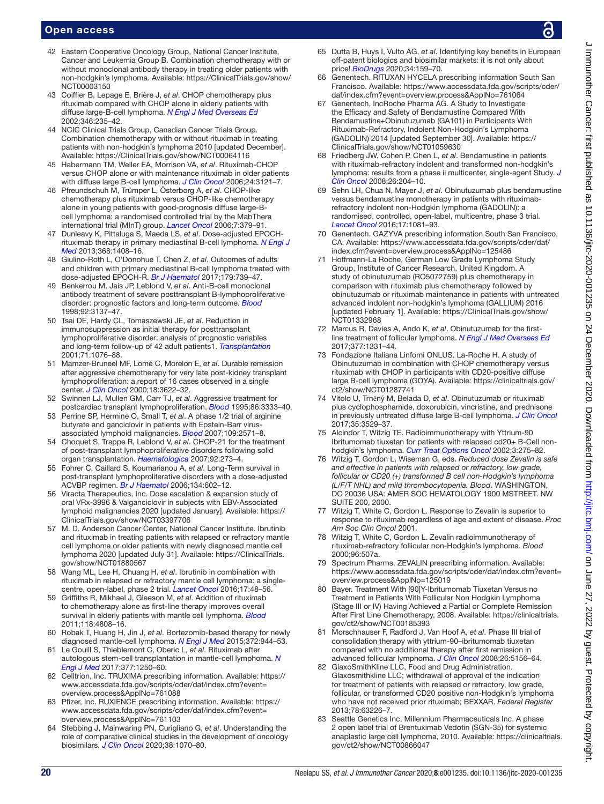- <span id="page-19-0"></span>42 Eastern Cooperative Oncology Group, National Cancer Institute, Cancer and Leukemia Group B. Combination chemotherapy with or without monoclonal antibody therapy in treating older patients with non-hodgkin's lymphoma. Available: [https://ClinicalTrials.gov/show/](https://ClinicalTrials.gov/show/NCT00003150) [NCT00003150](https://ClinicalTrials.gov/show/NCT00003150)
- <span id="page-19-2"></span>43 Coiffier B, Lepage E, Brière J, *et al*. CHOP chemotherapy plus rituximab compared with CHOP alone in elderly patients with diffuse large-B-cell lymphoma. *[N Engl J Med Overseas Ed](http://dx.doi.org/10.1056/NEJMoa011795)* 2002;346:235–42.
- 44 NCIC Clinical Trials Group, Canadian Cancer Trials Group. Combination chemotherapy with or without rituximab in treating patients with non-hodgkin's lymphoma 2010 [updated December]. Available: <https://ClinicalTrials.gov/show/NCT00064116>
- <span id="page-19-1"></span>45 Habermann TM, Weller EA, Morrison VA, *et al*. Rituximab-CHOP versus CHOP alone or with maintenance rituximab in older patients with diffuse large B-cell lymphoma. *[J Clin Oncol](http://dx.doi.org/10.1200/JCO.2005.05.1003)* 2006;24:3121–7.
- <span id="page-19-3"></span>46 Pfreundschuh M, Trümper L, Österborg A, *et al*. CHOP-like chemotherapy plus rituximab versus CHOP-like chemotherapy alone in young patients with good-prognosis diffuse large-Bcell lymphoma: a randomised controlled trial by the MabThera international trial (MInT) group. *[Lancet Oncol](http://dx.doi.org/10.1016/S1470-2045(06)70664-7)* 2006;7:379–91.
- <span id="page-19-4"></span>47 Dunleavy K, Pittaluga S, Maeda LS, *et al*. Dose-adjusted EPOCHrituximab therapy in primary mediastinal B-cell lymphoma. *[N Engl J](http://dx.doi.org/10.1056/NEJMoa1214561)  [Med](http://dx.doi.org/10.1056/NEJMoa1214561)* 2013;368:1408–16.
- <span id="page-19-5"></span>48 Giulino-Roth L, O'Donohue T, Chen Z, *et al*. Outcomes of adults and children with primary mediastinal B-cell lymphoma treated with dose-adjusted EPOCH-R. *[Br J Haematol](http://dx.doi.org/10.1111/bjh.14951)* 2017;179:739–47.
- <span id="page-19-6"></span>49 Benkerrou M, Jais JP, Leblond V, *et al*. Anti-B-cell monoclonal antibody treatment of severe posttransplant B-lymphoproliferative disorder: prognostic factors and long-term outcome. *[Blood](http://dx.doi.org/10.1182/blood.V92.9.3137)* 1998;92:3137–47.
- <span id="page-19-7"></span>50 Tsai DE, Hardy CL, Tomaszewski JE, *et al*. Reduction in immunosuppression as initial therapy for posttransplant lymphoproliferative disorder: analysis of prognostic variables and long-term follow-up of 42 adult patients1. *[Transplantation](http://dx.doi.org/10.1097/00007890-200104270-00012)* 2001;71:1076–88.
- 51 Mamzer-Bruneel MF, Lomé C, Morelon E, *et al*. Durable remission after aggressive chemotherapy for very late post-kidney transplant lymphoproliferation: a report of 16 cases observed in a single center. *[J Clin Oncol](http://dx.doi.org/10.1200/JCO.2000.18.21.3622)* 2000;18:3622–32.
- 52 Swinnen LJ, Mullen GM, Carr TJ, *et al*. Aggressive treatment for postcardiac transplant lymphoproliferation. *[Blood](http://dx.doi.org/10.1182/blood.V86.9.3333.bloodjournal8693333)* 1995;86:3333–40.
- 53 Perrine SP, Hermine O, Small T, *et al*. A phase 1/2 trial of arginine butyrate and ganciclovir in patients with Epstein-Barr virusassociated lymphoid malignancies. *[Blood](http://dx.doi.org/10.1182/blood-2006-01-024703)* 2007;109:2571–8.
- 54 Choquet S, Trappe R, Leblond V, *et al*. CHOP-21 for the treatment of post-transplant lymphoproliferative disorders following solid organ transplantation. *[Haematologica](http://dx.doi.org/10.3324/haematol.10595)* 2007;92:273–4.
- 55 Fohrer C, Caillard S, Koumarianou A, *et al*. Long-Term survival in post-transplant lymphoproliferative disorders with a dose-adjusted ACVBP regimen. *[Br J Haematol](http://dx.doi.org/10.1111/j.1365-2141.2006.06228.x)* 2006;134:602–12.
- 56 Viracta Therapeutics, Inc. Dose escalation & expansion study of oral VRx-3996 & Valganciclovir in subjects with EBV-Associated lymphoid malignancies 2020 [updated January]. Available: [https://](https://ClinicalTrials.gov/show/NCT03397706) [ClinicalTrials.gov/show/NCT03397706](https://ClinicalTrials.gov/show/NCT03397706)
- <span id="page-19-8"></span>57 M. D. Anderson Cancer Center, National Cancer Institute. Ibrutinib and rituximab in treating patients with relapsed or refractory mantle cell lymphoma or older patients with newly diagnosed mantle cell lymphoma 2020 [updated July 31]. Available: [https://ClinicalTrials.](https://ClinicalTrials.gov/show/NCT01880567) [gov/show/NCT01880567](https://ClinicalTrials.gov/show/NCT01880567)
- 58 Wang ML, Lee H, Chuang H, *et al*. Ibrutinib in combination with rituximab in relapsed or refractory mantle cell lymphoma: a singlecentre, open-label, phase 2 trial. *[Lancet Oncol](http://dx.doi.org/10.1016/S1470-2045(15)00438-6)* 2016;17:48–56.
- <span id="page-19-9"></span>59 Griffiths R, Mikhael J, Gleeson M, *et al*. Addition of rituximab to chemotherapy alone as first-line therapy improves overall survival in elderly patients with mantle cell lymphoma. *[Blood](http://dx.doi.org/10.1182/blood-2011-04-348367)* 2011;118:4808–16.
- <span id="page-19-10"></span>60 Robak T, Huang H, Jin J, *et al*. Bortezomib-based therapy for newly diagnosed mantle-cell lymphoma. *[N Engl J Med](http://dx.doi.org/10.1056/NEJMoa1412096)* 2015;372:944–53.
- <span id="page-19-11"></span>61 Le Gouill S, Thieblemont C, Oberic L, *et al*. Rituximab after autologous stem-cell transplantation in mantle-cell lymphoma. *[N](http://dx.doi.org/10.1056/NEJMoa1701769)  [Engl J Med](http://dx.doi.org/10.1056/NEJMoa1701769)* 2017;377:1250–60.
- <span id="page-19-12"></span>62 Celltrion, Inc. TRUXIMA prescribing information. Available: [https://](https://www.accessdata.fda.gov/scripts/cder/daf/index.cfm?event=overview.process&ApplNo=761088) [www.accessdata.fda.gov/scripts/cder/daf/index.cfm?event=](https://www.accessdata.fda.gov/scripts/cder/daf/index.cfm?event=overview.process&ApplNo=761088) [overview.process&ApplNo=761088](https://www.accessdata.fda.gov/scripts/cder/daf/index.cfm?event=overview.process&ApplNo=761088)
- 63 Pfizer, Inc. RUXIENCE prescribing information. Available: [https://](https://www.accessdata.fda.gov/scripts/cder/daf/index.cfm?event=overview.process&ApplNo=761103) [www.accessdata.fda.gov/scripts/cder/daf/index.cfm?event=](https://www.accessdata.fda.gov/scripts/cder/daf/index.cfm?event=overview.process&ApplNo=761103) [overview.process&ApplNo=761103](https://www.accessdata.fda.gov/scripts/cder/daf/index.cfm?event=overview.process&ApplNo=761103)
- <span id="page-19-13"></span>64 Stebbing J, Mainwaring PN, Curigliano G, *et al*. Understanding the role of comparative clinical studies in the development of oncology biosimilars. *[J Clin Oncol](http://dx.doi.org/10.1200/JCO.19.02953)* 2020;38:1070–80.
- 65 Dutta B, Huys I, Vulto AG, *et al*. Identifying key benefits in European off-patent biologics and biosimilar markets: it is not only about price! *[BioDrugs](http://dx.doi.org/10.1007/s40259-019-00395-w)* 2020;34:159–70.
- <span id="page-19-14"></span>66 Genentech. RITUXAN HYCELA prescribing information South San Francisco. Available: [https://www.accessdata.fda.gov/scripts/cder/](https://www.accessdata.fda.gov/scripts/cder/daf/index.cfm?event=overview.process&ApplNo=761064) [daf/index.cfm?event=overview.process&ApplNo=761064](https://www.accessdata.fda.gov/scripts/cder/daf/index.cfm?event=overview.process&ApplNo=761064)
- <span id="page-19-15"></span>67 Genentech, IncRoche Pharma AG. A Study to Investigate the Efficacy and Safety of Bendamustine Compared With Bendamustine+Obinutuzumab (GA101) in Participants With Rituximab-Refractory, Indolent Non-Hodgkin's Lymphoma (GADOLIN) 2014 [updated September 30]. Available: [https://](https://ClinicalTrials.gov/show/NCT01059630) [ClinicalTrials.gov/show/NCT01059630](https://ClinicalTrials.gov/show/NCT01059630)
- 68 Friedberg JW, Cohen P, Chen L, *et al*. Bendamustine in patients with rituximab-refractory indolent and transformed non-hodgkin's lymphoma: results from a phase ii multicenter, single-agent Study. *[J](http://dx.doi.org/10.1200/JCO.2007.12.5070)  [Clin Oncol](http://dx.doi.org/10.1200/JCO.2007.12.5070)* 2008;26:204–10.
- <span id="page-19-16"></span>69 Sehn LH, Chua N, Mayer J, *et al*. Obinutuzumab plus bendamustine versus bendamustine monotherapy in patients with rituximabrefractory indolent non-Hodgkin lymphoma (GADOLIN): a randomised, controlled, open-label, multicentre, phase 3 trial. *[Lancet Oncol](http://dx.doi.org/10.1016/S1470-2045(16)30097-3)* 2016;17:1081–93.
- <span id="page-19-17"></span>70 Genentech. GAZYVA prescribing information South San Francisco, CA. Available: [https://www.accessdata.fda.gov/scripts/cder/daf/](https://www.accessdata.fda.gov/scripts/cder/daf/index.cfm?event=overview.process&ApplNo=125486) [index.cfm?event=overview.process&ApplNo=125486](https://www.accessdata.fda.gov/scripts/cder/daf/index.cfm?event=overview.process&ApplNo=125486)
- <span id="page-19-18"></span>71 Hoffmann-La Roche, German Low Grade Lymphoma Study Group, Institute of Cancer Research, United Kingdom. A study of obinutuzumab (RO5072759) plus chemotherapy in comparison with rituximab plus chemotherapy followed by obinutuzumab or rituximab maintenance in patients with untreated advanced indolent non-hodgkin's lymphoma (GALLIUM) 2016 [updated February 1]. Available: [https://ClinicalTrials.gov/show/](https://ClinicalTrials.gov/show/NCT01332968) [NCT01332968](https://ClinicalTrials.gov/show/NCT01332968)
- <span id="page-19-19"></span>72 Marcus R, Davies A, Ando K, *et al*. Obinutuzumab for the firstline treatment of follicular lymphoma. *[N Engl J Med Overseas Ed](http://dx.doi.org/10.1056/NEJMoa1614598)* 2017;377:1331–44.
- <span id="page-19-20"></span>73 Fondazione Italiana Linfomi ONLUS. La-Roche H. A study of Obinutuzumab in combination with CHOP chemotherapy versus rituximab with CHOP in participants with CD20-positive diffuse large B-cell lymphoma (GOYA). Available: [https://clinicaltrials.gov/](https://clinicaltrials.gov/ct2/show/NCT01287741) [ct2/show/NCT01287741](https://clinicaltrials.gov/ct2/show/NCT01287741)
- <span id="page-19-21"></span>74 Vitolo U, Trněný M, Belada D, *et al*. Obinutuzumab or rituximab plus cyclophosphamide, doxorubicin, vincristine, and prednisone in previously untreated diffuse large B-cell lymphoma. *[J Clin Oncol](http://dx.doi.org/10.1200/JCO.2017.73.3402)* 2017;35:3529–37.
- <span id="page-19-22"></span>Alcindor T, Witzig TE. Radioimmunotherapy with Yttrium-90 Ibritumomab tiuxetan for patients with relapsed cd20+ B-Cell nonhodgkin's lymphoma. *[Curr Treat Options Oncol](http://dx.doi.org/10.1007/s11864-002-0027-y)* 2002;3:275–82.
- <span id="page-19-23"></span>76 Witzig T, Gordon L, Wiseman G, eds. *Reduced dose Zevalin is safe and effective in patients with relapsed or refractory, low grade, follicular or CD20 (+) transformed B cell non-Hodgkin's lymphoma (L/F/T NHL) and mild thrombocytopenia. Blood*. WASHINGTON, DC 20036 USA: AMER SOC HEMATOLOGY 1900 MSTREET. NW SUITE 200, 2000.
- <span id="page-19-24"></span>77 Witzig T, White C, Gordon L. Response to Zevalin is superior to response to rituximab regardless of age and extent of disease. *Proc Am Soc Clin Oncol* 2001.
- <span id="page-19-25"></span>78 Witzig T, White C, Gordon L. Zevalin radioimmunotherapy of rituximab-refractory follicular non-Hodgkin's lymphoma. *Blood* 2000;96:507a.
- <span id="page-19-26"></span>79 Spectrum Pharms. ZEVALIN prescribing information. Available: [https://www.accessdata.fda.gov/scripts/cder/daf/index.cfm?event=](https://www.accessdata.fda.gov/scripts/cder/daf/index.cfm?event=overview.process&ApplNo=125019) [overview.process&ApplNo=125019](https://www.accessdata.fda.gov/scripts/cder/daf/index.cfm?event=overview.process&ApplNo=125019)
- <span id="page-19-27"></span>80 Bayer. Treatment With [90]Y-Ibritumomab Tiuxetan Versus no Treatment in Patients With Follicular Non Hodgkin Lymphoma (Stage III or IV) Having Achieved a Partial or Complete Remission After First Line Chemotherapy, 2008. Available: [https://clinicaltrials.](https://clinicaltrials.gov/ct2/show/NCT00185393) [gov/ct2/show/NCT00185393](https://clinicaltrials.gov/ct2/show/NCT00185393)
- <span id="page-19-28"></span>81 Morschhauser F, Radford J, Van Hoof A, *et al*. Phase III trial of consolidation therapy with yttrium-90–ibritumomab tiuxetan compared with no additional therapy after first remission in advanced follicular lymphoma. *[J Clin Oncol](http://dx.doi.org/10.1200/JCO.2008.17.2015)* 2008;26:5156–64.
- <span id="page-19-29"></span>82 GlaxoSmithKline LLC, Food and Drug Administration. Glaxosmithkline LLC; withdrawal of approval of the indication for treatment of patients with relapsed or refractory, low grade, follicular, or transformed CD20 positive non-Hodgkin's lymphoma who have not received prior rituximab; BEXXAR. *Federal Register* 2013;78:63226–7.
- <span id="page-19-30"></span>83 Seattle Genetics Inc, Millennium Pharmaceuticals Inc. A phase 2 open label trial of Brentuximab Vedotin (SGN-35) for systemic anaplastic large cell lymphoma, 2010. Available: [https://clinicaltrials.](https://clinicaltrials.gov/ct2/show/NCT00866047) [gov/ct2/show/NCT00866047](https://clinicaltrials.gov/ct2/show/NCT00866047)

 $\epsilon$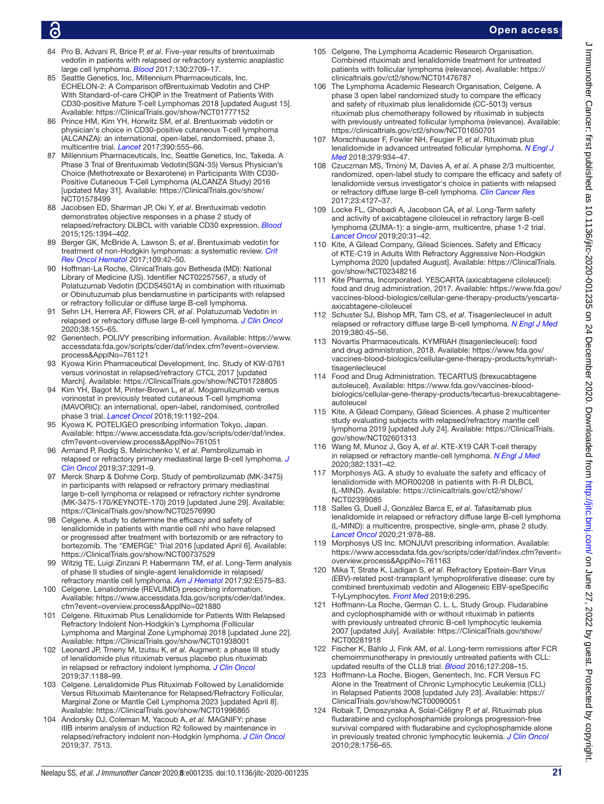- <span id="page-20-0"></span>84 Pro B, Advani R, Brice P, *et al*. Five-year results of brentuximab vedotin in patients with relapsed or refractory systemic anaplastic large cell lymphoma. *[Blood](http://dx.doi.org/10.1182/blood-2017-05-780049)* 2017;130:2709–17.
- <span id="page-20-1"></span>85 Seattle Genetics, Inc, Millennium Pharmaceuticals, Inc. ECHELON-2: A Comparison ofBrentuximab Vedotin and CHP With Standard-of-care CHOP in the Treatment of Patients With CD30-positive Mature T-cell Lymphomas 2018 [updated August 15]. Available: <https://ClinicalTrials.gov/show/NCT01777152>
- <span id="page-20-2"></span>86 Prince HM, Kim YH, Horwitz SM, *et al*. Brentuximab vedotin or physician's choice in CD30-positive cutaneous T-cell lymphoma (ALCANZA): an international, open-label, randomised, phase 3, multicentre trial. *[Lancet](http://dx.doi.org/10.1016/S0140-6736(17)31266-7)* 2017;390:555–66.
- <span id="page-20-3"></span>87 Millennium Pharmaceuticals, Inc, Seattle Genetics, Inc, Takeda. A Phase 3 Trial of Brentuximab Vedotin(SGN-35) Versus Physician's Choice (Methotrexate or Bexarotene) in Participants With CD30- Positive Cutaneous T-Cell Lymphoma (ALCANZA Study) 2016 [updated May 31]. Available: [https://ClinicalTrials.gov/show/](https://ClinicalTrials.gov/show/NCT01578499) [NCT01578499](https://ClinicalTrials.gov/show/NCT01578499)
- <span id="page-20-4"></span>88 Jacobsen ED, Sharman JP, Oki Y, *et al*. Brentuximab vedotin demonstrates objective responses in a phase 2 study of relapsed/refractory DLBCL with variable CD30 expression. *[Blood](http://dx.doi.org/10.1182/blood-2014-09-598763)* 2015;125:1394–402.
- <span id="page-20-5"></span>89 Berger GK, McBride A, Lawson S, *et al*. Brentuximab vedotin for treatment of non-Hodgkin lymphomas: a systematic review. *[Crit](http://dx.doi.org/10.1016/j.critrevonc.2016.11.009)  [Rev Oncol Hematol](http://dx.doi.org/10.1016/j.critrevonc.2016.11.009)* 2017;109:42–50.
- <span id="page-20-6"></span>90 Hoffman-La Roche, ClinicalTrials.gov Bethesda (MD): National Library of Medicine (US). Identifier NCT02257567, a study of Polatuzumab Vedotin (DCDS4501A) in combination with rituximab or Obinutuzumab plus bendamustine in participants with relapsed or refractory follicular or diffuse large B-cell lymphoma.
- <span id="page-20-7"></span>91 Sehn LH, Herrera AF, Flowers CR, *et al*. Polatuzumab Vedotin in relapsed or refractory diffuse large B-cell lymphoma. *[J Clin Oncol](http://dx.doi.org/10.1200/JCO.19.00172)* 2020;38:155–65.
- <span id="page-20-8"></span>92 Genentech. POLIVY prescribing information. Available: [https://www.](https://www.accessdata.fda.gov/scripts/cder/daf/index.cfm?event=overview.process&ApplNo=761121) [accessdata.fda.gov/scripts/cder/daf/index.cfm?event=overview.](https://www.accessdata.fda.gov/scripts/cder/daf/index.cfm?event=overview.process&ApplNo=761121) [process&ApplNo=761121](https://www.accessdata.fda.gov/scripts/cder/daf/index.cfm?event=overview.process&ApplNo=761121)
- <span id="page-20-9"></span>93 Kyowa Kirin Pharmaceutical Development, Inc. Study of KW-0761 versus vorinostat in relapsed/refractory CTCL 2017 [updated March]. Available:<https://ClinicalTrials.gov/show/NCT01728805>
- <span id="page-20-10"></span>94 Kim YH, Bagot M, Pinter-Brown L, *et al*. Mogamulizumab versus vorinostat in previously treated cutaneous T-cell lymphoma (MAVORIC): an international, open-label, randomised, controlled phase 3 trial. *[Lancet Oncol](http://dx.doi.org/10.1016/S1470-2045(18)30379-6)* 2018;19:1192–204.
- <span id="page-20-11"></span>95 Kyowa K. POTELIGEO prescribing information Tokyo, Japan. Available: [https://www.accessdata.fda.gov/scripts/cder/daf/index.](https://www.accessdata.fda.gov/scripts/cder/daf/index.cfm?event=overview.process&ApplNo=761051) [cfm?event=overview.process&ApplNo=761051](https://www.accessdata.fda.gov/scripts/cder/daf/index.cfm?event=overview.process&ApplNo=761051)
- <span id="page-20-12"></span>96 Armand P, Rodig S, Melnichenko V, *et al*. Pembrolizumab in relapsed or refractory primary mediastinal large B-cell lymphoma. *[J](http://dx.doi.org/10.1200/JCO.19.01389)  [Clin Oncol](http://dx.doi.org/10.1200/JCO.19.01389)* 2019;37:3291–9.
- 97 Merck Sharp & Dohme Corp. Study of pembrolizumab (MK-3475) in participants with relapsed or refractory primary mediastinal large b-cell lymphoma or relapsed or refractory richter syndrome (MK-3475-170/KEYNOTE-170) 2019 [updated June 29]. Available: <https://ClinicalTrials.gov/show/NCT02576990>
- <span id="page-20-13"></span>98 Celgene. A study to determine the efficacy and safety of lenalidomide in patients with mantle cell nhl who have relapsed or progressed after treatment with bortezomib or are refractory to bortezomib. The "EMERGE" Trial 2016 [updated April 6]. Available: <https://ClinicalTrials.gov/show/NCT00737529>
- <span id="page-20-14"></span>99 Witzig TE, Luigi Zinzani P, Habermann TM, *et al*. Long-Term analysis of phase II studies of single-agent lenalidomide in relapsed/ refractory mantle cell lymphoma. *[Am J Hematol](http://dx.doi.org/10.1002/ajh.24854)* 2017;92:E575–83.
- <span id="page-20-15"></span>Celgene. Lenalidomide (REVLIMID) prescribing information. Available: [https://www.accessdata.fda.gov/scripts/cder/daf/index.](https://www.accessdata.fda.gov/scripts/cder/daf/index.cfm?event=overview.process&ApplNo=021880) [cfm?event=overview.process&ApplNo=021880](https://www.accessdata.fda.gov/scripts/cder/daf/index.cfm?event=overview.process&ApplNo=021880)
- <span id="page-20-16"></span>101 Celgene. Rituximab Plus Lenalidomide for Patients With Relapsed Refractory Indolent Non-Hodgkin's Lymphoma (Follicular Lymphoma and Marginal Zone Lymphoma) 2018 [updated June 22]. Available: <https://ClinicalTrials.gov/show/NCT01938001>
- <span id="page-20-17"></span>102 Leonard JP, Trneny M, Izutsu K, *et al*. Augment: a phase III study of lenalidomide plus rituximab versus placebo plus rituximab in relapsed or refractory indolent lymphoma. *[J Clin Oncol](http://dx.doi.org/10.1200/JCO.19.00010)* 2019;37:1188–99.
- <span id="page-20-18"></span>103 Celgene. Lenalidomide Plus Rituximab Followed by Lenalidomide Versus Rituximab Maintenance for Relapsed/Refractory Follicular, Marginal Zone or Mantle Cell Lymphoma 2023 [updated April 8]. Available: <https://ClinicalTrials.gov/show/NCT01996865>
- <span id="page-20-19"></span>104 Andorsky DJ, Coleman M, Yacoub A, *et al*. MAGNIFY: phase IIIB interim analysis of induction R2 followed by maintenance in relapsed/refractory indolent non-Hodgkin lymphoma. *[J Clin Oncol](http://dx.doi.org/10.1200/JCO.2019.37.15_suppl.7513)* 2019;37. 7513.
- <span id="page-20-20"></span>105 Celgene, The Lymphoma Academic Research Organisation. Combined rituximab and lenalidomide treatment for untreated patients with follicular lymphoma (relevance). Available: [https://](https://clinicaltrials.gov/ct2/show/NCT01476787) [clinicaltrials.gov/ct2/show/NCT01476787](https://clinicaltrials.gov/ct2/show/NCT01476787)
- 106 The Lymphoma Academic Research Organisation, Celgene. A phase 3 open label randomized study to compare the efficacy and safety of rituximab plus lenalidomide (CC-5013) versus rituximab plus chemotherapy followed by rituximab in subjects with previously untreated follicular lymphoma (relevance). Available: <https://clinicaltrials.gov/ct2/show/NCT01650701>
- <span id="page-20-21"></span>107 Morschhauser F, Fowler NH, Feugier P, *et al*. Rituximab plus lenalidomide in advanced untreated follicular lymphoma. *[N Engl J](http://dx.doi.org/10.1056/NEJMoa1805104)  [Med](http://dx.doi.org/10.1056/NEJMoa1805104)* 2018;379:934–47.
- <span id="page-20-22"></span>108 Czuczman MS, Trněný M, Davies A, *et al*. A phase 2/3 multicenter, randomized, open-label study to compare the efficacy and safety of lenalidomide versus investigator's choice in patients with relapsed or refractory diffuse large B-cell lymphoma. *[Clin Cancer Res](http://dx.doi.org/10.1158/1078-0432.CCR-16-2818)* 2017;23:4127–37.
- <span id="page-20-23"></span>109 Locke FL, Ghobadi A, Jacobson CA, *et al*. Long-Term safety and activity of axicabtagene ciloleucel in refractory large B-cell lymphoma (ZUMA-1): a single-arm, multicentre, phase 1-2 trial. *[Lancet Oncol](http://dx.doi.org/10.1016/S1470-2045(18)30864-7)* 2019;20:31–42.
- 110 Kite, A Gilead Company, Gilead Sciences. Safety and Efficacy of KTE-C19 in Adults With Refractory Aggressive Non-Hodgkin Lymphoma 2020 [updated August]. Available: [https://ClinicalTrials.](https://ClinicalTrials.gov/show/NCT02348216) [gov/show/NCT02348216](https://ClinicalTrials.gov/show/NCT02348216)
- <span id="page-20-24"></span>111 Kite Pharma, Incorporated. YESCARTA (axicabtagene ciloleucel): food and drug administration, 2017. Available: [https://www.fda.gov/](https://www.fda.gov/vaccines-blood-biologics/cellular-gene-therapy-products/yescarta-axicabtagene-ciloleucel) [vaccines-blood-biologics/cellular-gene-therapy-products/yescarta](https://www.fda.gov/vaccines-blood-biologics/cellular-gene-therapy-products/yescarta-axicabtagene-ciloleucel)[axicabtagene-ciloleucel](https://www.fda.gov/vaccines-blood-biologics/cellular-gene-therapy-products/yescarta-axicabtagene-ciloleucel)
- <span id="page-20-25"></span>112 Schuster SJ, Bishop MR, Tam CS, *et al*. Tisagenlecleucel in adult relapsed or refractory diffuse large B-cell lymphoma. *[N Engl J Med](http://dx.doi.org/10.1056/NEJMoa1804980)* 2019;380:45–56.
- <span id="page-20-26"></span>113 Novartis Pharmaceuticals. KYMRIAH (tisagenlecleucel): food and drug administration, 2018. Available: [https://www.fda.gov/](https://www.fda.gov/vaccines-blood-biologics/cellular-gene-therapy-products/kymriah-tisagenlecleucel) [vaccines-blood-biologics/cellular-gene-therapy-products/kymriah](https://www.fda.gov/vaccines-blood-biologics/cellular-gene-therapy-products/kymriah-tisagenlecleucel)[tisagenlecleucel](https://www.fda.gov/vaccines-blood-biologics/cellular-gene-therapy-products/kymriah-tisagenlecleucel)
- <span id="page-20-27"></span>114 Food and Drug Administration. TECARTUS (brexucabtagene autoleucel). Available: [https://www.fda.gov/vaccines-blood](https://www.fda.gov/vaccines-blood-biologics/cellular-gene-therapy-products/tecartus-brexucabtagene-autoleucel)[biologics/cellular-gene-therapy-products/tecartus-brexucabtagene](https://www.fda.gov/vaccines-blood-biologics/cellular-gene-therapy-products/tecartus-brexucabtagene-autoleucel)[autoleucel](https://www.fda.gov/vaccines-blood-biologics/cellular-gene-therapy-products/tecartus-brexucabtagene-autoleucel)
- <span id="page-20-28"></span>115 Kite, A Gilead Company, Gilead Sciences. A phase 2 multicenter study evaluating subjects with relapsed/refractory mantle cell lymphoma 2019 [updated July 24]. Available: [https://ClinicalTrials.](https://ClinicalTrials.gov/show/NCT02601313) [gov/show/NCT02601313](https://ClinicalTrials.gov/show/NCT02601313)
- <span id="page-20-29"></span>116 Wang M, Munoz J, Goy A, *et al*. KTE-X19 CAR T-cell therapy in relapsed or refractory mantle-cell lymphoma. *[N Engl J Med](http://dx.doi.org/10.1056/NEJMoa1914347)* 2020;382:1331–42.
- <span id="page-20-30"></span>117 Morphosys AG. A study to evaluate the safety and efficacy of lenalidomide with MOR00208 in patients with R-R DLBCL (L-MIND). Available: [https://clinicaltrials.gov/ct2/show/](https://clinicaltrials.gov/ct2/show/NCT02399085) [NCT02399085](https://clinicaltrials.gov/ct2/show/NCT02399085)
- <span id="page-20-31"></span>118 Salles G, Duell J, González Barca E, *et al*. Tafasitamab plus lenalidomide in relapsed or refractory diffuse large B-cell lymphoma (L-MIND): a multicentre, prospective, single-arm, phase 2 study. *[Lancet Oncol](http://dx.doi.org/10.1016/S1470-2045(20)30225-4)* 2020;21:978–88.
- <span id="page-20-32"></span>119 Morphosys US Inc. MONJUVI prescribing information. Available: [https://www.accessdata.fda.gov/scripts/cder/daf/index.cfm?event=](https://www.accessdata.fda.gov/scripts/cder/daf/index.cfm?event=overview.process&ApplNo=761163) [overview.process&ApplNo=761163](https://www.accessdata.fda.gov/scripts/cder/daf/index.cfm?event=overview.process&ApplNo=761163)
- <span id="page-20-33"></span>120 Mika T, Strate K, Ladigan S, *et al*. Refractory Epstein-Barr Virus (EBV)-related post-transplant lymphoproliferative disease: cure by combined brentuximab vedotin and Allogeneic EBV-speSpecific T-lyLymphocytes. *[Front Med](http://dx.doi.org/10.3389/fmed.2019.00295)* 2019;6:295.
- <span id="page-20-34"></span>121 Hoffmann-La Roche, German C. L. L. Study Group. Fludarabine and cyclophosphamide with or without rituximab in patients with previously untreated chronic B-cell lymphocytic leukemia 2007 [updated July]. Available: [https://ClinicalTrials.gov/show/](https://ClinicalTrials.gov/show/NCT00281918) [NCT00281918](https://ClinicalTrials.gov/show/NCT00281918)
- <span id="page-20-35"></span>122 Fischer K, Bahlo J, Fink AM, *et al*. Long-term remissions after FCR chemoimmunotherapy in previously untreated patients with CLL: updated results of the CLL8 trial. *[Blood](http://dx.doi.org/10.1182/blood-2015-06-651125)* 2016;127:208–15.
- <span id="page-20-36"></span>123 Hoffmann-La Roche, Biogen, Genentech, Inc. FCR Versus FC Alone in the Treatment of Chronic Lymphocytic Leukemia (CLL) in Relapsed Patients 2008 [updated July 23]. Available: [https://](https://ClinicalTrials.gov/show/NCT00090051) [ClinicalTrials.gov/show/NCT00090051](https://ClinicalTrials.gov/show/NCT00090051)
- <span id="page-20-37"></span>124 Robak T, Dmoszynska A, Solal-Céligny P, *et al*. Rituximab plus fludarabine and cyclophosphamide prolongs progression-free survival compared with fludarabine and cyclophosphamide alone in previously treated chronic lymphocytic leukemia. *[J Clin Oncol](http://dx.doi.org/10.1200/JCO.2009.26.4556)* 2010;28:1756–65.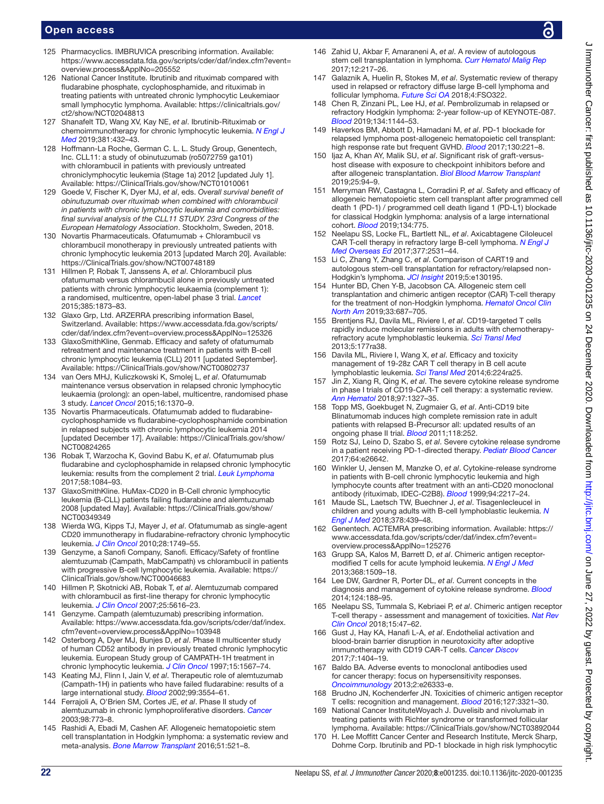- <span id="page-21-0"></span>125 Pharmacyclics. IMBRUVICA prescribing information. Available: [https://www.accessdata.fda.gov/scripts/cder/daf/index.cfm?event=](https://www.accessdata.fda.gov/scripts/cder/daf/index.cfm?event=overview.process&ApplNo=205552) [overview.process&ApplNo=205552](https://www.accessdata.fda.gov/scripts/cder/daf/index.cfm?event=overview.process&ApplNo=205552)
- <span id="page-21-1"></span>126 National Cancer Institute. Ibrutinib and rituximab compared with fludarabine phosphate, cyclophosphamide, and rituximab in treating patients with untreated chronic lymphocytic Leukemiaor small lymphocytic lymphoma. Available: [https://clinicaltrials.gov/](https://clinicaltrials.gov/ct2/show/NCT02048813) [ct2/show/NCT02048813](https://clinicaltrials.gov/ct2/show/NCT02048813)
- <span id="page-21-2"></span>127 Shanafelt TD, Wang XV, Kay NE, *et al*. Ibrutinib-Rituximab or chemoimmunotherapy for chronic lymphocytic leukemia. *[N Engl J](http://dx.doi.org/10.1056/NEJMoa1817073)  [Med](http://dx.doi.org/10.1056/NEJMoa1817073)* 2019;381:432–43.
- <span id="page-21-3"></span>128 Hoffmann-La Roche, German C. L. L. Study Group, Genentech, Inc. CLL11: a study of obinutuzumab (ro5072759 ga101) with chlorambucil in patients with previously untreated chroniclymphocytic leukemia (Stage 1a) 2012 [updated July 1]. Available: <https://ClinicalTrials.gov/show/NCT01010061>
- <span id="page-21-4"></span>129 Goede V, Fischer K, Dyer MJ, *et al*, eds. *Overall survival benefit of obinutuzumab over rituximab when combined with chlorambucil in patients with chronic lymphocytic leukemia and comorbidities: final survival analysis of the CLL11 STUDY. 23rd Congress of the European Hematology Association*. Stockholm, Sweden, 2018.
- <span id="page-21-5"></span>130 Novartis Pharmaceuticals. Ofatumumab + Chlorambucil vs chlorambucil monotherapy in previously untreated patients with chronic lymphocytic leukemia 2013 [updated March 20]. Available: <https://ClinicalTrials.gov/show/NCT00748189>
- <span id="page-21-6"></span>131 Hillmen P, Robak T, Janssens A, *et al*. Chlorambucil plus ofatumumab versus chlorambucil alone in previously untreated patients with chronic lymphocytic leukaemia (complement 1): a randomised, multicentre, open-label phase 3 trial. *[Lancet](http://dx.doi.org/10.1016/S0140-6736(15)60027-7)* 2015;385:1873–83.
- <span id="page-21-9"></span>132 Glaxo Grp, Ltd. ARZERRA prescribing information Basel, Switzerland. Available: [https://www.accessdata.fda.gov/scripts/](https://www.accessdata.fda.gov/scripts/cder/daf/index.cfm?event=overview.process&ApplNo=125326) [cder/daf/index.cfm?event=overview.process&ApplNo=125326](https://www.accessdata.fda.gov/scripts/cder/daf/index.cfm?event=overview.process&ApplNo=125326)
- <span id="page-21-7"></span>133 GlaxoSmithKline, Genmab. Efficacy and safety of ofatumumab retreatment and maintenance treatment in patients with B-cell chronic lymphocytic leukemia (CLL) 2011 [updated September]. Available: <https://ClinicalTrials.gov/show/NCT00802737>
- <span id="page-21-8"></span>134 van Oers MHJ, Kuliczkowski K, Smolej L, *et al*. Ofatumumab maintenance versus observation in relapsed chronic lymphocytic leukaemia (prolong): an open-label, multicentre, randomised phase 3 study. *[Lancet Oncol](http://dx.doi.org/10.1016/S1470-2045(15)00143-6)* 2015;16:1370–9.
- <span id="page-21-10"></span>135 Novartis Pharmaceuticals. Ofatumumab added to fludarabinecyclophosphamide vs fludarabine-cyclophosphamide combination in relapsed subjects with chronic lymphocytic leukemia 2014 [updated December 17]. Available: [https://ClinicalTrials.gov/show/](https://ClinicalTrials.gov/show/NCT00824265) [NCT00824265](https://ClinicalTrials.gov/show/NCT00824265)
- <span id="page-21-11"></span>136 Robak T, Warzocha K, Govind Babu K, *et al*. Ofatumumab plus fludarabine and cyclophosphamide in relapsed chronic lymphocytic leukemia: results from the complement 2 trial. *[Leuk Lymphoma](http://dx.doi.org/10.1080/10428194.2016.1233536)* 2017;58:1084–93.
- <span id="page-21-12"></span>137 GlaxoSmithKline. HuMax-CD20 in B-Cell chronic lymphocytic leukemia (B-CLL) patients failing fludarabine and alemtuzumab 2008 [updated May]. Available: [https://ClinicalTrials.gov/show/](https://ClinicalTrials.gov/show/NCT00349349) [NCT00349349](https://ClinicalTrials.gov/show/NCT00349349)
- <span id="page-21-13"></span>138 Wierda WG, Kipps TJ, Mayer J, *et al*. Ofatumumab as single-agent CD20 immunotherapy in fludarabine-refractory chronic lymphocytic leukemia. *[J Clin Oncol](http://dx.doi.org/10.1200/JCO.2009.25.3187)* 2010;28:1749–55.
- <span id="page-21-14"></span>139 Genzyme, a Sanofi Company, Sanofi. Efficacy/Safety of frontline alemtuzumab (Campath, MabCampath) vs chlorambucil in patients with progressive B-cell lymphocytic leukemia. Available: [https://](https://ClinicalTrials.gov/show/NCT00046683) [ClinicalTrials.gov/show/NCT00046683](https://ClinicalTrials.gov/show/NCT00046683)
- <span id="page-21-15"></span>140 Hillmen P, Skotnicki AB, Robak T, *et al*. Alemtuzumab compared with chlorambucil as first-line therapy for chronic lymphocytic leukemia. *[J Clin Oncol](http://dx.doi.org/10.1200/JCO.2007.12.9098)* 2007;25:5616–23.
- <span id="page-21-16"></span>141 Genzyme. Campath (alemtuzumab) prescribing information. Available: [https://www.accessdata.fda.gov/scripts/cder/daf/index.](https://www.accessdata.fda.gov/scripts/cder/daf/index.cfm?event=overview.process&ApplNo=103948) [cfm?event=overview.process&ApplNo=103948](https://www.accessdata.fda.gov/scripts/cder/daf/index.cfm?event=overview.process&ApplNo=103948)
- <span id="page-21-17"></span>142 Osterborg A, Dyer MJ, Bunjes D, *et al*. Phase II multicenter study of human CD52 antibody in previously treated chronic lymphocytic leukemia. European Study group of CAMPATH-1H treatment in chronic lymphocytic leukemia. *[J Clin Oncol](http://dx.doi.org/10.1200/JCO.1997.15.4.1567)* 1997;15:1567–74.
- 143 Keating MJ, Flinn I, Jain V, *et al*. Therapeutic role of alemtuzumab (Campath-1H) in patients who have failed fludarabine: results of a large international study. *[Blood](http://dx.doi.org/10.1182/blood.V99.10.3554)* 2002;99:3554–61.
- 144 Ferrajoli A, O'Brien SM, Cortes JE, *et al*. Phase II study of alemtuzumab in chronic lymphoproliferative disorders. *[Cancer](http://dx.doi.org/10.1002/cncr.11551)* 2003;98:773–8.
- <span id="page-21-18"></span>145 Rashidi A, Ebadi M, Cashen AF. Allogeneic hematopoietic stem cell transplantation in Hodgkin lymphoma: a systematic review and meta-analysis. *[Bone Marrow Transplant](http://dx.doi.org/10.1038/bmt.2015.332)* 2016;51:521–8.
- 146 Zahid U, Akbar F, Amaraneni A, *et al*. A review of autologous stem cell transplantation in lymphoma. *[Curr Hematol Malig Rep](http://dx.doi.org/10.1007/s11899-017-0382-1)* 2017;12:217–26.
- 147 Galaznik A, Huelin R, Stokes M, *et al*. Systematic review of therapy used in relapsed or refractory diffuse large B-cell lymphoma and follicular lymphoma. *[Future Sci OA](http://dx.doi.org/10.4155/fsoa-2018-0049)* 2018;4:FSO322.
- 148 Chen R, Zinzani PL, Lee HJ, *et al*. Pembrolizumab in relapsed or refractory Hodgkin lymphoma: 2-year follow-up of KEYNOTE-087. *[Blood](http://dx.doi.org/10.1182/blood.2019000324)* 2019;134:1144–53.
- <span id="page-21-19"></span>149 Haverkos BM, Abbott D, Hamadani M, *et al*. PD-1 blockade for relapsed lymphoma post-allogeneic hematopoietic cell transplant: high response rate but frequent GVHD. *[Blood](http://dx.doi.org/10.1182/blood-2017-01-761346)* 2017;130:221–8.
- <span id="page-21-20"></span>150 Ijaz A, Khan AY, Malik SU, *et al*. Significant risk of graft-versushost disease with exposure to checkpoint inhibitors before and after allogeneic transplantation. *[Biol Blood Marrow Transplant](http://dx.doi.org/10.1016/j.bbmt.2018.08.028)* 2019;25:94–9.
- <span id="page-21-21"></span>151 Merryman RW, Castagna L, Corradini P, *et al*. Safety and efficacy of allogeneic hematopoietic stem cell transplant after programmed cell death 1 (PD-1) / programmed cell death ligand 1 (PD-L1) blockade for classical Hodgkin lymphoma: analysis of a large international cohort. *[Blood](http://dx.doi.org/10.1182/blood-2019-125039)* 2019;134:775.
- <span id="page-21-31"></span>152 Neelapu SS, Locke FL, Bartlett NL, *et al*. Axicabtagene Ciloleucel CAR T-cell therapy in refractory large B-cell lymphoma. *[N Engl J](http://dx.doi.org/10.1056/NEJMoa1707447)  [Med Overseas Ed](http://dx.doi.org/10.1056/NEJMoa1707447)* 2017;377:2531–44.
- <span id="page-21-22"></span>153 Li C, Zhang Y, Zhang C, *et al*. Comparison of CART19 and autologous stem-cell transplantation for refractory/relapsed non-Hodgkin's lymphoma. *[JCI Insight](http://dx.doi.org/10.1172/jci.insight.130195)* 2019;5:e130195.
- 154 Hunter BD, Chen Y-B, Jacobson CA. Allogeneic stem cell transplantation and chimeric antigen receptor (CAR) T-cell therapy for the treatment of non-Hodgkin lymphoma. *[Hematol Oncol Clin](http://dx.doi.org/10.1016/j.hoc.2019.03.005)  [North Am](http://dx.doi.org/10.1016/j.hoc.2019.03.005)* 2019;33:687–705.
- <span id="page-21-23"></span>155 Brentjens RJ, Davila ML, Riviere I, *et al*. CD19-targeted T cells rapidly induce molecular remissions in adults with chemotherapyrefractory acute lymphoblastic leukemia. *[Sci Transl Med](http://dx.doi.org/10.1126/scitranslmed.3005930)* 2013;5:177ra38.
- 156 Davila ML, Riviere I, Wang X, *et al*. Efficacy and toxicity management of 19-28z CAR T cell therapy in B cell acute lymphoblastic leukemia. *[Sci Transl Med](http://dx.doi.org/10.1126/scitranslmed.3008226)* 2014;6:224ra25.
- <span id="page-21-24"></span>157 Jin Z, Xiang R, Qing K, *et al*. The severe cytokine release syndrome in phase I trials of CD19-CAR-T cell therapy: a systematic review. *[Ann Hematol](http://dx.doi.org/10.1007/s00277-018-3368-8)* 2018;97:1327–35.
- 158 Topp MS, Goekbuget N, Zugmaier G, *et al*. Anti-CD19 bite Blinatumomab induces high complete remission rate in adult patients with relapsed B-Precursor all: updated results of an ongoing phase II trial. *[Blood](http://dx.doi.org/10.1182/blood.V118.21.252.252)* 2011;118:252.
- 159 Rotz SJ, Leino D, Szabo S, *et al*. Severe cytokine release syndrome in a patient receiving PD-1-directed therapy. *[Pediatr Blood Cancer](http://dx.doi.org/10.1002/pbc.26642)* 2017;64:e26642.
- 160 Winkler U, Jensen M, Manzke O, *et al*. Cytokine-release syndrome in patients with B-cell chronic lymphocytic leukemia and high lymphocyte counts after treatment with an anti-CD20 monoclonal antibody (rituximab, IDEC-C2B8). *[Blood](http://dx.doi.org/10.1182/blood.V94.7.2217.419k02_2217_2224)* 1999;94:2217–24.
- <span id="page-21-25"></span>161 Maude SL, Laetsch TW, Buechner J, *et al*. Tisagenlecleucel in children and young adults with B-cell lymphoblastic leukemia. *[N](http://dx.doi.org/10.1056/NEJMoa1709866)  [Engl J Med](http://dx.doi.org/10.1056/NEJMoa1709866)* 2018;378:439–48.
- <span id="page-21-26"></span>162 Genentech. ACTEMRA prescribing information. Available: [https://](https://www.accessdata.fda.gov/scripts/cder/daf/index.cfm?event=overview.process&ApplNo=125276) [www.accessdata.fda.gov/scripts/cder/daf/index.cfm?event=](https://www.accessdata.fda.gov/scripts/cder/daf/index.cfm?event=overview.process&ApplNo=125276) [overview.process&ApplNo=125276](https://www.accessdata.fda.gov/scripts/cder/daf/index.cfm?event=overview.process&ApplNo=125276)
- 163 Grupp SA, Kalos M, Barrett D, *et al*. Chimeric antigen receptormodified T cells for acute lymphoid leukemia. *[N Engl J Med](http://dx.doi.org/10.1056/NEJMoa1215134)* 2013;368:1509–18.
- <span id="page-21-27"></span>164 Lee DW, Gardner R, Porter DL, *et al*. Current concepts in the diagnosis and management of cytokine release syndrome. *[Blood](http://dx.doi.org/10.1182/blood-2014-05-552729)* 2014;124:188–95.
- 165 Neelapu SS, Tummala S, Kebriaei P, *et al*. Chimeric antigen receptor T-cell therapy - assessment and management of toxicities. *[Nat Rev](http://dx.doi.org/10.1038/nrclinonc.2017.148)  [Clin Oncol](http://dx.doi.org/10.1038/nrclinonc.2017.148)* 2018;15:47–62.
- 166 Gust J, Hay KA, Hanafi L-A, *et al*. Endothelial activation and blood-brain barrier disruption in neurotoxicity after adoptive immunotherapy with CD19 CAR-T cells. *[Cancer Discov](http://dx.doi.org/10.1158/2159-8290.CD-17-0698)* 2017;7:1404–19.
- <span id="page-21-28"></span>167 Baldo BA. Adverse events to monoclonal antibodies used for cancer therapy: focus on hypersensitivity responses. *[Oncoimmunology](http://dx.doi.org/10.4161/onci.26333)* 2013;2:e26333-e.
- 168 Brudno JN, Kochenderfer JN. Toxicities of chimeric antigen receptor T cells: recognition and management. *[Blood](http://dx.doi.org/10.1182/blood-2016-04-703751)* 2016;127:3321–30.
- <span id="page-21-29"></span>169 National Cancer InstituteWoyach J. Duvelisib and nivolumab in treating patients with Richter syndrome or transformed follicular lymphoma. Available:<https://ClinicalTrials.gov/show/NCT03892044>
- <span id="page-21-30"></span>170 H. Lee Moffitt Cancer Center and Research Institute, Merck Sharp, Dohme Corp. Ibrutinib and PD-1 blockade in high risk lymphocytic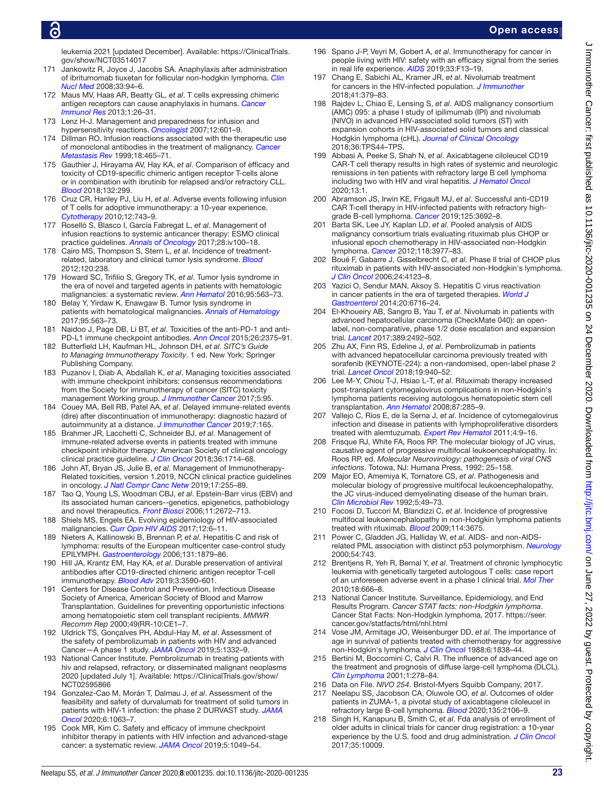# Ō

- Jankowitz R, Joyce J, Jacobs SA. Anaphylaxis after administration of ibritumomab tiuxetan for follicular non-hodgkin lymphoma. *[Clin](http://dx.doi.org/10.1097/RLU.0b013e31815ef825)  [Nucl Med](http://dx.doi.org/10.1097/RLU.0b013e31815ef825)* 2008;33:94–6.
- 172 Maus MV, Haas AR, Beatty GL, *et al*. T cells expressing chimeric antigen receptors can cause anaphylaxis in humans. *[Cancer](http://dx.doi.org/10.1158/2326-6066.CIR-13-0006)  [Immunol Res](http://dx.doi.org/10.1158/2326-6066.CIR-13-0006)* 2013;1:26–31.
- <span id="page-22-0"></span>173 Lenz H-J. Management and preparedness for infusion and hypersensitivity reactions. *[Oncologist](http://dx.doi.org/10.1634/theoncologist.12-5-601)* 2007;12:601–9.
- 174 Dillman RO. Infusion reactions associated with the therapeutic use of monoclonal antibodies in the treatment of malignancy. *Cancer [Metastasis Rev](http://dx.doi.org/10.1023/A:1006341717398)* 1999;18:465–71.
- 175 Gauthier J, Hirayama AV, Hay KA, *et al*. Comparison of efficacy and toxicity of CD19-specific chimeric antigen receptor T-cells alone or in combination with ibrutinib for relapsed and/or refractory CLL. *[Blood](http://dx.doi.org/10.1182/blood-2018-99-111061)* 2018;132:299.
- <span id="page-22-1"></span>176 Cruz CR, Hanley PJ, Liu H, *et al*. Adverse events following infusion of T cells for adoptive immunotherapy: a 10-year experience. *[Cytotherapy](http://dx.doi.org/10.3109/14653241003709686)* 2010;12:743–9.
- <span id="page-22-2"></span>177 Roselló S, Blasco I, García Fabregat L, *et al*. Management of infusion reactions to systemic anticancer therapy: ESMO clinical practice guidelines. *[Annals of Oncology](http://dx.doi.org/10.1093/annonc/mdx216)* 2017;28:iv100–18.
- <span id="page-22-3"></span>178 Cairo MS, Thompson S, Stern L, *et al*. Incidence of treatmentrelated, laboratory and clinical tumor lysis syndrome. *[Blood](http://dx.doi.org/10.1182/blood.V120.21.238.238)* 2012;120:238.
- <span id="page-22-4"></span>179 Howard SC, Trifilio S, Gregory TK, *et al*. Tumor lysis syndrome in the era of novel and targeted agents in patients with hematologic malignancies: a systematic review. *[Ann Hematol](http://dx.doi.org/10.1007/s00277-015-2585-7)* 2016;95:563–73.
- <span id="page-22-5"></span>180 Belay Y, Yirdaw K, Enawgaw B. Tumor lysis syndrome in patients with hematological malignancies. *[Annals of Hematology](http://dx.doi.org/10.1155/2017/9684909)* 2017;95:563–73.
- <span id="page-22-6"></span>181 Naidoo J, Page DB, Li BT, *et al*. Toxicities of the anti-PD-1 and anti-PD-L1 immune checkpoint antibodies. *[Ann Oncol](http://dx.doi.org/10.1093/annonc/mdv383)* 2015;26:2375–91.
- <span id="page-22-9"></span>182 Butterfield LH, Kaufman HL, Johnson DH, *et al*. *SITC's Guide to Managing Immunotherapy Toxicity*. 1 ed. New York: Springer Publishing Company.
- <span id="page-22-7"></span>183 Puzanov I, Diab A, Abdallah K, *et al*. Managing toxicities associated with immune checkpoint inhibitors: consensus recommendations from the Society for immunotherapy of cancer (SITC) toxicity management Working group. *[J Immunother Cancer](http://dx.doi.org/10.1186/s40425-017-0300-z)* 2017;5:95.
- <span id="page-22-8"></span>184 Couey MA, Bell RB, Patel AA, *et al*. Delayed immune-related events (dire) after discontinuation of immunotherapy: diagnostic hazard of autoimmunity at a distance. *[J Immunother Cancer](http://dx.doi.org/10.1186/s40425-019-0645-6)* 2019;7:165.
- 185 Brahmer JR, Lacchetti C, Schneider BJ, *et al*. Management of immune-related adverse events in patients treated with immune checkpoint inhibitor therapy: American Society of clinical oncology clinical practice guideline. *[J Clin Oncol](http://dx.doi.org/10.1200/JCO.2017.77.6385)* 2018;36:1714–68.
- 186 John AT, Bryan JS, Julie B, *et al*. Management of Immunotherapy-Related toxicities, version 1.2019, NCCN clinical practice guidelines in oncology. *[J Natl Compr Canc Netw](http://dx.doi.org/10.6004/jnccn.2019.0013)* 2019;17:255–89.
- <span id="page-22-10"></span>187 Tao Q, Young LS, Woodman CBJ, *et al*. Epstein-Barr virus (EBV) and its associated human cancers--genetics, epigenetics, pathobiology and novel therapeutics. *[Front Biosci](http://dx.doi.org/10.2741/2000)* 2006;11:2672–713.
- <span id="page-22-13"></span>Shiels MS, Engels EA. Evolving epidemiology of HIV-associated malignancies. *[Curr Opin HIV AIDS](http://dx.doi.org/10.1097/COH.0000000000000327)* 2017;12:6–11.
- 189 Nieters A, Kallinowski B, Brennan P, *et al*. Hepatitis C and risk of lymphoma: results of the European multicenter case-control study EPILYMPH. *[Gastroenterology](http://dx.doi.org/10.1053/j.gastro.2006.09.019)* 2006;131:1879–86.
- <span id="page-22-11"></span>190 Hill JA, Krantz EM, Hay KA, *et al*. Durable preservation of antiviral antibodies after CD19-directed chimeric antigen receptor T-cell immunotherapy. *[Blood Adv](http://dx.doi.org/10.1182/bloodadvances.2019000717)* 2019;3:3590–601.
- <span id="page-22-12"></span>191 Centers for Disease Control and Prevention, Infectious Disease Society of America, American Society of Blood and Marrow Transplantation. Guidelines for preventing opportunistic infections among hematopoietic stem cell transplant recipients. *MMWR Recomm Rep* 2000;49(RR-10:CE1–7.
- <span id="page-22-14"></span>192 Uldrick TS, Gonçalves PH, Abdul-Hay M, *et al*. Assessment of the safety of pembrolizumab in patients with HIV and advanced Cancer—A phase 1 study. *[JAMA Oncol](http://dx.doi.org/10.1001/jamaoncol.2019.2244)* 2019;5:1332–9.
- 193 National Cancer Institute. Pembrolizumab in treating patients with hiv and relapsed, refractory, or disseminated malignant neoplasms 2020 [updated July 1]. Available: [https://ClinicalTrials.gov/show/](https://ClinicalTrials.gov/show/NCT02595866) [NCT02595866](https://ClinicalTrials.gov/show/NCT02595866)
- <span id="page-22-15"></span>194 Gonzalez-Cao M, Morán T, Dalmau J, *et al*. Assessment of the feasibility and safety of durvalumab for treatment of solid tumors in patients with HIV-1 infection: the phase 2 DURVAST study. *[JAMA](http://dx.doi.org/10.1001/jamaoncol.2020.0465)  [Oncol](http://dx.doi.org/10.1001/jamaoncol.2020.0465)* 2020;6:1063–7.
- 195 Cook MR, Kim C. Safety and efficacy of immune checkpoint inhibitor therapy in patients with HIV infection and advanced-stage cancer: a systematic review. *[JAMA Oncol](http://dx.doi.org/10.1001/jamaoncol.2018.6737)* 2019;5:1049–54.
- <span id="page-22-16"></span>196 Spano J-P, Veyri M, Gobert A, *et al*. Immunotherapy for cancer in people living with HIV: safety with an efficacy signal from the series in real life experience. *[AIDS](http://dx.doi.org/10.1097/QAD.0000000000002298)* 2019;33:F13–19.
- 197 Chang E, Sabichi AL, Kramer JR, *et al*. Nivolumab treatment for cancers in the HIV-infected population. *[J Immunother](http://dx.doi.org/10.1097/CJI.0000000000000240)* 2018;41:379–83.
- <span id="page-22-17"></span>198 Rajdev L, Chiao E, Lensing S, *et al*. AIDS malignancy consortium (AMC) 095: a phase I study of ipilimumab (IPI) and nivolumab (NIVO) in advanced HIV-associated solid tumors (ST) with expansion cohorts in HIV-associated solid tumors and classical Hodgkin lymphoma (cHL). *[Journal of Clinical Oncology](http://dx.doi.org/10.1200/JCO.2018.36.5_suppl.TPS44)* 2018;36:TPS44–TPS.
- <span id="page-22-18"></span>199 Abbasi A, Peeke S, Shah N, *et al*. Axicabtagene ciloleucel CD19 CAR-T cell therapy results in high rates of systemic and neurologic remissions in ten patients with refractory large B cell lymphoma including two with HIV and viral hepatitis. *[J Hematol Oncol](http://dx.doi.org/10.1186/s13045-019-0838-y)* 2020;13:1.
- 200 Abramson JS, Irwin KE, Frigault MJ, *et al*. Successful anti-CD19 CAR T-cell therapy in HIV-infected patients with refractory highgrade B-cell lymphoma. *[Cancer](http://dx.doi.org/10.1002/cncr.32411)* 2019;125:3692–8.
- <span id="page-22-19"></span>201 Barta SK, Lee JY, Kaplan LD, *et al*. Pooled analysis of AIDS malignancy consortium trials evaluating rituximab plus CHOP or infusional epoch chemotherapy in HIV-associated non-Hodgkin lymphoma. *[Cancer](http://dx.doi.org/10.1002/cncr.26723)* 2012;118:3977–83.
- <span id="page-22-20"></span>202 Boué F, Gabarre J, Gisselbrecht C, *et al*. Phase II trial of CHOP plus rituximab in patients with HIV-associated non-Hodgkin's lymphoma. *[J Clin Oncol](http://dx.doi.org/10.1200/JCO.2005.05.4684)* 2006;24:4123–8.
- <span id="page-22-21"></span>203 Yazici O, Sendur MAN, Aksoy S. Hepatitis C virus reactivation in cancer patients in the era of targeted therapies. *[World J](http://dx.doi.org/10.3748/wjg.v20.i22.6716)  [Gastroenterol](http://dx.doi.org/10.3748/wjg.v20.i22.6716)* 2014;20:6716–24.
- <span id="page-22-22"></span>204 El-Khoueiry AB, Sangro B, Yau T, *et al*. Nivolumab in patients with advanced hepatocellular carcinoma (CheckMate 040): an openlabel, non-comparative, phase 1/2 dose escalation and expansion trial. *[Lancet](http://dx.doi.org/10.1016/S0140-6736(17)31046-2)* 2017;389:2492–502.
- 205 Zhu AX, Finn RS, Edeline J, *et al*. Pembrolizumab in patients with advanced hepatocellular carcinoma previously treated with sorafenib (KEYNOTE-224): a non-randomised, open-label phase 2 trial. *[Lancet Oncol](http://dx.doi.org/10.1016/S1470-2045(18)30351-6)* 2018;19:940–52.
- <span id="page-22-23"></span>206 Lee M-Y, Chiou T-J, Hsiao L-T, *et al*. Rituximab therapy increased post-transplant cytomegalovirus complications in non-Hodgkin's lymphoma patients receiving autologous hematopoietic stem cell transplantation. *[Ann Hematol](http://dx.doi.org/10.1007/s00277-007-0397-0)* 2008;87:285–9.
- <span id="page-22-24"></span>207 Vallejo C, Ríos E, de la Serna J, *et al*. Incidence of cytomegalovirus infection and disease in patients with lymphoproliferative disorders treated with alemtuzumab. *[Expert Rev Hematol](http://dx.doi.org/10.1586/ehm.10.77)* 2011;4:9–16.
- <span id="page-22-25"></span>208 Frisque RJ, White FA, Roos RP. The molecular biology of JC virus, causative agent of progressive multifocal leukoencephalopathy. In: Roos RP, ed. *Molecular Neurovirology: pathogenesis of viral CNS infections*. Totowa, NJ: Humana Press, 1992: 25–158.
- 209 Major EO, Amemiya K, Tornatore CS, *et al*. Pathogenesis and molecular biology of progressive multifocal leukoencephalopathy, the JC virus-induced demyelinating disease of the human brain. *[Clin Microbiol Rev](http://dx.doi.org/10.1128/CMR.5.1.49)* 1992;5:49–73.
- <span id="page-22-26"></span>210 Focosi D, Tuccori M, Blandizzi C, *et al*. Incidence of progressive multifocal leukoencephalopathy in non-Hodgkin lymphoma patients treated with rituximab. *[Blood](http://dx.doi.org/10.1182/blood.V114.22.3675.3675)* 2009;114:3675.
- <span id="page-22-27"></span>211 Power C, Gladden JG, Halliday W, *et al*. AIDS- and non-AIDSrelated PML association with distinct p53 polymorphism. *[Neurology](http://dx.doi.org/10.1212/WNL.54.3.743)* 2000;54:743.
- <span id="page-22-28"></span>212 Brentjens R, Yeh R, Bernal Y, *et al*. Treatment of chronic lymphocytic leukemia with genetically targeted autologous T cells: case report of an unforeseen adverse event in a phase I clinical trial. *[Mol Ther](http://dx.doi.org/10.1038/mt.2010.31)* 2010;18:666–8.
- <span id="page-22-29"></span>213 National Cancer Institute. Surveillance, Epidemiology, and End Results Program. *Cancer STAT facts: non-Hodgkin lymphoma*. Cancer Stat Facts: Non-Hodgkin lymphoma, 2017. [https://seer.](https://seer.cancer.gov/statfacts/html/nhl.html) [cancer.gov/statfacts/html/nhl.html](https://seer.cancer.gov/statfacts/html/nhl.html)
- 214 Vose JM, Armitage JO, Weisenburger DD, *et al*. The importance of age in survival of patients treated with chemotherapy for aggressive non-Hodgkin's lymphoma. *[J Clin Oncol](http://dx.doi.org/10.1200/JCO.1988.6.12.1838)* 1988;6:1838–44.
- 215 Bertini M, Boccomini C, Calvi R. The influence of advanced age on the treatment and prognosis of diffuse large-cell lymphoma (DLCL). *[Clin Lymphoma](http://dx.doi.org/10.3816/CLM.2001.n.002)* 2001;1:278–84.
- <span id="page-22-30"></span>216 Data on File. *NIVO 254*. Bristol-Myers Squibb Company, 2017.
- 217 Neelapu SS, Jacobson CA, Oluwole OO, *et al*. Outcomes of older patients in ZUMA-1, a pivotal study of axicabtagene ciloleucel in refractory large B-cell lymphoma. *[Blood](http://dx.doi.org/10.1182/blood.2019004162)* 2020;135:2106–9.
- <span id="page-22-31"></span>218 Singh H, Kanapuru B, Smith C, *et al*. Fda analysis of enrollment of older adults in clinical trials for cancer drug registration: a 10-year experience by the U.S. food and drug administration. *[J Clin Oncol](http://dx.doi.org/10.1200/JCO.2017.35.15_suppl.10009)* 2017;35:10009.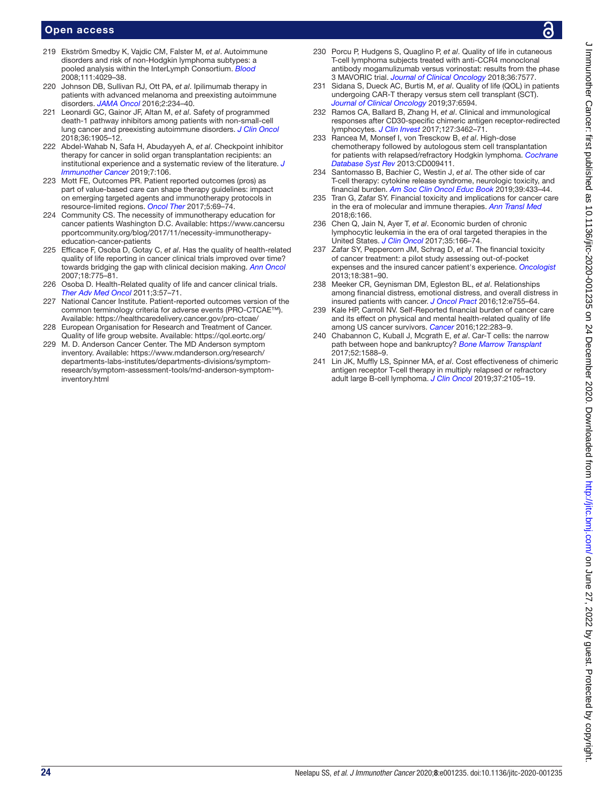- <span id="page-23-0"></span>219 Ekström Smedby K, Vajdic CM, Falster M, *et al*. Autoimmune disorders and risk of non-Hodgkin lymphoma subtypes: a pooled analysis within the InterLymph Consortium. *[Blood](http://dx.doi.org/10.1182/blood-2007-10-119974)* 2008;111:4029–38.
- <span id="page-23-1"></span>220 Johnson DB, Sullivan RJ, Ott PA, *et al*. Ipilimumab therapy in patients with advanced melanoma and preexisting autoimmune disorders. *[JAMA Oncol](http://dx.doi.org/10.1001/jamaoncol.2015.4368)* 2016;2:234–40.
- <span id="page-23-2"></span>221 Leonardi GC, Gainor JF, Altan M, *et al*. Safety of programmed death-1 pathway inhibitors among patients with non-small-cell lung cancer and preexisting autoimmune disorders. *[J Clin Oncol](http://dx.doi.org/10.1200/JCO.2017.77.0305)* 2018;36:1905–12.
- <span id="page-23-3"></span>222 Abdel-Wahab N, Safa H, Abudayyeh A, *et al*. Checkpoint inhibitor therapy for cancer in solid organ transplantation recipients: an institutional experience and a systematic review of the literature. *[J](http://dx.doi.org/10.1186/s40425-019-0585-1)  [Immunother Cancer](http://dx.doi.org/10.1186/s40425-019-0585-1)* 2019;7:106.
- <span id="page-23-4"></span>223 Mott FE, Outcomes PR. Patient reported outcomes (pros) as part of value-based care can shape therapy guidelines: impact on emerging targeted agents and immunotherapy protocols in resource-limited regions. *[Oncol Ther](http://dx.doi.org/10.1007/s40487-016-0038-7)* 2017;5:69–74.
- <span id="page-23-5"></span>224 Community CS. The necessity of immunotherapy education for cancer patients Washington D.C. Available: [https://www.cancersu](https://www.cancersupportcommunity.org/blog/2017/11/necessity-immunotherapy-education-cancer-patients) [pportcommunity.org/blog/2017/11/necessity-immunotherapy](https://www.cancersupportcommunity.org/blog/2017/11/necessity-immunotherapy-education-cancer-patients)[education-cancer-patients](https://www.cancersupportcommunity.org/blog/2017/11/necessity-immunotherapy-education-cancer-patients)
- <span id="page-23-6"></span>225 Efficace F, Osoba D, Gotay C, *et al*. Has the quality of health-related quality of life reporting in cancer clinical trials improved over time? towards bridging the gap with clinical decision making. *[Ann Oncol](http://dx.doi.org/10.1093/annonc/mdl494)* 2007;18:775–81.
- 226 Osoba D. Health-Related quality of life and cancer clinical trials. *[Ther Adv Med Oncol](http://dx.doi.org/10.1177/1758834010395342)* 2011;3:57–71.
- <span id="page-23-7"></span>227 National Cancer Institute. Patient-reported outcomes version of the common terminology criteria for adverse events (PRO-CTCAE™). Available: <https://healthcaredelivery.cancer.gov/pro-ctcae/>
- <span id="page-23-8"></span>228 European Organisation for Research and Treatment of Cancer. Quality of life group website. Available:<https://qol.eortc.org/>
- <span id="page-23-9"></span>229 M. D. Anderson Cancer Center. The MD Anderson symptom inventory. Available: [https://www.mdanderson.org/research/](https://www.mdanderson.org/research/departments-labs-institutes/departments-divisions/symptom-research/symptom-assessment-tools/md-anderson-symptom-inventory.html) [departments-labs-institutes/departments-divisions/symptom](https://www.mdanderson.org/research/departments-labs-institutes/departments-divisions/symptom-research/symptom-assessment-tools/md-anderson-symptom-inventory.html)[research/symptom-assessment-tools/md-anderson-symptom](https://www.mdanderson.org/research/departments-labs-institutes/departments-divisions/symptom-research/symptom-assessment-tools/md-anderson-symptom-inventory.html)[inventory.html](https://www.mdanderson.org/research/departments-labs-institutes/departments-divisions/symptom-research/symptom-assessment-tools/md-anderson-symptom-inventory.html)
- <span id="page-23-10"></span>230 Porcu P, Hudgens S, Quaglino P, *et al*. Quality of life in cutaneous T-cell lymphoma subjects treated with anti-CCR4 monoclonal antibody mogamulizumab versus vorinostat: results from the phase 3 MAVORIC trial. *[Journal of Clinical Oncology](http://dx.doi.org/10.1200/JCO.2018.36.15_suppl.7577)* 2018;36:7577.
- <span id="page-23-11"></span>231 Sidana S, Dueck AC, Burtis M, *et al*. Quality of life (QOL) in patients undergoing CAR-T therapy versus stem cell transplant (SCT). *[Journal of Clinical Oncology](http://dx.doi.org/10.1200/JCO.2019.37.15_suppl.6594)* 2019;37:6594.
- <span id="page-23-12"></span>232 Ramos CA, Ballard B, Zhang H, *et al*. Clinical and immunological responses after CD30-specific chimeric antigen receptor-redirected lymphocytes. *[J Clin Invest](http://dx.doi.org/10.1172/JCI94306)* 2017;127:3462–71.
- 233 Rancea M, Monsef I, von Tresckow B, *et al*. High‐dose chemotherapy followed by autologous stem cell transplantation for patients with relapsed/refractory Hodgkin lymphoma. *[Cochrane](http://dx.doi.org/10.1002/14651858.CD009411.pub2)  [Database Syst Rev](http://dx.doi.org/10.1002/14651858.CD009411.pub2)* 2013:CD009411.
- <span id="page-23-13"></span>234 Santomasso B, Bachier C, Westin J, *et al*. The other side of car T-cell therapy: cytokine release syndrome, neurologic toxicity, and financial burden. *[Am Soc Clin Oncol Educ Book](http://dx.doi.org/10.1200/EDBK_238691)* 2019;39:433–44.
- <span id="page-23-14"></span>235 Tran G, Zafar SY. Financial toxicity and implications for cancer care in the era of molecular and immune therapies. *[Ann Transl Med](http://dx.doi.org/10.21037/atm.2018.03.28)* 2018;6:166.
- 236 Chen Q, Jain N, Ayer T, *et al*. Economic burden of chronic lymphocytic leukemia in the era of oral targeted therapies in the United States. *[J Clin Oncol](http://dx.doi.org/10.1200/JCO.2016.68.2856)* 2017;35:166–74.
- <span id="page-23-15"></span>237 Zafar SY, Peppercorn JM, Schrag D, *et al*. The financial toxicity of cancer treatment: a pilot study assessing out-of-pocket expenses and the insured cancer patient's experience. *[Oncologist](http://dx.doi.org/10.1634/theoncologist.2012-0279)* 2013;18:381–90.
- 238 Meeker CR, Geynisman DM, Egleston BL, *et al*. Relationships among financial distress, emotional distress, and overall distress in insured patients with cancer. *[J Oncol Pract](http://dx.doi.org/10.1200/JOP.2016.011049)* 2016;12:e755–64.
- 239 Kale HP, Carroll NV. Self-Reported financial burden of cancer care and its effect on physical and mental health-related quality of life among US cancer survivors. *[Cancer](http://dx.doi.org/10.1002/cncr.29808)* 2016;122:283–9.
- <span id="page-23-16"></span>240 Chabannon C, Kuball J, Mcgrath E, *et al*. Car-T cells: the narrow path between hope and bankruptcy? *[Bone Marrow Transplant](http://dx.doi.org/10.1038/bmt.2017.241)* 2017;52:1588–9.
- 241 Lin JK, Muffly LS, Spinner MA, *et al*. Cost effectiveness of chimeric antigen receptor T-cell therapy in multiply relapsed or refractory adult large B-cell lymphoma. *[J Clin Oncol](http://dx.doi.org/10.1200/JCO.18.02079)* 2019;37:2105–19.

 $\epsilon$